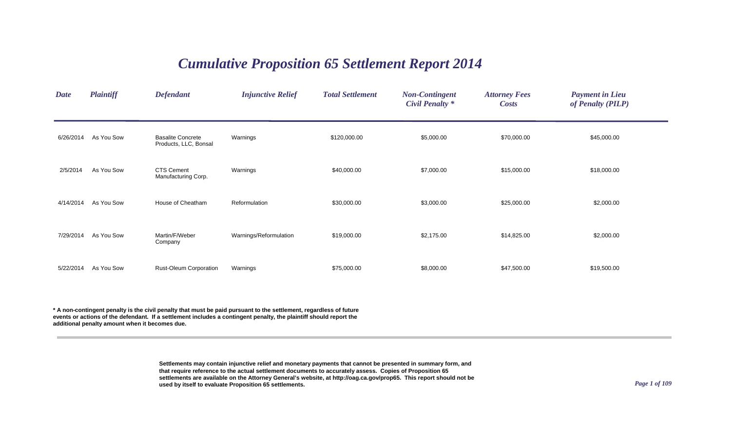## *Cumulative Proposition 65 Settlement Report 2014*

| <b>Date</b> | <b>Plaintiff</b> | <b>Defendant</b>                                  | <b>Injunctive Relief</b> | <b>Total Settlement</b> | <b>Non-Contingent</b><br><b>Civil Penalty *</b> | <b>Attorney Fees</b><br><b>Costs</b> | <b>Payment in Lieu</b><br>of Penalty (PILP) |
|-------------|------------------|---------------------------------------------------|--------------------------|-------------------------|-------------------------------------------------|--------------------------------------|---------------------------------------------|
| 6/26/2014   | As You Sow       | <b>Basalite Concrete</b><br>Products, LLC, Bonsal | Warnings                 | \$120,000.00            | \$5,000.00                                      | \$70,000.00                          | \$45,000.00                                 |
| 2/5/2014    | As You Sow       | <b>CTS Cement</b><br>Manufacturing Corp.          | Warnings                 | \$40,000.00             | \$7,000.00                                      | \$15,000.00                          | \$18,000.00                                 |
| 4/14/2014   | As You Sow       | House of Cheatham                                 | Reformulation            | \$30,000.00             | \$3,000.00                                      | \$25,000.00                          | \$2,000.00                                  |
| 7/29/2014   | As You Sow       | Martin/F/Weber<br>Company                         | Warnings/Reformulation   | \$19,000.00             | \$2,175.00                                      | \$14,825.00                          | \$2,000.00                                  |
| 5/22/2014   | As You Sow       | <b>Rust-Oleum Corporation</b>                     | Warnings                 | \$75,000.00             | \$8,000.00                                      | \$47,500.00                          | \$19,500.00                                 |

**\* A non-contingent penalty is the civil penalty that must be paid pursuant to the settlement, regardless of future events or actions of the defendant. If a settlement includes a contingent penalty, the plaintiff should report the additional penalty amount when it becomes due.**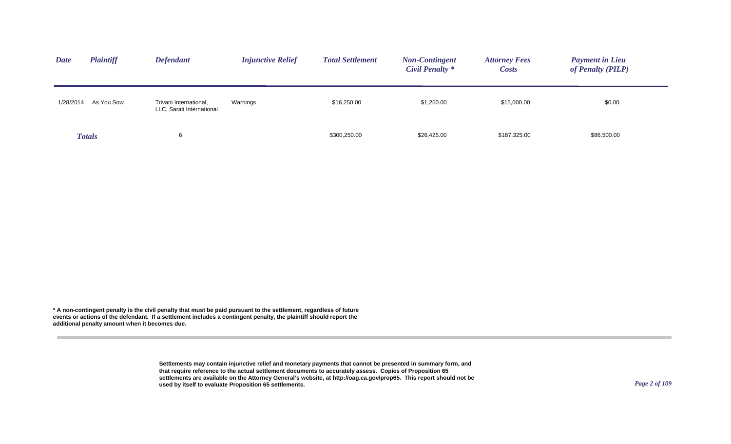| <b>Date</b> | <b>Plaintiff</b> | <b>Defendant</b>                                    | <b>Injunctive Relief</b> | <b>Total Settlement</b> | <b>Non-Contingent</b><br>Civil Penalty * | <b>Attorney Fees</b><br><i>Costs</i> | <b>Payment in Lieu</b><br>of Penalty (PILP) |
|-------------|------------------|-----------------------------------------------------|--------------------------|-------------------------|------------------------------------------|--------------------------------------|---------------------------------------------|
| 1/28/2014   | As You Sow       | Trivani International,<br>LLC, Sarati International | Warnings                 | \$16,250.00             | \$1,250.00                               | \$15,000.00                          | \$0.00                                      |
|             | <b>Totals</b>    | 6                                                   |                          | \$300,250.00            | \$26,425.00                              | \$187,325.00                         | \$86,500.00                                 |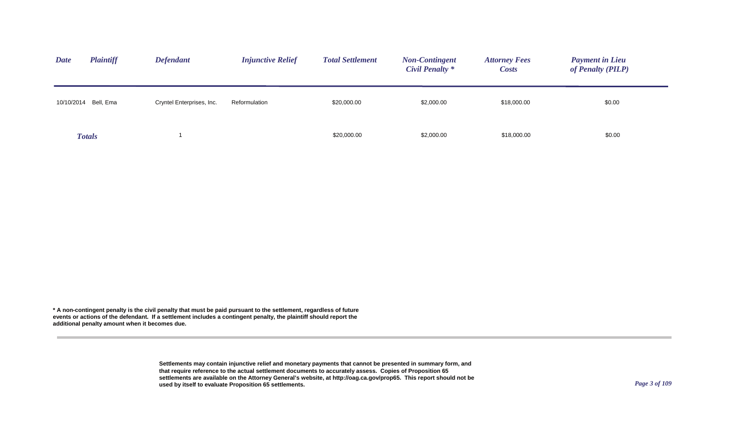| <b>Date</b>          | <b>Plaintiff</b> | <b>Defendant</b>          | <b>Injunctive Relief</b> | <b>Total Settlement</b> | <b>Non-Contingent</b><br>Civil Penalty * | <b>Attorney Fees</b><br><b>Costs</b> | <b>Payment in Lieu</b><br>of Penalty (PILP) |
|----------------------|------------------|---------------------------|--------------------------|-------------------------|------------------------------------------|--------------------------------------|---------------------------------------------|
| 10/10/2014 Bell, Ema |                  | Cryntel Enterprises, Inc. | Reformulation            | \$20,000.00             | \$2,000.00                               | \$18,000.00                          | \$0.00                                      |
| <b>Totals</b>        |                  |                           |                          | \$20,000.00             | \$2,000.00                               | \$18,000.00                          | \$0.00                                      |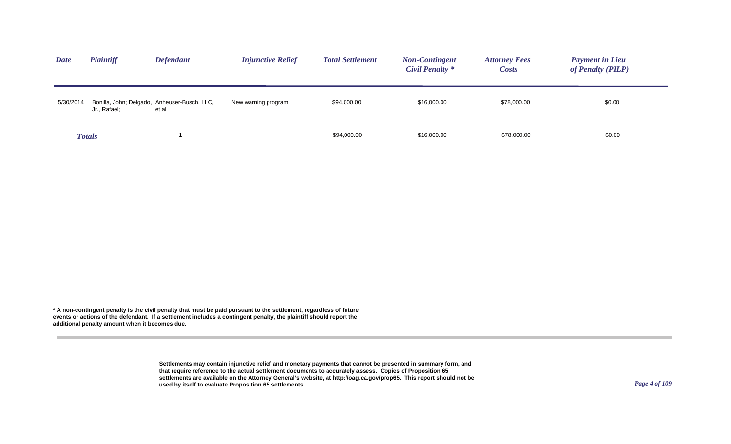| <b>Date</b> | <b>Plaintiff</b> | <b>Defendant</b>                                      | <b>Injunctive Relief</b> | <b>Total Settlement</b> | <b>Non-Contingent</b><br>Civil Penalty * | <b>Attorney Fees</b><br><i>Costs</i> | <b>Payment in Lieu</b><br>of Penalty (PILP) |
|-------------|------------------|-------------------------------------------------------|--------------------------|-------------------------|------------------------------------------|--------------------------------------|---------------------------------------------|
| 5/30/2014   | Jr., Rafael;     | Bonilla, John; Delgado, Anheuser-Busch, LLC,<br>et al | New warning program      | \$94,000.00             | \$16,000.00                              | \$78,000.00                          | \$0.00                                      |
|             | <b>Totals</b>    |                                                       |                          | \$94,000.00             | \$16,000.00                              | \$78,000.00                          | \$0.00                                      |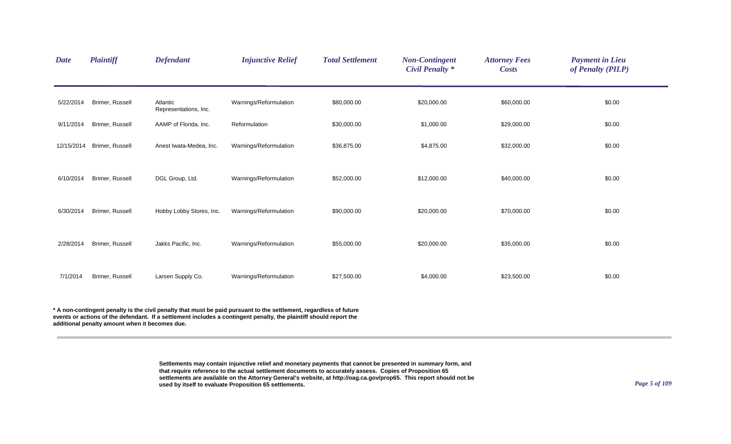| <b>Date</b> | <b>Plaintiff</b> | <b>Defendant</b>                  | <b>Injunctive Relief</b> | <b>Total Settlement</b> | <b>Non-Contingent</b><br><b>Civil Penalty *</b> | <b>Attorney Fees</b><br><b>Costs</b> | <b>Payment in Lieu</b><br>of Penalty (PILP) |
|-------------|------------------|-----------------------------------|--------------------------|-------------------------|-------------------------------------------------|--------------------------------------|---------------------------------------------|
| 5/22/2014   | Brimer, Russell  | Atlantic<br>Representations, Inc. | Warnings/Reformulation   | \$80,000.00             | \$20,000.00                                     | \$60,000.00                          | \$0.00                                      |
| 9/11/2014   | Brimer, Russell  | AAMP of Florida, Inc.             | Reformulation            | \$30,000.00             | \$1,000.00                                      | \$29,000.00                          | \$0.00                                      |
| 12/15/2014  | Brimer, Russell  | Anest Iwata-Medea, Inc.           | Warnings/Reformulation   | \$36,875.00             | \$4,875.00                                      | \$32,000.00                          | \$0.00                                      |
| 6/10/2014   | Brimer, Russell  | DGL Group, Ltd.                   | Warnings/Reformulation   | \$52,000.00             | \$12,000.00                                     | \$40,000.00                          | \$0.00                                      |
| 6/30/2014   | Brimer, Russell  | Hobby Lobby Stores, Inc.          | Warnings/Reformulation   | \$90,000.00             | \$20,000.00                                     | \$70,000.00                          | \$0.00                                      |
| 2/28/2014   | Brimer, Russell  | Jakks Pacific, Inc.               | Warnings/Reformulation   | \$55,000.00             | \$20,000.00                                     | \$35,000.00                          | \$0.00                                      |
| 7/1/2014    | Brimer, Russell  | Larsen Supply Co.                 | Warnings/Reformulation   | \$27,500.00             | \$4,000.00                                      | \$23,500.00                          | \$0.00                                      |
|             |                  |                                   |                          |                         |                                                 |                                      |                                             |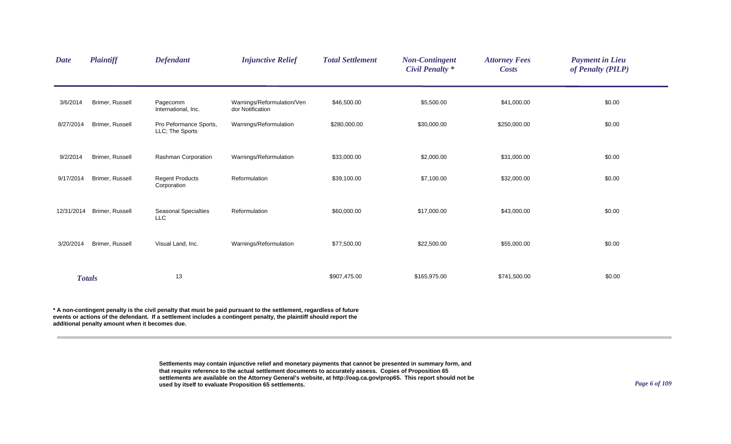| <b>Date</b> | <b>Plaintiff</b> | <b>Defendant</b>                          | <b>Injunctive Relief</b>                       | <b>Total Settlement</b> | <b>Non-Contingent</b><br><b>Civil Penalty *</b> | <b>Attorney Fees</b><br><b>Costs</b> | <b>Payment in Lieu</b><br>of Penalty (PILP) |
|-------------|------------------|-------------------------------------------|------------------------------------------------|-------------------------|-------------------------------------------------|--------------------------------------|---------------------------------------------|
| 3/6/2014    | Brimer, Russell  | Pagecomm<br>International, Inc.           | Warnings/Reformulation/Ven<br>dor Notification | \$46,500.00             | \$5,500.00                                      | \$41,000.00                          | \$0.00                                      |
| 8/27/2014   | Brimer, Russell  | Pro Peformance Sports,<br>LLC; The Sports | Warnings/Reformulation                         | \$280,000.00            | \$30,000.00                                     | \$250,000.00                         | \$0.00                                      |
| 9/2/2014    | Brimer, Russell  | Rashman Corporation                       | Warnings/Reformulation                         | \$33,000.00             | \$2,000.00                                      | \$31,000.00                          | \$0.00                                      |
| 9/17/2014   | Brimer, Russell  | <b>Regent Products</b><br>Corporation     | Reformulation                                  | \$39,100.00             | \$7,100.00                                      | \$32,000.00                          | \$0.00                                      |
| 12/31/2014  | Brimer, Russell  | <b>Seasonal Specialties</b><br><b>LLC</b> | Reformulation                                  | \$60,000.00             | \$17,000.00                                     | \$43,000.00                          | \$0.00                                      |
| 3/20/2014   | Brimer, Russell  | Visual Land, Inc.                         | Warnings/Reformulation                         | \$77,500.00             | \$22,500.00                                     | \$55,000.00                          | \$0.00                                      |
|             | <b>Totals</b>    | 13                                        |                                                | \$907,475.00            | \$165,975.00                                    | \$741,500.00                         | \$0.00                                      |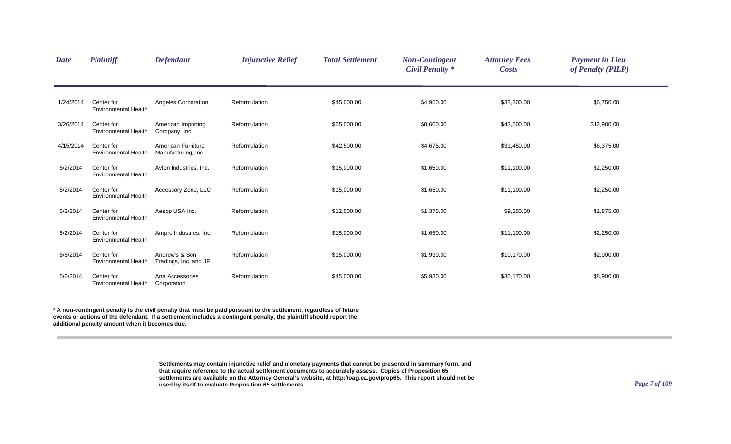| <b>Date</b> | <b>Plaintiff</b>                          | <b>Defendant</b>                          | <b>Injunctive Relief</b> | <b>Total Settlement</b> | <b>Non-Contingent</b><br><b>Civil Penalty *</b> | <b>Attorney Fees</b><br><b>Costs</b> | <b>Payment in Lieu</b><br>of Penalty (PILP) |  |
|-------------|-------------------------------------------|-------------------------------------------|--------------------------|-------------------------|-------------------------------------------------|--------------------------------------|---------------------------------------------|--|
| 1/24/2014   | Center for<br><b>Environmental Health</b> | Angeles Corporation                       | Reformulation            | \$45,000.00             | \$4,950.00                                      | \$33,300.00                          | \$6,750.00                                  |  |
| 3/26/2014   | Center for<br><b>Environmental Health</b> | American Importing<br>Company, Inc.       | Reformulation            | \$65,000.00             | \$8,600.00                                      | \$43,500.00                          | \$12,900.00                                 |  |
| 4/15/2014   | Center for<br><b>Environmental Health</b> | American Furniture<br>Manufacturing, Inc. | Reformulation            | \$42,500.00             | \$4,675.00                                      | \$31,450.00                          | \$6,375.00                                  |  |
| 5/2/2014    | Center for<br><b>Environmental Health</b> | Avlon Industries, Inc.                    | Reformulation            | \$15,000.00             | \$1,650.00                                      | \$11,100.00                          | \$2,250.00                                  |  |
| 5/2/2014    | Center for<br><b>Environmental Health</b> | Accessory Zone, LLC                       | Reformulation            | \$15,000.00             | \$1,650.00                                      | \$11,100.00                          | \$2,250.00                                  |  |
| 5/2/2014    | Center for<br><b>Environmental Health</b> | Aesop USA Inc.                            | Reformulation            | \$12,500.00             | \$1,375.00                                      | \$9,250.00                           | \$1,875.00                                  |  |
| 5/2/2014    | Center for<br><b>Environmental Health</b> | Ampro Industries, Inc.                    | Reformulation            | \$15,000.00             | \$1,650.00                                      | \$11,100.00                          | \$2,250.00                                  |  |
| 5/6/2014    | Center for<br><b>Environmental Health</b> | Andrew's & Son<br>Tradings, Inc. and JF   | Reformulation            | \$15,000.00             | \$1,930.00                                      | \$10,170.00                          | \$2,900.00                                  |  |
| 5/6/2014    | Center for<br><b>Environmental Health</b> | Ana Accessories<br>Corporation            | Reformulation            | \$45,000.00             | \$5,930.00                                      | \$30,170.00                          | \$8,900.00                                  |  |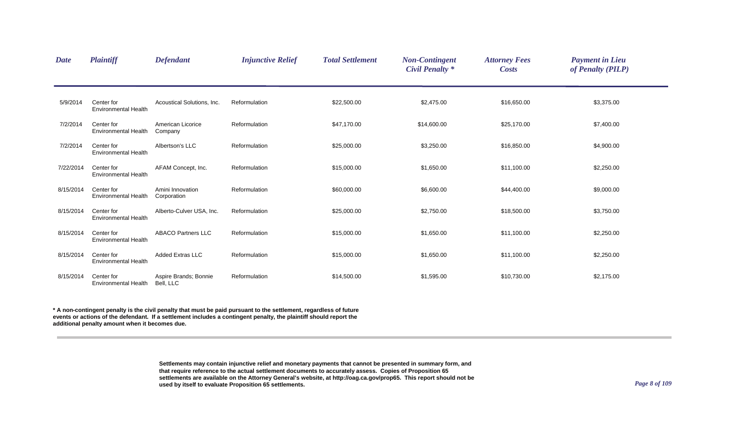| <b>Date</b> | <b>Plaintiff</b>                          | <b>Defendant</b>                   | <b>Injunctive Relief</b> | <b>Total Settlement</b> | <b>Non-Contingent</b><br><b>Civil Penalty</b> * | <b>Attorney Fees</b><br><b>Costs</b> | <b>Payment in Lieu</b><br>of Penalty (PILP) |
|-------------|-------------------------------------------|------------------------------------|--------------------------|-------------------------|-------------------------------------------------|--------------------------------------|---------------------------------------------|
| 5/9/2014    | Center for<br><b>Environmental Health</b> | Acoustical Solutions, Inc.         | Reformulation            | \$22,500.00             | \$2,475.00                                      | \$16,650.00                          | \$3,375.00                                  |
| 7/2/2014    | Center for<br><b>Environmental Health</b> | American Licorice<br>Company       | Reformulation            | \$47,170.00             | \$14,600.00                                     | \$25,170.00                          | \$7,400.00                                  |
| 7/2/2014    | Center for<br><b>Environmental Health</b> | Albertson's LLC                    | Reformulation            | \$25,000.00             | \$3,250.00                                      | \$16,850.00                          | \$4,900.00                                  |
| 7/22/2014   | Center for<br><b>Environmental Health</b> | AFAM Concept, Inc.                 | Reformulation            | \$15,000.00             | \$1,650.00                                      | \$11,100.00                          | \$2,250.00                                  |
| 8/15/2014   | Center for<br><b>Environmental Health</b> | Amini Innovation<br>Corporation    | Reformulation            | \$60,000.00             | \$6,600.00                                      | \$44,400.00                          | \$9,000.00                                  |
| 8/15/2014   | Center for<br><b>Environmental Health</b> | Alberto-Culver USA, Inc.           | Reformulation            | \$25,000.00             | \$2,750.00                                      | \$18,500.00                          | \$3,750.00                                  |
| 8/15/2014   | Center for<br><b>Environmental Health</b> | <b>ABACO Partners LLC</b>          | Reformulation            | \$15,000.00             | \$1,650.00                                      | \$11,100.00                          | \$2,250.00                                  |
| 8/15/2014   | Center for<br><b>Environmental Health</b> | <b>Added Extras LLC</b>            | Reformulation            | \$15,000.00             | \$1,650.00                                      | \$11,100.00                          | \$2,250.00                                  |
| 8/15/2014   | Center for<br><b>Environmental Health</b> | Aspire Brands; Bonnie<br>Bell, LLC | Reformulation            | \$14,500.00             | \$1,595.00                                      | \$10,730.00                          | \$2,175.00                                  |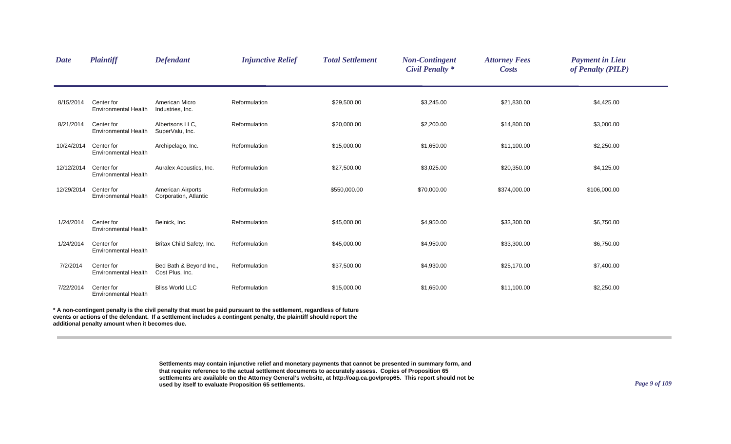| <b>Plaintiff</b>                          | <b>Defendant</b>                                    | <b>Injunctive Relief</b> | <b>Total Settlement</b> | <b>Non-Contingent</b><br><b>Civil Penalty *</b> | <b>Attorney Fees</b><br><b>Costs</b> | <b>Payment in Lieu</b><br>of Penalty (PILP) |  |
|-------------------------------------------|-----------------------------------------------------|--------------------------|-------------------------|-------------------------------------------------|--------------------------------------|---------------------------------------------|--|
| Center for<br><b>Environmental Health</b> | American Micro<br>Industries, Inc.                  | Reformulation            | \$29,500.00             | \$3,245.00                                      | \$21,830.00                          | \$4,425.00                                  |  |
| Center for<br><b>Environmental Health</b> | Albertsons LLC.<br>SuperValu, Inc.                  | Reformulation            | \$20,000.00             | \$2,200.00                                      | \$14,800.00                          | \$3,000.00                                  |  |
| Center for<br>Environmental Health        | Archipelago, Inc.                                   | Reformulation            | \$15,000.00             | \$1,650.00                                      | \$11,100.00                          | \$2,250.00                                  |  |
| Center for<br><b>Environmental Health</b> | Auralex Acoustics, Inc.                             | Reformulation            | \$27,500.00             | \$3,025.00                                      | \$20,350.00                          | \$4,125.00                                  |  |
| Center for<br><b>Environmental Health</b> | American Airports<br>Corporation, Atlantic          | Reformulation            | \$550,000.00            | \$70,000.00                                     | \$374,000.00                         | \$106,000.00                                |  |
| Center for<br><b>Environmental Health</b> | Belnick, Inc.                                       | Reformulation            | \$45,000.00             | \$4,950.00                                      | \$33,300.00                          | \$6,750.00                                  |  |
| Center for<br><b>Environmental Health</b> | Britax Child Safety, Inc.                           | Reformulation            | \$45,000.00             | \$4,950.00                                      | \$33,300.00                          | \$6,750.00                                  |  |
| Center for<br><b>Environmental Health</b> | Bed Bath & Beyond Inc.,<br>Cost Plus, Inc.          | Reformulation            | \$37,500.00             | \$4,930.00                                      | \$25,170.00                          | \$7,400.00                                  |  |
| Center for<br><b>Environmental Health</b> | <b>Bliss World LLC</b>                              | Reformulation            | \$15,000.00             | \$1,650.00                                      | \$11,100.00                          | \$2,250.00                                  |  |
|                                           | 8/15/2014<br>10/24/2014<br>12/12/2014<br>12/29/2014 |                          |                         |                                                 |                                      |                                             |  |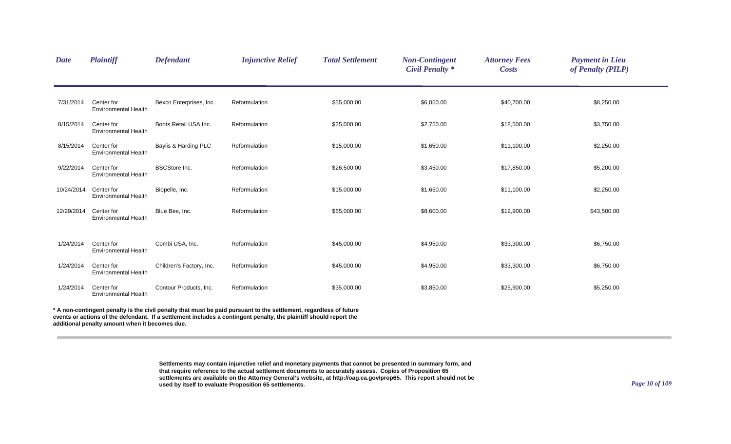| <b>Date</b> | <b>Plaintiff</b>                                                                                                                                                                                                                         | <b>Defendant</b>         | <b>Injunctive Relief</b> | <b>Total Settlement</b> | <b>Non-Contingent</b><br><b>Civil Penalty *</b> | <b>Attorney Fees</b><br><b>Costs</b> | <b>Payment in Lieu</b><br>of Penalty (PILP) |  |  |
|-------------|------------------------------------------------------------------------------------------------------------------------------------------------------------------------------------------------------------------------------------------|--------------------------|--------------------------|-------------------------|-------------------------------------------------|--------------------------------------|---------------------------------------------|--|--|
| 7/31/2014   | Center for<br><b>Environmental Health</b>                                                                                                                                                                                                | Bexco Enterprises, Inc.  | Reformulation            | \$55,000.00             | \$6,050.00                                      | \$40,700.00                          | \$8,250.00                                  |  |  |
| 8/15/2014   | Center for<br><b>Environmental Health</b>                                                                                                                                                                                                | Boots Retail USA Inc.    | Reformulation            | \$25,000.00             | \$2,750.00                                      | \$18,500.00                          | \$3,750.00                                  |  |  |
| 8/15/2014   | Center for<br><b>Environmental Health</b>                                                                                                                                                                                                | Baylis & Harding PLC     | Reformulation            | \$15,000.00             | \$1,650.00                                      | \$11,100.00                          | \$2,250.00                                  |  |  |
| 9/22/2014   | Center for<br><b>Environmental Health</b>                                                                                                                                                                                                | <b>BSCStore Inc.</b>     | Reformulation            | \$26,500.00             | \$3,450.00                                      | \$17,850.00                          | \$5,200.00                                  |  |  |
| 10/24/2014  | Center for<br><b>Environmental Health</b>                                                                                                                                                                                                | Biopelle, Inc.           | Reformulation            | \$15,000.00             | \$1,650.00                                      | \$11,100.00                          | \$2,250.00                                  |  |  |
| 12/29/2014  | Center for<br><b>Environmental Health</b>                                                                                                                                                                                                | Blue Bee, Inc.           | Reformulation            | \$65,000.00             | \$8,600.00                                      | \$12,900.00                          | \$43,500.00                                 |  |  |
| 1/24/2014   | Center for<br><b>Environmental Health</b>                                                                                                                                                                                                | Combi USA, Inc.          | Reformulation            | \$45,000.00             | \$4,950.00                                      | \$33,300.00                          | \$6,750.00                                  |  |  |
| 1/24/2014   | Center for<br><b>Environmental Health</b>                                                                                                                                                                                                | Children's Factory, Inc. | Reformulation            | \$45,000.00             | \$4,950.00                                      | \$33,300.00                          | \$6,750.00                                  |  |  |
| 1/24/2014   | Center for<br><b>Environmental Health</b>                                                                                                                                                                                                | Contour Products, Inc.   | Reformulation            | \$35,000.00             | \$3,850.00                                      | \$25,900.00                          | \$5,250.00                                  |  |  |
|             | * A non-contingent penalty is the civil penalty that must be paid pursuant to the settlement, regardless of future<br>events or actions of the defendant. If a settlement includes a contingent penalty, the plaintiff should report the |                          |                          |                         |                                                 |                                      |                                             |  |  |

**additional penalty amount when it becomes due.**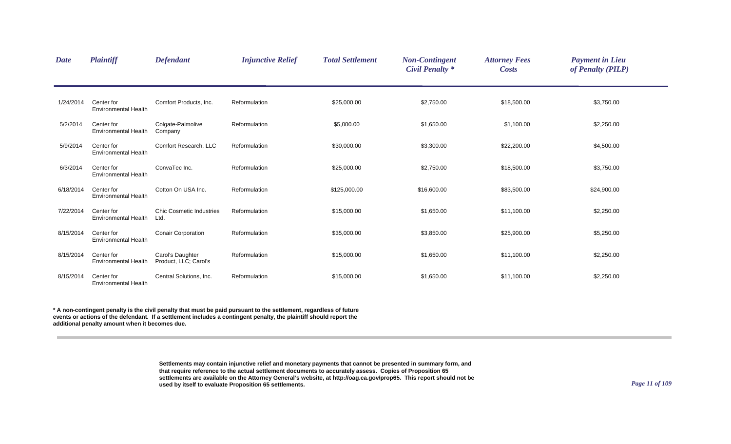| <b>Date</b> | <b>Plaintiff</b>                          | <b>Defendant</b>                          | <b>Injunctive Relief</b> | <b>Total Settlement</b> | <b>Non-Contingent</b><br><b>Civil Penalty *</b> | <b>Attorney Fees</b><br><b>Costs</b> | <b>Payment in Lieu</b><br>of Penalty (PILP) |  |
|-------------|-------------------------------------------|-------------------------------------------|--------------------------|-------------------------|-------------------------------------------------|--------------------------------------|---------------------------------------------|--|
| 1/24/2014   | Center for<br><b>Environmental Health</b> | Comfort Products, Inc.                    | Reformulation            | \$25,000.00             | \$2,750.00                                      | \$18,500.00                          | \$3,750.00                                  |  |
| 5/2/2014    | Center for<br><b>Environmental Health</b> | Colgate-Palmolive<br>Company              | Reformulation            | \$5,000.00              | \$1,650.00                                      | \$1,100.00                           | \$2,250.00                                  |  |
| 5/9/2014    | Center for<br><b>Environmental Health</b> | Comfort Research, LLC                     | Reformulation            | \$30,000.00             | \$3,300.00                                      | \$22,200.00                          | \$4,500.00                                  |  |
| 6/3/2014    | Center for<br><b>Environmental Health</b> | ConvaTec Inc.                             | Reformulation            | \$25,000.00             | \$2,750.00                                      | \$18,500.00                          | \$3,750.00                                  |  |
| 6/18/2014   | Center for<br><b>Environmental Health</b> | Cotton On USA Inc.                        | Reformulation            | \$125,000.00            | \$16,600.00                                     | \$83,500.00                          | \$24,900.00                                 |  |
| 7/22/2014   | Center for<br><b>Environmental Health</b> | <b>Chic Cosmetic Industries</b><br>Ltd.   | Reformulation            | \$15,000.00             | \$1,650.00                                      | \$11,100.00                          | \$2,250.00                                  |  |
| 8/15/2014   | Center for<br><b>Environmental Health</b> | <b>Conair Corporation</b>                 | Reformulation            | \$35,000.00             | \$3,850.00                                      | \$25,900.00                          | \$5,250.00                                  |  |
| 8/15/2014   | Center for<br><b>Environmental Health</b> | Carol's Daughter<br>Product, LLC; Carol's | Reformulation            | \$15,000.00             | \$1,650.00                                      | \$11,100.00                          | \$2,250.00                                  |  |
| 8/15/2014   | Center for<br><b>Environmental Health</b> | Central Solutions, Inc.                   | Reformulation            | \$15,000.00             | \$1,650.00                                      | \$11,100.00                          | \$2,250.00                                  |  |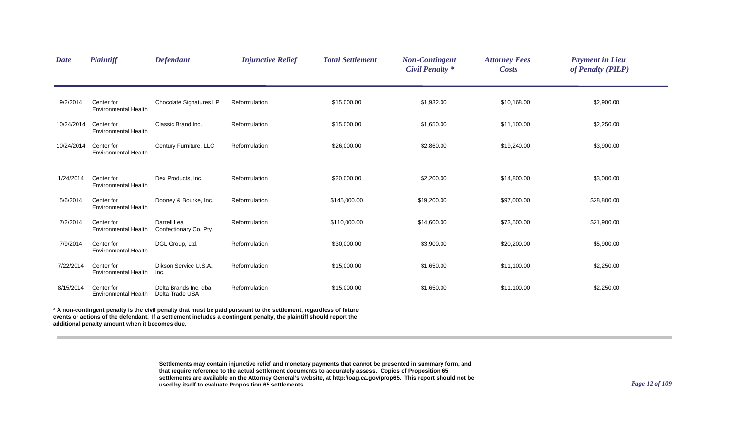| <b>Date</b> | <b>Plaintiff</b>                          | <b>Defendant</b>                         | <b>Injunctive Relief</b>                                                                                           | <b>Total Settlement</b> | <b>Non-Contingent</b><br><b>Civil Penalty</b> * | <b>Attorney Fees</b><br><b>Costs</b> | <b>Payment in Lieu</b><br>of Penalty (PILP) |  |
|-------------|-------------------------------------------|------------------------------------------|--------------------------------------------------------------------------------------------------------------------|-------------------------|-------------------------------------------------|--------------------------------------|---------------------------------------------|--|
| 9/2/2014    | Center for<br><b>Environmental Health</b> | Chocolate Signatures LP                  | Reformulation                                                                                                      | \$15,000.00             | \$1,932.00                                      | \$10,168.00                          | \$2,900.00                                  |  |
| 10/24/2014  | Center for<br><b>Environmental Health</b> | Classic Brand Inc.                       | Reformulation                                                                                                      | \$15,000.00             | \$1,650.00                                      | \$11,100.00                          | \$2,250.00                                  |  |
| 10/24/2014  | Center for<br><b>Environmental Health</b> | Century Furniture, LLC                   | Reformulation                                                                                                      | \$26,000.00             | \$2,860.00                                      | \$19,240.00                          | \$3,900.00                                  |  |
| 1/24/2014   | Center for<br><b>Environmental Health</b> | Dex Products, Inc.                       | Reformulation                                                                                                      | \$20,000.00             | \$2,200.00                                      | \$14,800.00                          | \$3,000.00                                  |  |
| 5/6/2014    | Center for<br><b>Environmental Health</b> | Dooney & Bourke, Inc.                    | Reformulation                                                                                                      | \$145,000.00            | \$19,200.00                                     | \$97,000.00                          | \$28,800.00                                 |  |
| 7/2/2014    | Center for<br><b>Environmental Health</b> | Darrell Lea<br>Confectionary Co. Pty.    | Reformulation                                                                                                      | \$110,000.00            | \$14,600.00                                     | \$73,500.00                          | \$21,900.00                                 |  |
| 7/9/2014    | Center for<br><b>Environmental Health</b> | DGL Group, Ltd.                          | Reformulation                                                                                                      | \$30,000.00             | \$3,900.00                                      | \$20,200.00                          | \$5,900.00                                  |  |
| 7/22/2014   | Center for<br>Environmental Health        | Dikson Service U.S.A.,<br>Inc.           | Reformulation                                                                                                      | \$15,000.00             | \$1,650.00                                      | \$11,100.00                          | \$2,250.00                                  |  |
| 8/15/2014   | Center for<br><b>Environmental Health</b> | Delta Brands Inc. dba<br>Delta Trade USA | Reformulation                                                                                                      | \$15,000.00             | \$1,650.00                                      | \$11,100.00                          | \$2,250.00                                  |  |
|             |                                           |                                          | A non-contingent penalty is the civil penalty that must be paid pursuant to the settlement, regardless of future * |                         |                                                 |                                      |                                             |  |

**events or actions of the defendant. If a settlement includes a contingent penalty, the plaintiff should report the additional penalty amount when it becomes due.**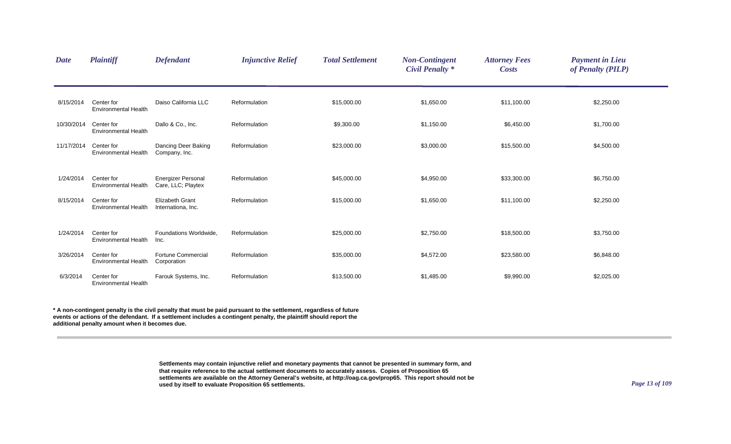| <b>Date</b> | <b>Plaintiff</b>                          | <b>Defendant</b>                                | <b>Injunctive Relief</b> | <b>Total Settlement</b> | <b>Non-Contingent</b><br><b>Civil Penalty *</b> | <b>Attorney Fees</b><br><b>Costs</b> | <b>Payment in Lieu</b><br>of Penalty (PILP) |  |
|-------------|-------------------------------------------|-------------------------------------------------|--------------------------|-------------------------|-------------------------------------------------|--------------------------------------|---------------------------------------------|--|
| 8/15/2014   | Center for<br><b>Environmental Health</b> | Daiso California LLC                            | Reformulation            | \$15,000.00             | \$1,650.00                                      | \$11,100.00                          | \$2,250.00                                  |  |
| 10/30/2014  | Center for<br><b>Environmental Health</b> | Dallo & Co., Inc.                               | Reformulation            | \$9,300.00              | \$1,150.00                                      | \$6,450.00                           | \$1,700.00                                  |  |
| 11/17/2014  | Center for<br><b>Environmental Health</b> | Dancing Deer Baking<br>Company, Inc.            | Reformulation            | \$23,000.00             | \$3,000.00                                      | \$15,500.00                          | \$4,500.00                                  |  |
| 1/24/2014   | Center for<br><b>Environmental Health</b> | <b>Energizer Personal</b><br>Care, LLC; Playtex | Reformulation            | \$45,000.00             | \$4,950.00                                      | \$33,300.00                          | \$6,750.00                                  |  |
| 8/15/2014   | Center for<br><b>Environmental Health</b> | <b>Elizabeth Grant</b><br>Internationa, Inc.    | Reformulation            | \$15,000.00             | \$1,650.00                                      | \$11,100.00                          | \$2,250.00                                  |  |
| 1/24/2014   | Center for<br><b>Environmental Health</b> | Foundations Worldwide,<br>Inc.                  | Reformulation            | \$25,000.00             | \$2,750.00                                      | \$18,500.00                          | \$3,750.00                                  |  |
| 3/26/2014   | Center for<br><b>Environmental Health</b> | <b>Fortune Commercial</b><br>Corporation        | Reformulation            | \$35,000.00             | \$4,572.00                                      | \$23,580.00                          | \$6,848.00                                  |  |
| 6/3/2014    | Center for<br><b>Environmental Health</b> | Farouk Systems, Inc.                            | Reformulation            | \$13,500.00             | \$1,485.00                                      | \$9,990.00                           | \$2,025.00                                  |  |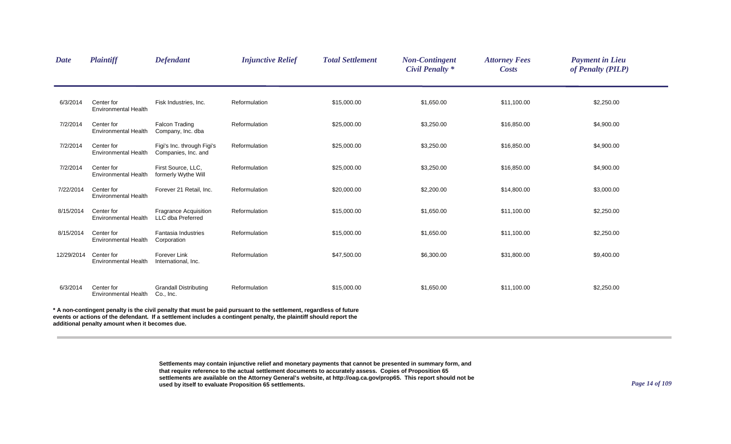| <b>Date</b> | <b>Plaintiff</b>                          | <b>Defendant</b>                                  | <b>Injunctive Relief</b>                                                                                                                                                                                                                 | <b>Total Settlement</b> | <b>Non-Contingent</b><br><b>Civil Penalty *</b> | <b>Attorney Fees</b><br><b>Costs</b> | <b>Payment in Lieu</b><br>of Penalty (PILP) |  |
|-------------|-------------------------------------------|---------------------------------------------------|------------------------------------------------------------------------------------------------------------------------------------------------------------------------------------------------------------------------------------------|-------------------------|-------------------------------------------------|--------------------------------------|---------------------------------------------|--|
| 6/3/2014    | Center for<br><b>Environmental Health</b> | Fisk Industries, Inc.                             | Reformulation                                                                                                                                                                                                                            | \$15,000.00             | \$1,650.00                                      | \$11,100.00                          | \$2,250.00                                  |  |
| 7/2/2014    | Center for<br><b>Environmental Health</b> | <b>Falcon Trading</b><br>Company, Inc. dba        | Reformulation                                                                                                                                                                                                                            | \$25,000.00             | \$3,250.00                                      | \$16,850.00                          | \$4,900.00                                  |  |
| 7/2/2014    | Center for<br><b>Environmental Health</b> | Figi's Inc. through Figi's<br>Companies, Inc. and | Reformulation                                                                                                                                                                                                                            | \$25,000.00             | \$3,250.00                                      | \$16,850.00                          | \$4,900.00                                  |  |
| 7/2/2014    | Center for<br><b>Environmental Health</b> | First Source, LLC,<br>formerly Wythe Will         | Reformulation                                                                                                                                                                                                                            | \$25,000.00             | \$3,250.00                                      | \$16,850.00                          | \$4,900.00                                  |  |
| 7/22/2014   | Center for<br><b>Environmental Health</b> | Forever 21 Retail, Inc.                           | Reformulation                                                                                                                                                                                                                            | \$20,000.00             | \$2,200.00                                      | \$14,800.00                          | \$3,000.00                                  |  |
| 8/15/2014   | Center for<br>Environmental Health        | <b>Fragrance Acquisition</b><br>LLC dba Preferred | Reformulation                                                                                                                                                                                                                            | \$15,000.00             | \$1,650.00                                      | \$11,100.00                          | \$2,250.00                                  |  |
| 8/15/2014   | Center for<br><b>Environmental Health</b> | <b>Fantasia Industries</b><br>Corporation         | Reformulation                                                                                                                                                                                                                            | \$15,000.00             | \$1,650.00                                      | \$11,100.00                          | \$2,250.00                                  |  |
| 12/29/2014  | Center for<br><b>Environmental Health</b> | <b>Forever Link</b><br>International, Inc.        | Reformulation                                                                                                                                                                                                                            | \$47,500.00             | \$6,300.00                                      | \$31,800.00                          | \$9,400.00                                  |  |
| 6/3/2014    | Center for<br><b>Environmental Health</b> | <b>Grandall Distributing</b><br>Co., Inc.         | Reformulation                                                                                                                                                                                                                            | \$15,000.00             | \$1,650.00                                      | \$11,100.00                          | \$2,250.00                                  |  |
|             |                                           |                                                   | * A non-contingent penalty is the civil penalty that must be paid pursuant to the settlement, regardless of future<br>events or actions of the defendant. If a settlement includes a contingent penalty, the plaintiff should report the |                         |                                                 |                                      |                                             |  |

**additional penalty amount when it becomes due.**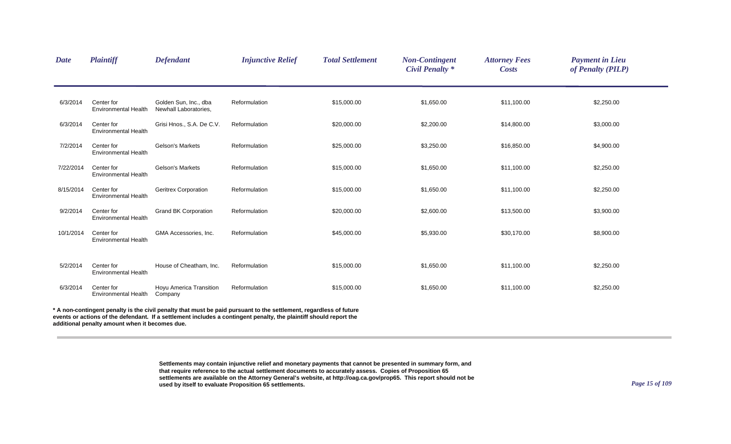| <b>Date</b> | Plaintiff                                      | <b>Defendant</b>                               | <b>Injunctive Relief</b>                                                                                                                                                                                                                 | <b>Total Settlement</b> | <b>Non-Contingent</b><br><b>Civil Penalty *</b> | <b>Attorney Fees</b><br><b>Costs</b> | <b>Payment in Lieu</b><br>of Penalty (PILP) |
|-------------|------------------------------------------------|------------------------------------------------|------------------------------------------------------------------------------------------------------------------------------------------------------------------------------------------------------------------------------------------|-------------------------|-------------------------------------------------|--------------------------------------|---------------------------------------------|
| 6/3/2014    | Center for<br><b>Environmental Health</b>      | Golden Sun, Inc., dba<br>Newhall Laboratories, | Reformulation                                                                                                                                                                                                                            | \$15,000.00             | \$1,650.00                                      | \$11,100.00                          | \$2,250.00                                  |
| 6/3/2014    | Center for<br><b>Environmental Health</b>      | Grisi Hnos., S.A. De C.V.                      | Reformulation                                                                                                                                                                                                                            | \$20,000.00             | \$2,200.00                                      | \$14,800.00                          | \$3,000.00                                  |
| 7/2/2014    | Center for<br><b>Environmental Health</b>      | <b>Gelson's Markets</b>                        | Reformulation                                                                                                                                                                                                                            | \$25,000.00             | \$3,250.00                                      | \$16,850.00                          | \$4,900.00                                  |
| 7/22/2014   | Center for<br><b>Environmental Health</b>      | <b>Gelson's Markets</b>                        | Reformulation                                                                                                                                                                                                                            | \$15,000.00             | \$1,650.00                                      | \$11,100.00                          | \$2,250.00                                  |
| 8/15/2014   | Center for<br>Environmental Health             | <b>Geritrex Corporation</b>                    | Reformulation                                                                                                                                                                                                                            | \$15,000.00             | \$1,650.00                                      | \$11,100.00                          | \$2,250.00                                  |
| 9/2/2014    | Center for<br><b>Environmental Health</b>      | <b>Grand BK Corporation</b>                    | Reformulation                                                                                                                                                                                                                            | \$20,000.00             | \$2,600.00                                      | \$13,500.00                          | \$3,900.00                                  |
| 10/1/2014   | Center for<br><b>Environmental Health</b>      | GMA Accessories, Inc.                          | Reformulation                                                                                                                                                                                                                            | \$45,000.00             | \$5,930.00                                      | \$30,170.00                          | \$8,900.00                                  |
| 5/2/2014    | Center for<br><b>Environmental Health</b>      | House of Cheatham, Inc.                        | Reformulation                                                                                                                                                                                                                            | \$15,000.00             | \$1,650.00                                      | \$11,100.00                          | \$2,250.00                                  |
| 6/3/2014    | Center for<br><b>Environmental Health</b>      | Hoyu America Transition<br>Company             | Reformulation                                                                                                                                                                                                                            | \$15,000.00             | \$1,650.00                                      | \$11,100.00                          | \$2,250.00                                  |
|             | additional penalty amount when it becomes due. |                                                | * A non-contingent penalty is the civil penalty that must be paid pursuant to the settlement, regardless of future<br>events or actions of the defendant. If a settlement includes a contingent penalty, the plaintiff should report the |                         |                                                 |                                      |                                             |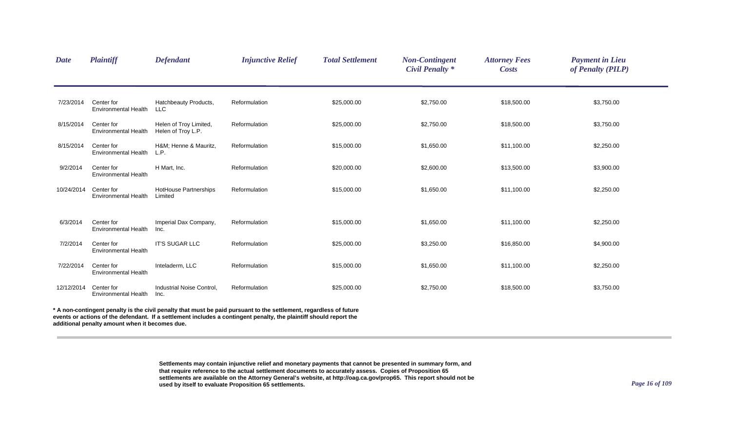| <b>Date</b> | <b>Plaintiff</b>                          | <b>Defendant</b>                             | <b>Injunctive Relief</b>                                                                                         | <b>Total Settlement</b> | <b>Non-Contingent</b><br><b>Civil Penalty *</b> | <b>Attorney Fees</b><br><b>Costs</b> | <b>Payment in Lieu</b><br>of Penalty (PILP) |  |
|-------------|-------------------------------------------|----------------------------------------------|------------------------------------------------------------------------------------------------------------------|-------------------------|-------------------------------------------------|--------------------------------------|---------------------------------------------|--|
| 7/23/2014   | Center for<br>Environmental Health        | Hatchbeauty Products,<br><b>LLC</b>          | Reformulation                                                                                                    | \$25,000.00             | \$2,750.00                                      | \$18,500.00                          | \$3,750.00                                  |  |
| 8/15/2014   | Center for<br><b>Environmental Health</b> | Helen of Troy Limited,<br>Helen of Troy L.P. | Reformulation                                                                                                    | \$25,000.00             | \$2,750.00                                      | \$18,500.00                          | \$3,750.00                                  |  |
| 8/15/2014   | Center for<br><b>Environmental Health</b> | H&M Henne & Mauritz,<br>L.P.                 | Reformulation                                                                                                    | \$15,000.00             | \$1,650.00                                      | \$11,100.00                          | \$2,250.00                                  |  |
| 9/2/2014    | Center for<br><b>Environmental Health</b> | H Mart, Inc.                                 | Reformulation                                                                                                    | \$20,000.00             | \$2,600.00                                      | \$13,500.00                          | \$3,900.00                                  |  |
| 10/24/2014  | Center for<br><b>Environmental Health</b> | HotHouse Partnerships<br>Limited             | Reformulation                                                                                                    | \$15,000.00             | \$1,650.00                                      | \$11,100.00                          | \$2,250.00                                  |  |
| 6/3/2014    | Center for<br><b>Environmental Health</b> | Imperial Dax Company,<br>Inc.                | Reformulation                                                                                                    | \$15,000.00             | \$1,650.00                                      | \$11,100.00                          | \$2,250.00                                  |  |
| 7/2/2014    | Center for<br><b>Environmental Health</b> | IT'S SUGAR LLC                               | Reformulation                                                                                                    | \$25,000.00             | \$3,250.00                                      | \$16,850.00                          | \$4,900.00                                  |  |
| 7/22/2014   | Center for<br><b>Environmental Health</b> | Inteladerm, LLC                              | Reformulation                                                                                                    | \$15,000.00             | \$1,650.00                                      | \$11,100.00                          | \$2,250.00                                  |  |
| 12/12/2014  | Center for<br>Environmental Health        | Industrial Noise Control,<br>Inc.            | Reformulation                                                                                                    | \$25,000.00             | \$2,750.00                                      | \$18,500.00                          | \$3,750.00                                  |  |
|             |                                           |                                              | A non-contingent penalty is the civil penalty that must be paid pursuant to the settlement, regardless of future |                         |                                                 |                                      |                                             |  |

**events or actions of the defendant. If a settlement includes a contingent penalty, the plaintiff should report the** 

**additional penalty amount when it becomes due.**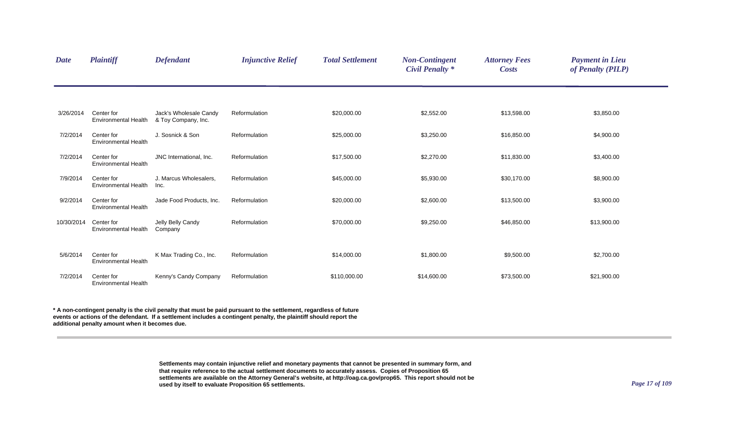| <b>Date</b> | <b>Plaintiff</b>                          | <b>Defendant</b>                              | <b>Injunctive Relief</b> | <b>Total Settlement</b> | <b>Non-Contingent</b><br><b>Civil Penalty *</b> | <b>Attorney Fees</b><br><b>Costs</b> | <b>Payment in Lieu</b><br>of Penalty (PILP) |  |
|-------------|-------------------------------------------|-----------------------------------------------|--------------------------|-------------------------|-------------------------------------------------|--------------------------------------|---------------------------------------------|--|
|             |                                           |                                               |                          |                         |                                                 |                                      |                                             |  |
| 3/26/2014   | Center for<br>Environmental Health        | Jack's Wholesale Candy<br>& Toy Company, Inc. | Reformulation            | \$20,000.00             | \$2,552.00                                      | \$13,598.00                          | \$3,850.00                                  |  |
| 7/2/2014    | Center for<br><b>Environmental Health</b> | J. Sosnick & Son                              | Reformulation            | \$25,000.00             | \$3,250.00                                      | \$16,850.00                          | \$4,900.00                                  |  |
| 7/2/2014    | Center for<br><b>Environmental Health</b> | JNC International, Inc.                       | Reformulation            | \$17,500.00             | \$2,270.00                                      | \$11,830.00                          | \$3,400.00                                  |  |
| 7/9/2014    | Center for<br><b>Environmental Health</b> | J. Marcus Wholesalers,<br>Inc.                | Reformulation            | \$45,000.00             | \$5,930.00                                      | \$30,170.00                          | \$8,900.00                                  |  |
| 9/2/2014    | Center for<br><b>Environmental Health</b> | Jade Food Products, Inc.                      | Reformulation            | \$20,000.00             | \$2,600.00                                      | \$13,500.00                          | \$3,900.00                                  |  |
| 10/30/2014  | Center for<br><b>Environmental Health</b> | Jelly Belly Candy<br>Company                  | Reformulation            | \$70,000.00             | \$9,250.00                                      | \$46,850.00                          | \$13,900.00                                 |  |
| 5/6/2014    | Center for<br><b>Environmental Health</b> | K Max Trading Co., Inc.                       | Reformulation            | \$14,000.00             | \$1,800.00                                      | \$9,500.00                           | \$2,700.00                                  |  |
| 7/2/2014    | Center for<br><b>Environmental Health</b> | Kenny's Candy Company                         | Reformulation            | \$110,000.00            | \$14,600.00                                     | \$73,500.00                          | \$21,900.00                                 |  |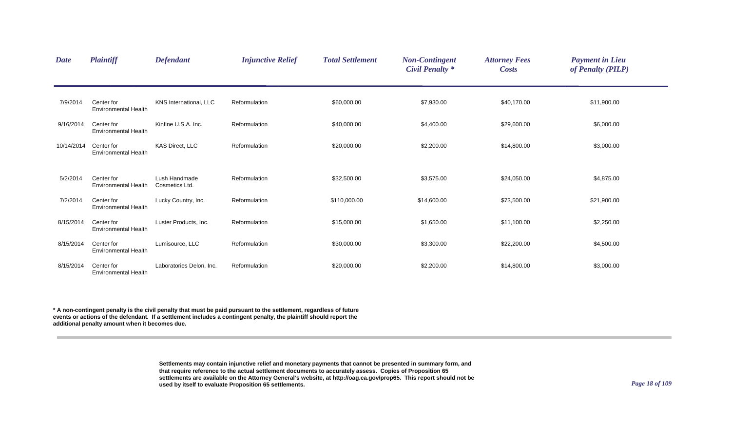| <b>Date</b> | <b>Plaintiff</b>                          | <b>Defendant</b>                | <b>Injunctive Relief</b> | <b>Total Settlement</b> | <b>Non-Contingent</b><br><b>Civil Penalty *</b> | <b>Attorney Fees</b><br><b>Costs</b> | <b>Payment in Lieu</b><br>of Penalty (PILP) |  |
|-------------|-------------------------------------------|---------------------------------|--------------------------|-------------------------|-------------------------------------------------|--------------------------------------|---------------------------------------------|--|
| 7/9/2014    | Center for<br><b>Environmental Health</b> | KNS International, LLC          | Reformulation            | \$60,000.00             | \$7,930.00                                      | \$40,170.00                          | \$11,900.00                                 |  |
| 9/16/2014   | Center for<br><b>Environmental Health</b> | Kinfine U.S.A. Inc.             | Reformulation            | \$40,000.00             | \$4,400.00                                      | \$29,600.00                          | \$6,000.00                                  |  |
| 10/14/2014  | Center for<br><b>Environmental Health</b> | KAS Direct, LLC                 | Reformulation            | \$20,000.00             | \$2,200.00                                      | \$14,800.00                          | \$3,000.00                                  |  |
| 5/2/2014    | Center for<br><b>Environmental Health</b> | Lush Handmade<br>Cosmetics Ltd. | Reformulation            | \$32,500.00             | \$3,575.00                                      | \$24,050.00                          | \$4,875.00                                  |  |
| 7/2/2014    | Center for<br><b>Environmental Health</b> | Lucky Country, Inc.             | Reformulation            | \$110,000.00            | \$14,600.00                                     | \$73,500.00                          | \$21,900.00                                 |  |
| 8/15/2014   | Center for<br>Environmental Health        | Luster Products, Inc.           | Reformulation            | \$15,000.00             | \$1,650.00                                      | \$11,100.00                          | \$2,250.00                                  |  |
| 8/15/2014   | Center for<br><b>Environmental Health</b> | Lumisource, LLC                 | Reformulation            | \$30,000.00             | \$3,300.00                                      | \$22,200.00                          | \$4,500.00                                  |  |
| 8/15/2014   | Center for<br><b>Environmental Health</b> | Laboratories Delon, Inc.        | Reformulation            | \$20,000.00             | \$2,200.00                                      | \$14,800.00                          | \$3,000.00                                  |  |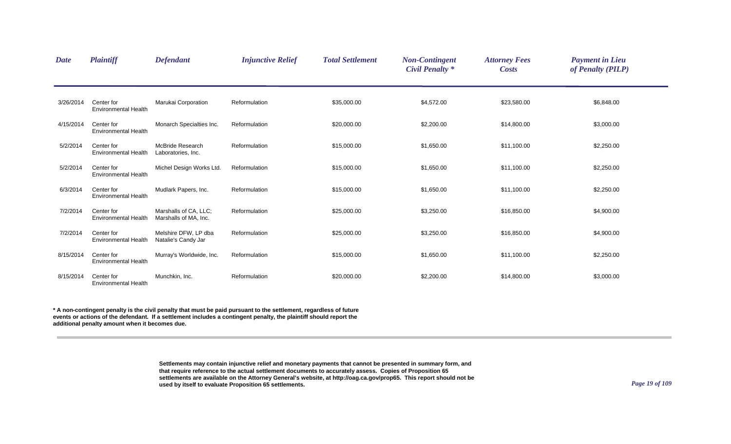| <b>Date</b> | <b>Plaintiff</b>                          | <b>Defendant</b>                               | <b>Injunctive Relief</b> | <b>Total Settlement</b> | <b>Non-Contingent</b><br><b>Civil Penalty *</b> | <b>Attorney Fees</b><br><b>Costs</b> | <b>Payment in Lieu</b><br>of Penalty (PILP) |  |
|-------------|-------------------------------------------|------------------------------------------------|--------------------------|-------------------------|-------------------------------------------------|--------------------------------------|---------------------------------------------|--|
| 3/26/2014   | Center for<br><b>Environmental Health</b> | Marukai Corporation                            | Reformulation            | \$35,000.00             | \$4,572.00                                      | \$23,580.00                          | \$6,848.00                                  |  |
| 4/15/2014   | Center for<br><b>Environmental Health</b> | Monarch Specialties Inc.                       | Reformulation            | \$20,000.00             | \$2,200.00                                      | \$14,800.00                          | \$3,000.00                                  |  |
| 5/2/2014    | Center for<br><b>Environmental Health</b> | <b>McBride Research</b><br>Laboratories, Inc.  | Reformulation            | \$15,000.00             | \$1,650.00                                      | \$11,100.00                          | \$2,250.00                                  |  |
| 5/2/2014    | Center for<br><b>Environmental Health</b> | Michel Design Works Ltd.                       | Reformulation            | \$15,000.00             | \$1,650.00                                      | \$11,100.00                          | \$2,250.00                                  |  |
| 6/3/2014    | Center for<br><b>Environmental Health</b> | Mudlark Papers, Inc.                           | Reformulation            | \$15,000.00             | \$1,650.00                                      | \$11,100.00                          | \$2,250.00                                  |  |
| 7/2/2014    | Center for<br><b>Environmental Health</b> | Marshalls of CA. LLC:<br>Marshalls of MA, Inc. | Reformulation            | \$25,000.00             | \$3,250.00                                      | \$16,850.00                          | \$4,900.00                                  |  |
| 7/2/2014    | Center for<br><b>Environmental Health</b> | Melshire DFW, LP dba<br>Natalie's Candy Jar    | Reformulation            | \$25,000.00             | \$3,250.00                                      | \$16,850.00                          | \$4,900.00                                  |  |
| 8/15/2014   | Center for<br><b>Environmental Health</b> | Murray's Worldwide, Inc.                       | Reformulation            | \$15,000.00             | \$1,650.00                                      | \$11,100.00                          | \$2,250.00                                  |  |
| 8/15/2014   | Center for<br><b>Environmental Health</b> | Munchkin, Inc.                                 | Reformulation            | \$20,000.00             | \$2,200.00                                      | \$14,800.00                          | \$3,000.00                                  |  |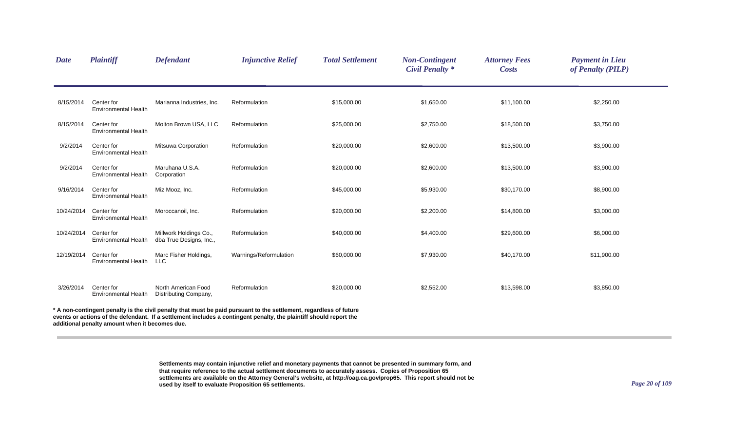| <b>Date</b> | <b>Plaintiff</b>                               | <b>Defendant</b>                                  | <b>Injunctive Relief</b>                                                                                                                                                                                                                 | <b>Total Settlement</b> | <b>Non-Contingent</b><br><b>Civil Penalty *</b> | <b>Attorney Fees</b><br><b>Costs</b> | <b>Payment in Lieu</b><br>of Penalty (PILP) |
|-------------|------------------------------------------------|---------------------------------------------------|------------------------------------------------------------------------------------------------------------------------------------------------------------------------------------------------------------------------------------------|-------------------------|-------------------------------------------------|--------------------------------------|---------------------------------------------|
| 8/15/2014   | Center for<br><b>Environmental Health</b>      | Marianna Industries, Inc.                         | Reformulation                                                                                                                                                                                                                            | \$15,000.00             | \$1,650.00                                      | \$11,100.00                          | \$2,250.00                                  |
| 8/15/2014   | Center for<br><b>Environmental Health</b>      | Molton Brown USA, LLC                             | Reformulation                                                                                                                                                                                                                            | \$25,000.00             | \$2,750.00                                      | \$18,500.00                          | \$3,750.00                                  |
| 9/2/2014    | Center for<br><b>Environmental Health</b>      | Mitsuwa Corporation                               | Reformulation                                                                                                                                                                                                                            | \$20,000.00             | \$2,600.00                                      | \$13,500.00                          | \$3,900.00                                  |
| 9/2/2014    | Center for<br><b>Environmental Health</b>      | Maruhana U.S.A.<br>Corporation                    | Reformulation                                                                                                                                                                                                                            | \$20,000.00             | \$2,600.00                                      | \$13,500.00                          | \$3,900.00                                  |
| 9/16/2014   | Center for<br><b>Environmental Health</b>      | Miz Mooz, Inc.                                    | Reformulation                                                                                                                                                                                                                            | \$45,000.00             | \$5,930.00                                      | \$30,170.00                          | \$8,900.00                                  |
| 10/24/2014  | Center for<br><b>Environmental Health</b>      | Moroccanoil, Inc.                                 | Reformulation                                                                                                                                                                                                                            | \$20,000.00             | \$2,200.00                                      | \$14,800.00                          | \$3,000.00                                  |
| 10/24/2014  | Center for<br><b>Environmental Health</b>      | Millwork Holdings Co.,<br>dba True Designs, Inc., | Reformulation                                                                                                                                                                                                                            | \$40,000.00             | \$4,400.00                                      | \$29,600.00                          | \$6,000.00                                  |
| 12/19/2014  | Center for<br><b>Environmental Health</b>      | Marc Fisher Holdings,<br><b>LLC</b>               | Warnings/Reformulation                                                                                                                                                                                                                   | \$60,000.00             | \$7,930.00                                      | \$40,170.00                          | \$11,900.00                                 |
| 3/26/2014   | Center for<br><b>Environmental Health</b>      | North American Food<br>Distributing Company,      | Reformulation                                                                                                                                                                                                                            | \$20,000.00             | \$2,552.00                                      | \$13,598.00                          | \$3,850.00                                  |
|             | additional penalty amount when it becomes due. |                                                   | * A non-contingent penalty is the civil penalty that must be paid pursuant to the settlement, regardless of future<br>events or actions of the defendant. If a settlement includes a contingent penalty, the plaintiff should report the |                         |                                                 |                                      |                                             |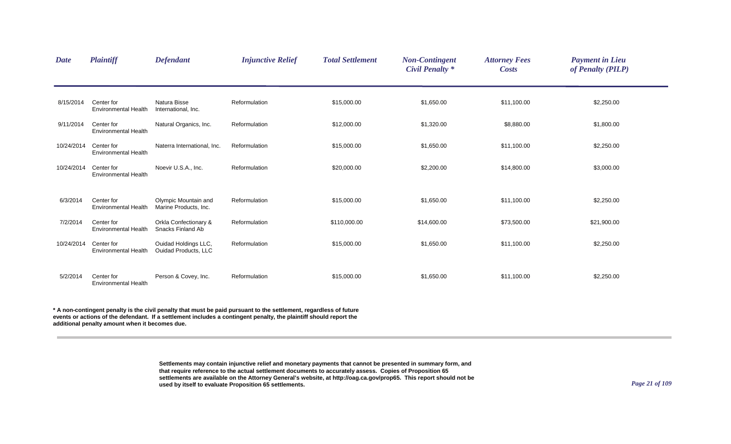| <b>Date</b> | <b>Plaintiff</b>                          | <b>Defendant</b>                                    | <b>Injunctive Relief</b> | <b>Total Settlement</b> | <b>Non-Contingent</b><br><b>Civil Penalty *</b> | <b>Attorney Fees</b><br><b>Costs</b> | <b>Payment in Lieu</b><br>of Penalty (PILP) |  |
|-------------|-------------------------------------------|-----------------------------------------------------|--------------------------|-------------------------|-------------------------------------------------|--------------------------------------|---------------------------------------------|--|
| 8/15/2014   | Center for<br><b>Environmental Health</b> | Natura Bisse<br>International, Inc.                 | Reformulation            | \$15,000.00             | \$1,650.00                                      | \$11,100.00                          | \$2,250.00                                  |  |
| 9/11/2014   | Center for<br><b>Environmental Health</b> | Natural Organics, Inc.                              | Reformulation            | \$12,000.00             | \$1,320.00                                      | \$8,880.00                           | \$1,800.00                                  |  |
| 10/24/2014  | Center for<br><b>Environmental Health</b> | Naterra International, Inc.                         | Reformulation            | \$15,000.00             | \$1,650.00                                      | \$11,100.00                          | \$2,250.00                                  |  |
| 10/24/2014  | Center for<br><b>Environmental Health</b> | Noevir U.S.A., Inc.                                 | Reformulation            | \$20,000.00             | \$2,200.00                                      | \$14,800.00                          | \$3,000.00                                  |  |
| 6/3/2014    | Center for<br><b>Environmental Health</b> | Olympic Mountain and<br>Marine Products, Inc.       | Reformulation            | \$15,000.00             | \$1,650.00                                      | \$11,100.00                          | \$2,250.00                                  |  |
| 7/2/2014    | Center for<br><b>Environmental Health</b> | Orkla Confectionary &<br>Snacks Finland Ab          | Reformulation            | \$110,000.00            | \$14,600.00                                     | \$73,500.00                          | \$21,900.00                                 |  |
| 10/24/2014  | Center for<br><b>Environmental Health</b> | Ouidad Holdings LLC,<br><b>Ouidad Products, LLC</b> | Reformulation            | \$15,000.00             | \$1,650.00                                      | \$11,100.00                          | \$2,250.00                                  |  |
| 5/2/2014    | Center for<br><b>Environmental Health</b> | Person & Covey, Inc.                                | Reformulation            | \$15,000.00             | \$1,650.00                                      | \$11,100.00                          | \$2,250.00                                  |  |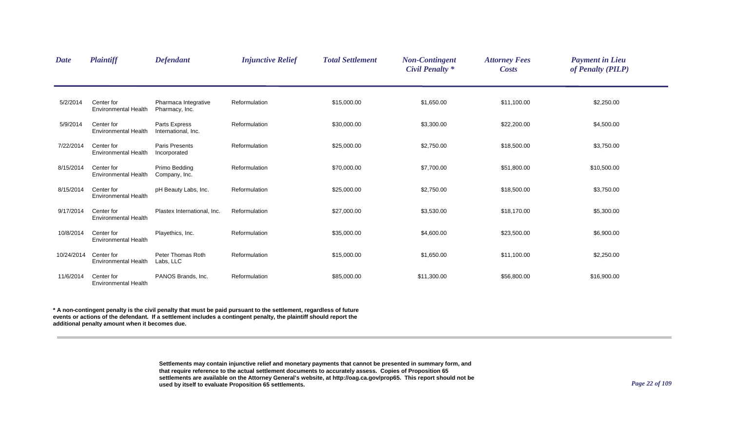| <b>Date</b> | <b>Plaintiff</b>                          | <b>Defendant</b>                       | <b>Injunctive Relief</b> | <b>Total Settlement</b> | <b>Non-Contingent</b><br><b>Civil Penalty *</b> | <b>Attorney Fees</b><br><b>Costs</b> | <b>Payment in Lieu</b><br>of Penalty (PILP) |  |
|-------------|-------------------------------------------|----------------------------------------|--------------------------|-------------------------|-------------------------------------------------|--------------------------------------|---------------------------------------------|--|
| 5/2/2014    | Center for<br><b>Environmental Health</b> | Pharmaca Integrative<br>Pharmacy, Inc. | Reformulation            | \$15,000.00             | \$1,650.00                                      | \$11,100.00                          | \$2,250.00                                  |  |
| 5/9/2014    | Center for<br><b>Environmental Health</b> | Parts Express<br>International, Inc.   | Reformulation            | \$30,000.00             | \$3,300.00                                      | \$22,200.00                          | \$4,500.00                                  |  |
| 7/22/2014   | Center for<br><b>Environmental Health</b> | <b>Paris Presents</b><br>Incorporated  | Reformulation            | \$25,000.00             | \$2,750.00                                      | \$18,500.00                          | \$3,750.00                                  |  |
| 8/15/2014   | Center for<br><b>Environmental Health</b> | Primo Bedding<br>Company, Inc.         | Reformulation            | \$70,000.00             | \$7,700.00                                      | \$51,800.00                          | \$10,500.00                                 |  |
| 8/15/2014   | Center for<br><b>Environmental Health</b> | pH Beauty Labs, Inc.                   | Reformulation            | \$25,000.00             | \$2,750.00                                      | \$18,500.00                          | \$3,750.00                                  |  |
| 9/17/2014   | Center for<br><b>Environmental Health</b> | Plastex International, Inc.            | Reformulation            | \$27,000.00             | \$3,530.00                                      | \$18,170.00                          | \$5,300.00                                  |  |
| 10/8/2014   | Center for<br><b>Environmental Health</b> | Playethics, Inc.                       | Reformulation            | \$35,000.00             | \$4,600.00                                      | \$23,500.00                          | \$6,900.00                                  |  |
| 10/24/2014  | Center for<br><b>Environmental Health</b> | Peter Thomas Roth<br>Labs, LLC         | Reformulation            | \$15,000.00             | \$1,650.00                                      | \$11,100.00                          | \$2,250.00                                  |  |
| 11/6/2014   | Center for<br><b>Environmental Health</b> | PANOS Brands, Inc.                     | Reformulation            | \$85,000.00             | \$11,300.00                                     | \$56,800.00                          | \$16,900.00                                 |  |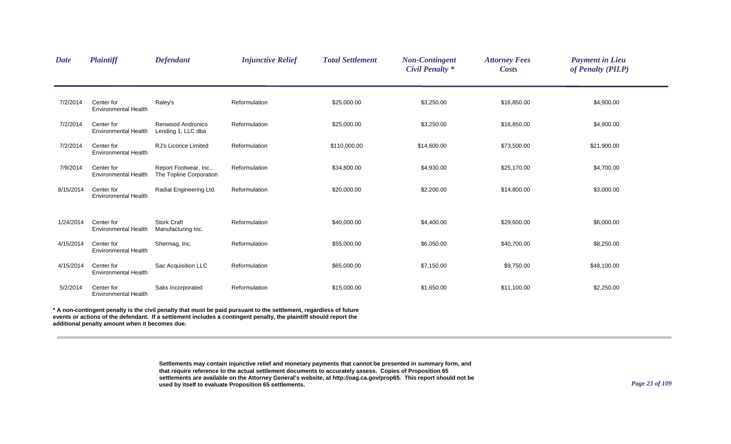| <b>Plaintiff</b>                          | <b>Defendant</b>                                  | <b>Injunctive Relief</b> | <b>Total Settlement</b> | <b>Non-Contingent</b><br><b>Civil Penalty *</b> | <b>Attorney Fees</b><br><b>Costs</b> | <b>Payment in Lieu</b><br>of Penalty (PILP) |                                                                                                                       |
|-------------------------------------------|---------------------------------------------------|--------------------------|-------------------------|-------------------------------------------------|--------------------------------------|---------------------------------------------|-----------------------------------------------------------------------------------------------------------------------|
| Center for<br><b>Environmental Health</b> | Raley's                                           | Reformulation            | \$25,000.00             | \$3,250.00                                      | \$16,850.00                          | \$4,900.00                                  |                                                                                                                       |
| Center for<br><b>Environmental Health</b> | Renwood Andronico<br>Lending 1, LLC dba           | Reformulation            | \$25,000.00             | \$3,250.00                                      | \$16,850.00                          | \$4,900.00                                  |                                                                                                                       |
| Center for<br><b>Environmental Health</b> | RJ's Licorice Limited                             | Reformulation            | \$110,000.00            | \$14,600.00                                     | \$73,500.00                          | \$21,900.00                                 |                                                                                                                       |
| Center for<br><b>Environmental Health</b> | Report Footwear, Inc.,<br>The Topline Corporation | Reformulation            | \$34,800.00             | \$4,930.00                                      | \$25,170.00                          | \$4,700.00                                  |                                                                                                                       |
| Center for<br><b>Environmental Health</b> | Radial Engineering Ltd.                           | Reformulation            | \$20,000.00             | \$2,200.00                                      | \$14,800.00                          | \$3,000.00                                  |                                                                                                                       |
| Center for<br><b>Environmental Health</b> | <b>Stork Craft</b><br>Manufacturing Inc.          | Reformulation            | \$40,000.00             | \$4,400.00                                      | \$29,600.00                          | \$6,000.00                                  |                                                                                                                       |
| Center for<br><b>Environmental Health</b> | Shermag, Inc.                                     | Reformulation            | \$55,000.00             | \$6,050.00                                      | \$40,700.00                          | \$8,250.00                                  |                                                                                                                       |
| Center for<br><b>Environmental Health</b> | Sac Acquisition LLC                               | Reformulation            | \$65,000.00             | \$7,150.00                                      | \$9,750.00                           | \$48,100.00                                 |                                                                                                                       |
| Center for<br><b>Environmental Health</b> | Saks Incorporated                                 | Reformulation            | \$15,000.00             | \$1,650.00                                      | \$11,100.00                          | \$2,250.00                                  |                                                                                                                       |
|                                           |                                                   |                          |                         |                                                 |                                      |                                             | t. A man a culturent manufic to the abili manufic that more ha notificamented to the authorization and model at fotom |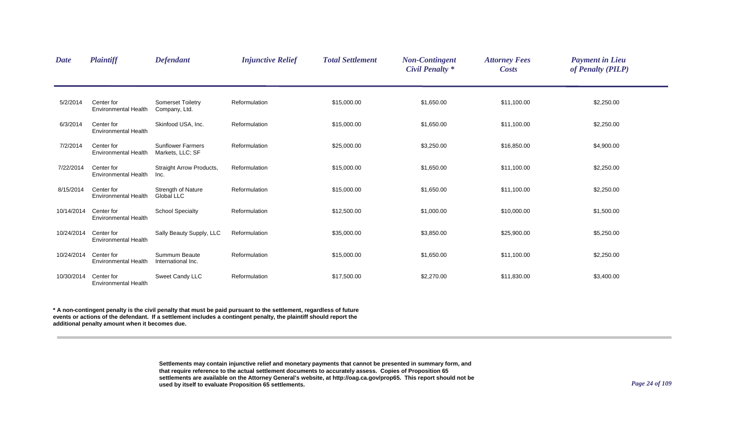| <b>Date</b> | <b>Plaintiff</b>                          | <b>Defendant</b>                               | <b>Injunctive Relief</b> | <b>Total Settlement</b> | <b>Non-Contingent</b><br><b>Civil Penalty *</b> | <b>Attorney Fees</b><br><b>Costs</b> | <b>Payment in Lieu</b><br>of Penalty (PILP) |
|-------------|-------------------------------------------|------------------------------------------------|--------------------------|-------------------------|-------------------------------------------------|--------------------------------------|---------------------------------------------|
| 5/2/2014    | Center for<br>Environmental Health        | <b>Somerset Toiletry</b><br>Company, Ltd.      | Reformulation            | \$15,000.00             | \$1,650.00                                      | \$11,100.00                          | \$2,250.00                                  |
| 6/3/2014    | Center for<br><b>Environmental Health</b> | Skinfood USA, Inc.                             | Reformulation            | \$15,000.00             | \$1,650.00                                      | \$11,100.00                          | \$2,250.00                                  |
| 7/2/2014    | Center for<br>Environmental Health        | <b>Sunflower Farmers</b><br>Markets, LLC; SF   | Reformulation            | \$25,000.00             | \$3,250.00                                      | \$16,850.00                          | \$4,900.00                                  |
| 7/22/2014   | Center for<br><b>Environmental Health</b> | Straight Arrow Products,<br>Inc.               | Reformulation            | \$15,000.00             | \$1,650.00                                      | \$11,100.00                          | \$2,250.00                                  |
| 8/15/2014   | Center for<br><b>Environmental Health</b> | <b>Strength of Nature</b><br><b>Global LLC</b> | Reformulation            | \$15,000.00             | \$1,650.00                                      | \$11,100.00                          | \$2,250.00                                  |
| 10/14/2014  | Center for<br><b>Environmental Health</b> | <b>School Specialty</b>                        | Reformulation            | \$12,500.00             | \$1,000.00                                      | \$10,000.00                          | \$1,500.00                                  |
| 10/24/2014  | Center for<br><b>Environmental Health</b> | Sally Beauty Supply, LLC                       | Reformulation            | \$35,000.00             | \$3,850.00                                      | \$25,900.00                          | \$5,250.00                                  |
| 10/24/2014  | Center for<br><b>Environmental Health</b> | Summum Beaute<br>International Inc.            | Reformulation            | \$15,000.00             | \$1,650.00                                      | \$11,100.00                          | \$2,250.00                                  |
| 10/30/2014  | Center for<br><b>Environmental Health</b> | Sweet Candy LLC                                | Reformulation            | \$17,500.00             | \$2,270.00                                      | \$11,830.00                          | \$3,400.00                                  |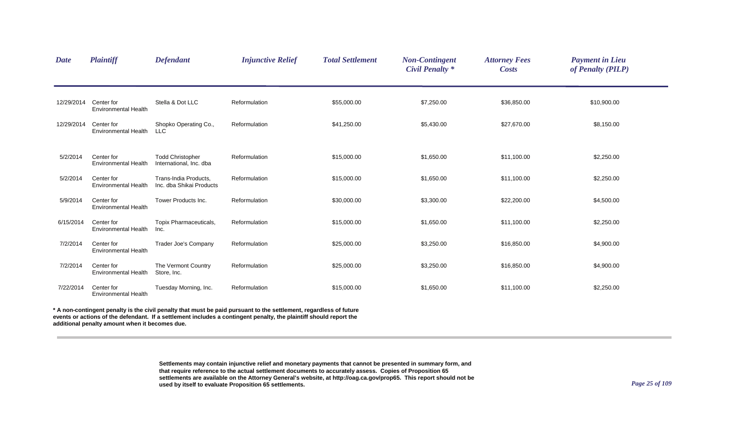| <b>Date</b> | <b>Plaintiff</b>                          | <b>Defendant</b>                                   | <b>Injunctive Relief</b> | <b>Total Settlement</b> | <b>Non-Contingent</b><br><b>Civil Penalty *</b> | <b>Attorney Fees</b><br><b>Costs</b> | <b>Payment in Lieu</b><br>of Penalty (PILP) |  |
|-------------|-------------------------------------------|----------------------------------------------------|--------------------------|-------------------------|-------------------------------------------------|--------------------------------------|---------------------------------------------|--|
| 12/29/2014  | Center for<br><b>Environmental Health</b> | Stella & Dot LLC                                   | Reformulation            | \$55,000.00             | \$7,250.00                                      | \$36,850.00                          | \$10,900.00                                 |  |
| 12/29/2014  | Center for<br><b>Environmental Health</b> | Shopko Operating Co.,<br><b>LLC</b>                | Reformulation            | \$41,250.00             | \$5,430.00                                      | \$27,670.00                          | \$8,150.00                                  |  |
| 5/2/2014    | Center for<br><b>Environmental Health</b> | <b>Todd Christopher</b><br>International, Inc. dba | Reformulation            | \$15,000.00             | \$1,650.00                                      | \$11,100.00                          | \$2,250.00                                  |  |
| 5/2/2014    | Center for<br><b>Environmental Health</b> | Trans-India Products,<br>Inc. dba Shikai Products  | Reformulation            | \$15,000.00             | \$1,650.00                                      | \$11,100.00                          | \$2,250.00                                  |  |
| 5/9/2014    | Center for<br><b>Environmental Health</b> | Tower Products Inc.                                | Reformulation            | \$30,000.00             | \$3,300.00                                      | \$22,200.00                          | \$4,500.00                                  |  |
| 6/15/2014   | Center for<br><b>Environmental Health</b> | Topix Pharmaceuticals,<br>Inc.                     | Reformulation            | \$15,000.00             | \$1,650.00                                      | \$11,100.00                          | \$2,250.00                                  |  |
| 7/2/2014    | Center for<br><b>Environmental Health</b> | Trader Joe's Company                               | Reformulation            | \$25,000.00             | \$3,250.00                                      | \$16,850.00                          | \$4,900.00                                  |  |
| 7/2/2014    | Center for<br><b>Environmental Health</b> | The Vermont Country<br>Store, Inc.                 | Reformulation            | \$25,000.00             | \$3,250.00                                      | \$16,850.00                          | \$4,900.00                                  |  |
| 7/22/2014   | Center for<br><b>Environmental Health</b> | Tuesday Morning, Inc.                              | Reformulation            | \$15,000.00             | \$1,650.00                                      | \$11,100.00                          | \$2,250.00                                  |  |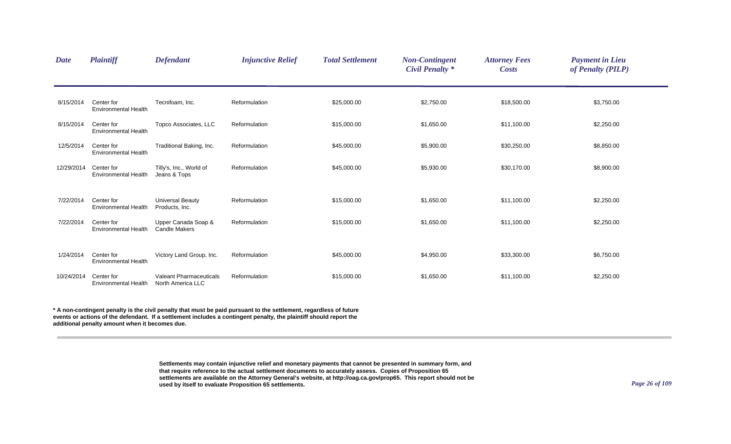| <b>Date</b> | <b>Plaintiff</b>                          | <b>Defendant</b>                                    | <b>Injunctive Relief</b> | <b>Total Settlement</b> | <b>Non-Contingent</b><br><b>Civil Penalty *</b> | <b>Attorney Fees</b><br><b>Costs</b> | <b>Payment in Lieu</b><br>of Penalty (PILP) |  |
|-------------|-------------------------------------------|-----------------------------------------------------|--------------------------|-------------------------|-------------------------------------------------|--------------------------------------|---------------------------------------------|--|
| 8/15/2014   | Center for<br><b>Environmental Health</b> | Tecnifoam, Inc.                                     | Reformulation            | \$25,000.00             | \$2,750.00                                      | \$18,500.00                          | \$3,750.00                                  |  |
| 8/15/2014   | Center for<br><b>Environmental Health</b> | Topco Associates, LLC                               | Reformulation            | \$15,000.00             | \$1,650.00                                      | \$11,100.00                          | \$2,250.00                                  |  |
| 12/5/2014   | Center for<br><b>Environmental Health</b> | Traditional Baking, Inc.                            | Reformulation            | \$45,000.00             | \$5,900.00                                      | \$30,250.00                          | \$8,850.00                                  |  |
| 12/29/2014  | Center for<br><b>Environmental Health</b> | Tilly's, Inc., World of<br>Jeans & Tops             | Reformulation            | \$45,000.00             | \$5,930.00                                      | \$30,170.00                          | \$8,900.00                                  |  |
| 7/22/2014   | Center for<br><b>Environmental Health</b> | <b>Universal Beauty</b><br>Products, Inc.           | Reformulation            | \$15,000.00             | \$1,650.00                                      | \$11,100.00                          | \$2,250.00                                  |  |
| 7/22/2014   | Center for<br><b>Environmental Health</b> | Upper Canada Soap &<br><b>Candle Makers</b>         | Reformulation            | \$15,000.00             | \$1,650.00                                      | \$11,100.00                          | \$2,250.00                                  |  |
| 1/24/2014   | Center for<br><b>Environmental Health</b> | Victory Land Group, Inc.                            | Reformulation            | \$45,000.00             | \$4,950.00                                      | \$33,300.00                          | \$6,750.00                                  |  |
| 10/24/2014  | Center for<br><b>Environmental Health</b> | <b>Valeant Pharmaceuticals</b><br>North America LLC | Reformulation            | \$15,000.00             | \$1,650.00                                      | \$11,100.00                          | \$2,250.00                                  |  |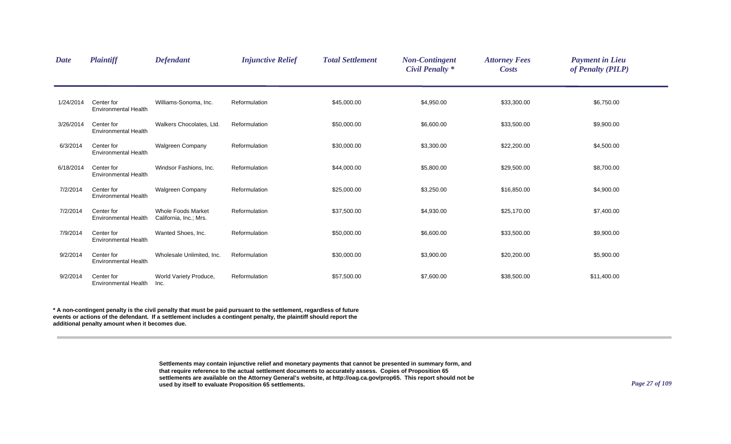| <b>Date</b> | <b>Plaintiff</b>                          | <b>Defendant</b>                                    | <b>Injunctive Relief</b> | <b>Total Settlement</b> | <b>Non-Contingent</b><br><b>Civil Penalty *</b> | <b>Attorney Fees</b><br><b>Costs</b> | <b>Payment in Lieu</b><br>of Penalty (PILP) |  |
|-------------|-------------------------------------------|-----------------------------------------------------|--------------------------|-------------------------|-------------------------------------------------|--------------------------------------|---------------------------------------------|--|
| 1/24/2014   | Center for<br><b>Environmental Health</b> | Williams-Sonoma, Inc.                               | Reformulation            | \$45,000.00             | \$4,950.00                                      | \$33,300.00                          | \$6,750.00                                  |  |
| 3/26/2014   | Center for<br><b>Environmental Health</b> | Walkers Chocolates, Ltd.                            | Reformulation            | \$50,000.00             | \$6,600.00                                      | \$33,500.00                          | \$9,900.00                                  |  |
| 6/3/2014    | Center for<br>Environmental Health        | <b>Walgreen Company</b>                             | Reformulation            | \$30,000.00             | \$3,300.00                                      | \$22,200.00                          | \$4,500.00                                  |  |
| 6/18/2014   | Center for<br><b>Environmental Health</b> | Windsor Fashions, Inc.                              | Reformulation            | \$44,000.00             | \$5,800.00                                      | \$29,500.00                          | \$8,700.00                                  |  |
| 7/2/2014    | Center for<br><b>Environmental Health</b> | <b>Walgreen Company</b>                             | Reformulation            | \$25,000.00             | \$3,250.00                                      | \$16,850.00                          | \$4,900.00                                  |  |
| 7/2/2014    | Center for<br><b>Environmental Health</b> | <b>Whole Foods Market</b><br>California, Inc.; Mrs. | Reformulation            | \$37,500.00             | \$4,930.00                                      | \$25,170.00                          | \$7,400.00                                  |  |
| 7/9/2014    | Center for<br><b>Environmental Health</b> | Wanted Shoes, Inc.                                  | Reformulation            | \$50,000.00             | \$6,600.00                                      | \$33,500.00                          | \$9,900.00                                  |  |
| 9/2/2014    | Center for<br><b>Environmental Health</b> | Wholesale Unlimited, Inc.                           | Reformulation            | \$30,000.00             | \$3,900.00                                      | \$20,200.00                          | \$5,900.00                                  |  |
| 9/2/2014    | Center for<br><b>Environmental Health</b> | World Variety Produce,<br>Inc.                      | Reformulation            | \$57,500.00             | \$7,600.00                                      | \$38,500.00                          | \$11,400.00                                 |  |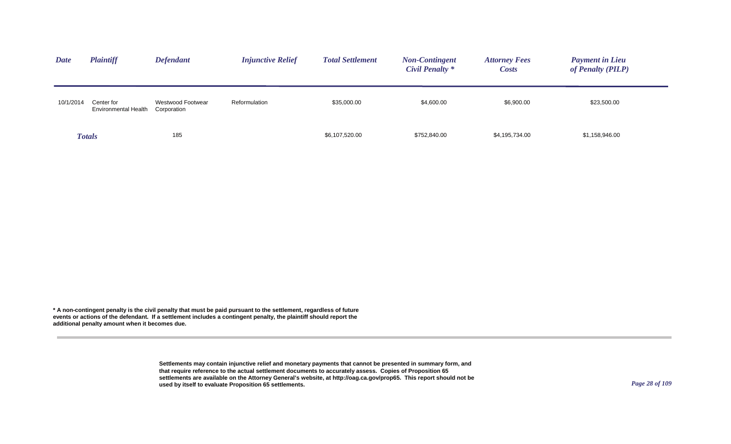| <b>Date</b> | <b>Plaintiff</b>                   | <b>Defendant</b>                 | <b>Injunctive Relief</b> | <b>Total Settlement</b> | <b>Non-Contingent</b><br>Civil Penalty * | <b>Attorney Fees</b><br><b>Costs</b> | <b>Payment in Lieu</b><br>of Penalty (PILP) |
|-------------|------------------------------------|----------------------------------|--------------------------|-------------------------|------------------------------------------|--------------------------------------|---------------------------------------------|
| 10/1/2014   | Center for<br>Environmental Health | Westwood Footwear<br>Corporation | Reformulation            | \$35,000.00             | \$4,600.00                               | \$6,900.00                           | \$23,500.00                                 |
|             | <b>Totals</b>                      | 185                              |                          | \$6,107,520.00          | \$752,840.00                             | \$4,195,734.00                       | \$1,158,946.00                              |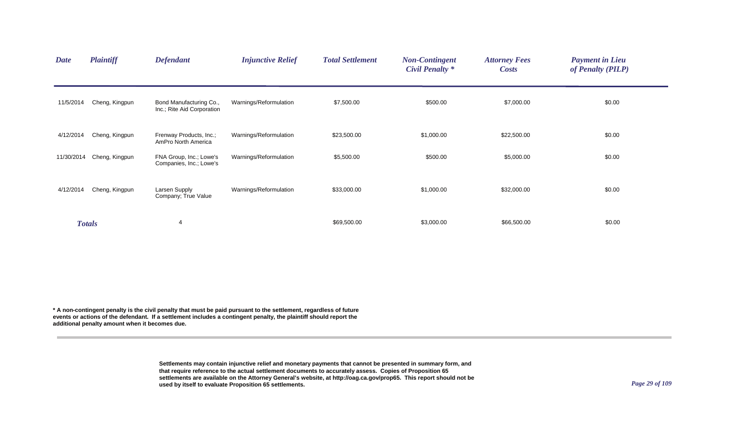| <b>Date</b> | <b>Plaintiff</b> | <b>Defendant</b>                                      | <b>Injunctive Relief</b> | <b>Total Settlement</b> | <b>Non-Contingent</b><br><b>Civil Penalty *</b> | <b>Attorney Fees</b><br><b>Costs</b> | <b>Payment in Lieu</b><br>of Penalty (PILP) |  |
|-------------|------------------|-------------------------------------------------------|--------------------------|-------------------------|-------------------------------------------------|--------------------------------------|---------------------------------------------|--|
| 11/5/2014   | Cheng, Kingpun   | Bond Manufacturing Co.,<br>Inc.; Rite Aid Corporation | Warnings/Reformulation   | \$7,500.00              | \$500.00                                        | \$7,000.00                           | \$0.00                                      |  |
| 4/12/2014   | Cheng, Kingpun   | Frenway Products, Inc.;<br>AmPro North America        | Warnings/Reformulation   | \$23,500.00             | \$1,000.00                                      | \$22,500.00                          | \$0.00                                      |  |
| 11/30/2014  | Cheng, Kingpun   | FNA Group, Inc.; Lowe's<br>Companies, Inc.; Lowe's    | Warnings/Reformulation   | \$5,500.00              | \$500.00                                        | \$5,000.00                           | \$0.00                                      |  |
| 4/12/2014   | Cheng, Kingpun   | Larsen Supply<br>Company; True Value                  | Warnings/Reformulation   | \$33,000.00             | \$1,000.00                                      | \$32,000.00                          | \$0.00                                      |  |
|             | <b>Totals</b>    | $\overline{4}$                                        |                          | \$69,500.00             | \$3,000.00                                      | \$66,500.00                          | \$0.00                                      |  |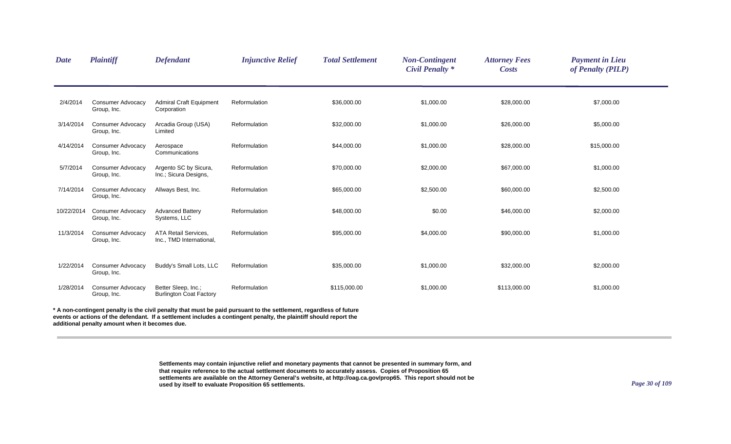| <b>Date</b> | <b>Plaintiff</b>                        | <b>Defendant</b>                                        | <b>Injunctive Relief</b>                                                                                                                                                                                                                 | <b>Total Settlement</b> | <b>Non-Contingent</b><br><b>Civil Penalty *</b> | <b>Attorney Fees</b><br><b>Costs</b> | <b>Payment in Lieu</b><br>of Penalty (PILP) |
|-------------|-----------------------------------------|---------------------------------------------------------|------------------------------------------------------------------------------------------------------------------------------------------------------------------------------------------------------------------------------------------|-------------------------|-------------------------------------------------|--------------------------------------|---------------------------------------------|
| 2/4/2014    | <b>Consumer Advocacy</b><br>Group, Inc. | <b>Admiral Craft Equipment</b><br>Corporation           | Reformulation                                                                                                                                                                                                                            | \$36,000.00             | \$1,000.00                                      | \$28,000.00                          | \$7,000.00                                  |
| 3/14/2014   | <b>Consumer Advocacy</b><br>Group, Inc. | Arcadia Group (USA)<br>Limited                          | Reformulation                                                                                                                                                                                                                            | \$32,000.00             | \$1,000.00                                      | \$26,000.00                          | \$5,000.00                                  |
| 4/14/2014   | <b>Consumer Advocacy</b><br>Group, Inc. | Aerospace<br>Communications                             | Reformulation                                                                                                                                                                                                                            | \$44,000.00             | \$1,000.00                                      | \$28,000.00                          | \$15,000.00                                 |
| 5/7/2014    | <b>Consumer Advocacy</b><br>Group, Inc. | Argento SC by Sicura,<br>Inc.; Sicura Designs,          | Reformulation                                                                                                                                                                                                                            | \$70,000.00             | \$2,000.00                                      | \$67,000.00                          | \$1,000.00                                  |
| 7/14/2014   | <b>Consumer Advocacy</b><br>Group, Inc. | Allways Best, Inc.                                      | Reformulation                                                                                                                                                                                                                            | \$65,000.00             | \$2,500.00                                      | \$60,000.00                          | \$2,500.00                                  |
| 10/22/2014  | <b>Consumer Advocacy</b><br>Group, Inc. | <b>Advanced Battery</b><br>Systems, LLC                 | Reformulation                                                                                                                                                                                                                            | \$48,000.00             | \$0.00                                          | \$46,000.00                          | \$2,000.00                                  |
| 11/3/2014   | <b>Consumer Advocacy</b><br>Group, Inc. | <b>ATA Retail Services,</b><br>Inc., TMD International, | Reformulation                                                                                                                                                                                                                            | \$95,000.00             | \$4,000.00                                      | \$90,000.00                          | \$1,000.00                                  |
| 1/22/2014   | <b>Consumer Advocacy</b><br>Group, Inc. | Buddy's Small Lots, LLC                                 | Reformulation                                                                                                                                                                                                                            | \$35,000.00             | \$1,000.00                                      | \$32,000.00                          | \$2,000.00                                  |
| 1/28/2014   | <b>Consumer Advocacy</b><br>Group, Inc. | Better Sleep, Inc.;<br><b>Burlington Coat Factory</b>   | Reformulation                                                                                                                                                                                                                            | \$115,000.00            | \$1,000.00                                      | \$113,000.00                         | \$1,000.00                                  |
|             |                                         |                                                         | * A non-contingent penalty is the civil penalty that must be paid pursuant to the settlement, regardless of future<br>events or actions of the defendant. If a settlement includes a contingent penalty, the plaintiff should report the |                         |                                                 |                                      |                                             |

**additional penalty amount when it becomes due.**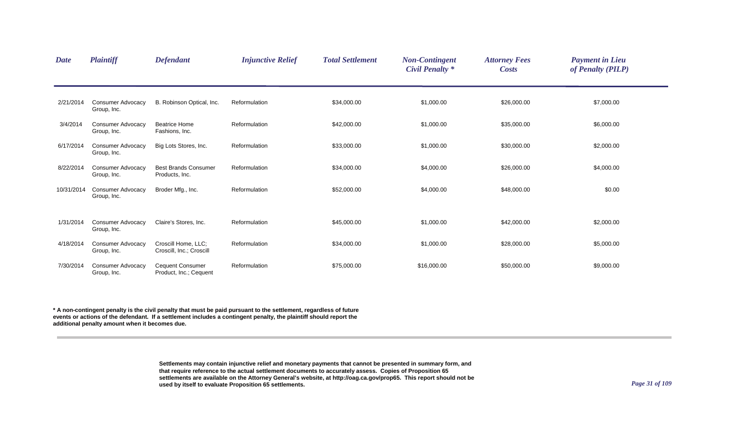| <b>Date</b> | <b>Plaintiff</b>                        | <b>Defendant</b>                                  | <b>Injunctive Relief</b> | <b>Total Settlement</b> | <b>Non-Contingent</b><br><b>Civil Penalty *</b> | <b>Attorney Fees</b><br><b>Costs</b> | <b>Payment in Lieu</b><br>of Penalty (PILP) |  |
|-------------|-----------------------------------------|---------------------------------------------------|--------------------------|-------------------------|-------------------------------------------------|--------------------------------------|---------------------------------------------|--|
| 2/21/2014   | <b>Consumer Advocacy</b><br>Group, Inc. | B. Robinson Optical, Inc.                         | Reformulation            | \$34,000.00             | \$1,000.00                                      | \$26,000.00                          | \$7,000.00                                  |  |
| 3/4/2014    | <b>Consumer Advocacy</b><br>Group, Inc. | <b>Beatrice Home</b><br>Fashions, Inc.            | Reformulation            | \$42,000.00             | \$1,000.00                                      | \$35,000.00                          | \$6,000.00                                  |  |
| 6/17/2014   | <b>Consumer Advocacy</b><br>Group, Inc. | Big Lots Stores, Inc.                             | Reformulation            | \$33,000.00             | \$1,000.00                                      | \$30,000.00                          | \$2,000.00                                  |  |
| 8/22/2014   | Consumer Advocacy<br>Group, Inc.        | <b>Best Brands Consumer</b><br>Products, Inc.     | Reformulation            | \$34,000.00             | \$4,000.00                                      | \$26,000.00                          | \$4,000.00                                  |  |
| 10/31/2014  | <b>Consumer Advocacy</b><br>Group, Inc. | Broder Mfg., Inc.                                 | Reformulation            | \$52,000.00             | \$4,000.00                                      | \$48,000.00                          | \$0.00                                      |  |
| 1/31/2014   | <b>Consumer Advocacy</b><br>Group, Inc. | Claire's Stores, Inc.                             | Reformulation            | \$45,000.00             | \$1,000.00                                      | \$42,000.00                          | \$2,000.00                                  |  |
| 4/18/2014   | <b>Consumer Advocacy</b><br>Group, Inc. | Croscill Home, LLC;<br>Croscill, Inc.; Croscill   | Reformulation            | \$34,000.00             | \$1,000.00                                      | \$28,000.00                          | \$5,000.00                                  |  |
| 7/30/2014   | <b>Consumer Advocacy</b><br>Group, Inc. | <b>Cequent Consumer</b><br>Product, Inc.; Cequent | Reformulation            | \$75,000.00             | \$16,000.00                                     | \$50,000.00                          | \$9,000.00                                  |  |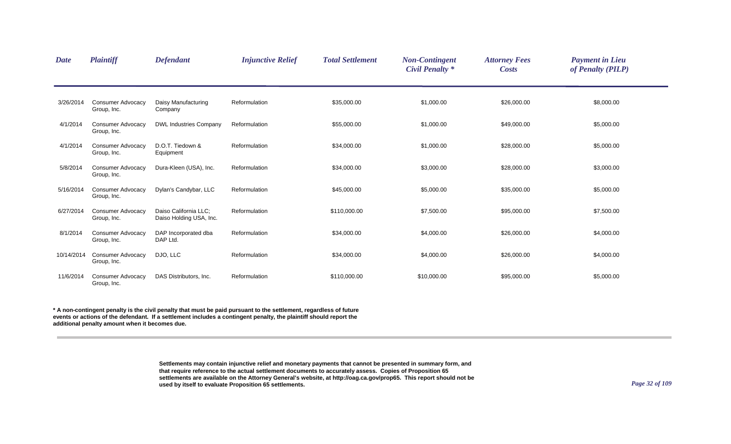| <b>Date</b> | <b>Plaintiff</b>                        | <b>Defendant</b>                                 | <b>Injunctive Relief</b> | <b>Total Settlement</b> | <b>Non-Contingent</b><br><b>Civil Penalty *</b> | <b>Attorney Fees</b><br><b>Costs</b> | <b>Payment in Lieu</b><br>of Penalty (PILP) |
|-------------|-----------------------------------------|--------------------------------------------------|--------------------------|-------------------------|-------------------------------------------------|--------------------------------------|---------------------------------------------|
| 3/26/2014   | <b>Consumer Advocacy</b><br>Group, Inc. | Daisy Manufacturing<br>Company                   | Reformulation            | \$35,000.00             | \$1,000.00                                      | \$26,000.00                          | \$8,000.00                                  |
| 4/1/2014    | <b>Consumer Advocacy</b><br>Group, Inc. | <b>DWL Industries Company</b>                    | Reformulation            | \$55,000.00             | \$1,000.00                                      | \$49,000.00                          | \$5,000.00                                  |
| 4/1/2014    | <b>Consumer Advocacy</b><br>Group, Inc. | D.O.T. Tiedown &<br>Equipment                    | Reformulation            | \$34,000.00             | \$1,000.00                                      | \$28,000.00                          | \$5,000.00                                  |
| 5/8/2014    | <b>Consumer Advocacy</b><br>Group, Inc. | Dura-Kleen (USA), Inc.                           | Reformulation            | \$34,000.00             | \$3,000.00                                      | \$28,000.00                          | \$3,000.00                                  |
| 5/16/2014   | <b>Consumer Advocacy</b><br>Group, Inc. | Dylan's Candybar, LLC                            | Reformulation            | \$45,000.00             | \$5,000.00                                      | \$35,000.00                          | \$5,000.00                                  |
| 6/27/2014   | <b>Consumer Advocacy</b><br>Group, Inc. | Daiso California LLC:<br>Daiso Holding USA, Inc. | Reformulation            | \$110,000.00            | \$7,500.00                                      | \$95,000.00                          | \$7,500.00                                  |
| 8/1/2014    | <b>Consumer Advocacy</b><br>Group, Inc. | DAP Incorporated dba<br>DAP Ltd.                 | Reformulation            | \$34,000.00             | \$4,000.00                                      | \$26,000.00                          | \$4,000.00                                  |
| 10/14/2014  | <b>Consumer Advocacy</b><br>Group, Inc. | DJO, LLC                                         | Reformulation            | \$34,000.00             | \$4,000.00                                      | \$26,000.00                          | \$4,000.00                                  |
| 11/6/2014   | <b>Consumer Advocacy</b><br>Group, Inc. | DAS Distributors, Inc.                           | Reformulation            | \$110,000.00            | \$10,000.00                                     | \$95,000.00                          | \$5,000.00                                  |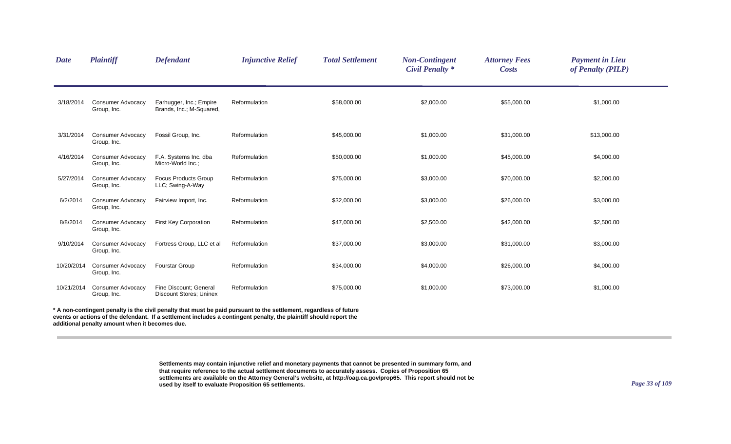| <b>Date</b> | <b>Plaintiff</b>                        | <b>Defendant</b>                                         | <b>Injunctive Relief</b>                                                                                         | <b>Total Settlement</b> | <b>Non-Contingent</b><br><b>Civil Penalty *</b> | <b>Attorney Fees</b><br><b>Costs</b> | <b>Payment in Lieu</b><br>of Penalty (PILP) |  |
|-------------|-----------------------------------------|----------------------------------------------------------|------------------------------------------------------------------------------------------------------------------|-------------------------|-------------------------------------------------|--------------------------------------|---------------------------------------------|--|
| 3/18/2014   | <b>Consumer Advocacy</b><br>Group, Inc. | Earhugger, Inc.; Empire<br>Brands, Inc.; M-Squared,      | Reformulation                                                                                                    | \$58,000.00             | \$2,000.00                                      | \$55,000.00                          | \$1,000.00                                  |  |
| 3/31/2014   | <b>Consumer Advocacy</b><br>Group, Inc. | Fossil Group, Inc.                                       | Reformulation                                                                                                    | \$45,000.00             | \$1,000.00                                      | \$31,000.00                          | \$13,000.00                                 |  |
| 4/16/2014   | <b>Consumer Advocacy</b><br>Group, Inc. | F.A. Systems Inc. dba<br>Micro-World Inc.;               | Reformulation                                                                                                    | \$50,000.00             | \$1,000.00                                      | \$45,000.00                          | \$4,000.00                                  |  |
| 5/27/2014   | <b>Consumer Advocacy</b><br>Group, Inc. | <b>Focus Products Group</b><br>LLC; Swing-A-Way          | Reformulation                                                                                                    | \$75,000.00             | \$3,000.00                                      | \$70,000.00                          | \$2,000.00                                  |  |
| 6/2/2014    | <b>Consumer Advocacy</b><br>Group, Inc. | Fairview Import, Inc.                                    | Reformulation                                                                                                    | \$32,000.00             | \$3,000.00                                      | \$26,000.00                          | \$3,000.00                                  |  |
| 8/8/2014    | <b>Consumer Advocacy</b><br>Group, Inc. | <b>First Key Corporation</b>                             | Reformulation                                                                                                    | \$47,000.00             | \$2,500.00                                      | \$42,000.00                          | \$2,500.00                                  |  |
| 9/10/2014   | <b>Consumer Advocacy</b><br>Group, Inc. | Fortress Group, LLC et al                                | Reformulation                                                                                                    | \$37,000.00             | \$3,000.00                                      | \$31,000.00                          | \$3,000.00                                  |  |
| 10/20/2014  | <b>Consumer Advocacy</b><br>Group, Inc. | <b>Fourstar Group</b>                                    | Reformulation                                                                                                    | \$34,000.00             | \$4,000.00                                      | \$26,000.00                          | \$4,000.00                                  |  |
| 10/21/2014  | <b>Consumer Advocacy</b><br>Group, Inc. | Fine Discount; General<br><b>Discount Stores: Uninex</b> | Reformulation                                                                                                    | \$75,000.00             | \$1,000.00                                      | \$73,000.00                          | \$1,000.00                                  |  |
|             |                                         |                                                          | A non-contingent penalty is the civil penalty that must be paid pursuant to the settlement, regardless of future |                         |                                                 |                                      |                                             |  |

**events or actions of the defendant. If a settlement includes a contingent penalty, the plaintiff should report the additional penalty amount when it becomes due.**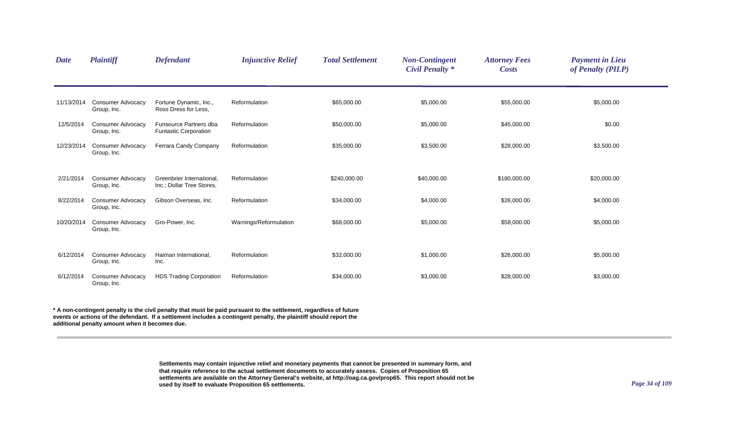| <b>Date</b> | <b>Plaintiff</b>                        | <b>Defendant</b>                                       | <b>Injunctive Relief</b> | <b>Total Settlement</b> | <b>Non-Contingent</b><br><b>Civil Penalty *</b> | <b>Attorney Fees</b><br><b>Costs</b> | <b>Payment in Lieu</b><br>of Penalty (PILP) |  |
|-------------|-----------------------------------------|--------------------------------------------------------|--------------------------|-------------------------|-------------------------------------------------|--------------------------------------|---------------------------------------------|--|
| 11/13/2014  | <b>Consumer Advocacy</b><br>Group, Inc. | Fortune Dynamic, Inc.,<br>Ross Dress for Less,         | Reformulation            | \$65,000.00             | \$5,000.00                                      | \$55,000.00                          | \$5,000.00                                  |  |
| 12/5/2014   | <b>Consumer Advocacy</b><br>Group, Inc. | Funsource Partners dba<br><b>Funtastic Corporation</b> | Reformulation            | \$50,000.00             | \$5,000.00                                      | \$45,000.00                          | \$0.00                                      |  |
| 12/23/2014  | <b>Consumer Advocacy</b><br>Group, Inc. | Ferrara Candy Company                                  | Reformulation            | \$35,000.00             | \$3,500.00                                      | \$28,000.00                          | \$3,500.00                                  |  |
| 2/21/2014   | <b>Consumer Advocacy</b><br>Group, Inc. | Greenbrier International.<br>Inc.; Dollar Tree Stores, | Reformulation            | \$240,000.00            | \$40,000.00                                     | \$180,000.00                         | \$20,000.00                                 |  |
| 8/22/2014   | <b>Consumer Advocacy</b><br>Group, Inc. | Gibson Overseas, Inc.                                  | Reformulation            | \$34,000.00             | \$4,000.00                                      | \$26,000.00                          | \$4,000.00                                  |  |
| 10/20/2014  | <b>Consumer Advocacy</b><br>Group, Inc. | Gro-Power, Inc.                                        | Warnings/Reformulation   | \$68,000.00             | \$5,000.00                                      | \$58,000.00                          | \$5,000.00                                  |  |
| 6/12/2014   | <b>Consumer Advocacy</b><br>Group, Inc. | Haiman International,<br>Inc.                          | Reformulation            | \$32,000.00             | \$1,000.00                                      | \$26,000.00                          | \$5,000.00                                  |  |
| 6/12/2014   | <b>Consumer Advocacy</b><br>Group, Inc. | <b>HDS Trading Corporation</b>                         | Reformulation            | \$34,000.00             | \$3,000.00                                      | \$28,000.00                          | \$3,000.00                                  |  |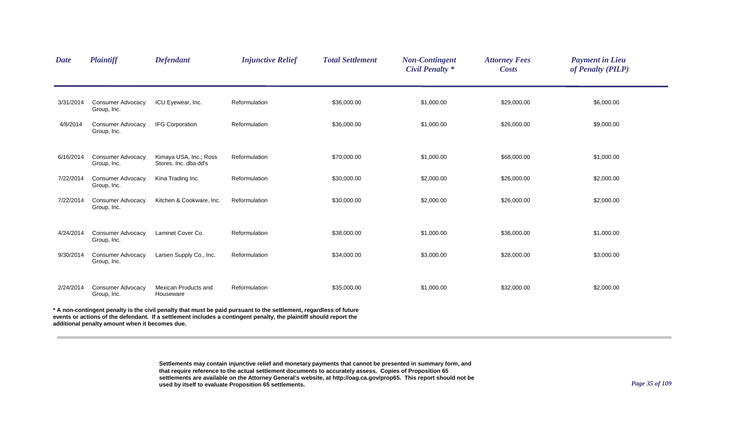| <b>Date</b>                                                                                                                                                                                                                                                                                | Plaintiff                               | <b>Defendant</b>                                | <b>Injunctive Relief</b> | <b>Total Settlement</b> | <b>Non-Contingent</b><br><b>Civil Penalty *</b> | <b>Attorney Fees</b><br><b>Costs</b> | <b>Payment in Lieu</b><br>of Penalty (PILP) |  |  |
|--------------------------------------------------------------------------------------------------------------------------------------------------------------------------------------------------------------------------------------------------------------------------------------------|-----------------------------------------|-------------------------------------------------|--------------------------|-------------------------|-------------------------------------------------|--------------------------------------|---------------------------------------------|--|--|
| 3/31/2014                                                                                                                                                                                                                                                                                  | <b>Consumer Advocacy</b><br>Group, Inc. | ICU Eyewear, Inc.                               | Reformulation            | \$36,000.00             | \$1,000.00                                      | \$29,000.00                          | \$6,000.00                                  |  |  |
| 4/8/2014                                                                                                                                                                                                                                                                                   | <b>Consumer Advocacy</b><br>Group, Inc. | <b>IFG Corporation</b>                          | Reformulation            | \$36,000.00             | \$1,000.00                                      | \$26,000.00                          | \$9,000.00                                  |  |  |
| 6/16/2014                                                                                                                                                                                                                                                                                  | Consumer Advocacy<br>Group, Inc.        | Kimaya USA, Inc.; Ross<br>Stores, Inc. dba dd's | Reformulation            | \$70,000.00             | \$1,000.00                                      | \$68,000.00                          | \$1,000.00                                  |  |  |
| 7/22/2014                                                                                                                                                                                                                                                                                  | <b>Consumer Advocacy</b><br>Group, Inc. | Kina Trading Inc.                               | Reformulation            | \$30,000.00             | \$2,000.00                                      | \$26,000.00                          | \$2,000.00                                  |  |  |
| 7/22/2014                                                                                                                                                                                                                                                                                  | <b>Consumer Advocacy</b><br>Group, Inc. | Kitchen & Cookware, Inc.                        | Reformulation            | \$30,000.00             | \$2,000.00                                      | \$26,000.00                          | \$2,000.00                                  |  |  |
| 4/24/2014                                                                                                                                                                                                                                                                                  | <b>Consumer Advocacy</b><br>Group, Inc. | Laminet Cover Co.                               | Reformulation            | \$38,000.00             | \$1,000.00                                      | \$36,000.00                          | \$1,000.00                                  |  |  |
| 9/30/2014                                                                                                                                                                                                                                                                                  | <b>Consumer Advocacy</b><br>Group, Inc. | Larsen Supply Co., Inc.                         | Reformulation            | \$34,000.00             | \$3,000.00                                      | \$28,000.00                          | \$3,000.00                                  |  |  |
| 2/24/2014                                                                                                                                                                                                                                                                                  | <b>Consumer Advocacy</b><br>Group, Inc. | Mexican Products and<br>Houseware               | Reformulation            | \$35,000.00             | \$1,000.00                                      | \$32,000.00                          | \$2,000.00                                  |  |  |
| * A non-contingent penalty is the civil penalty that must be paid pursuant to the settlement, regardless of future<br>events or actions of the defendant. If a settlement includes a contingent penalty, the plaintiff should report the<br>additional penalty amount when it becomes due. |                                         |                                                 |                          |                         |                                                 |                                      |                                             |  |  |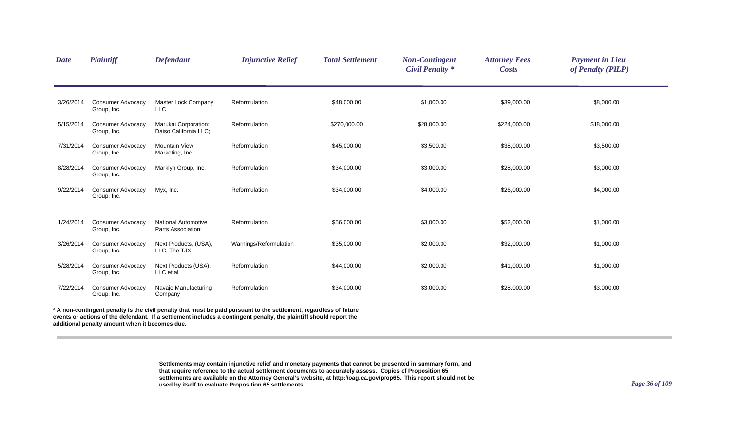| <b>Date</b> | <b>Plaintiff</b>                        | <b>Defendant</b>                                 | <b>Injunctive Relief</b>                                                                                         | <b>Total Settlement</b> | <b>Non-Contingent</b><br><b>Civil Penalty *</b> | <b>Attorney Fees</b><br><b>Costs</b> | <b>Payment in Lieu</b><br>of Penalty (PILP) |  |
|-------------|-----------------------------------------|--------------------------------------------------|------------------------------------------------------------------------------------------------------------------|-------------------------|-------------------------------------------------|--------------------------------------|---------------------------------------------|--|
| 3/26/2014   | <b>Consumer Advocacy</b><br>Group, Inc. | Master Lock Company<br><b>LLC</b>                | Reformulation                                                                                                    | \$48,000.00             | \$1,000.00                                      | \$39,000.00                          | \$8,000.00                                  |  |
| 5/15/2014   | <b>Consumer Advocacy</b><br>Group, Inc. | Marukai Corporation;<br>Daiso California LLC;    | Reformulation                                                                                                    | \$270,000.00            | \$28,000.00                                     | \$224,000.00                         | \$18,000.00                                 |  |
| 7/31/2014   | <b>Consumer Advocacy</b><br>Group, Inc. | <b>Mountain View</b><br>Marketing, Inc.          | Reformulation                                                                                                    | \$45,000.00             | \$3,500.00                                      | \$38,000.00                          | \$3,500.00                                  |  |
| 8/28/2014   | <b>Consumer Advocacy</b><br>Group, Inc. | Marklyn Group, Inc.                              | Reformulation                                                                                                    | \$34,000.00             | \$3,000.00                                      | \$28,000.00                          | \$3,000.00                                  |  |
| 9/22/2014   | <b>Consumer Advocacy</b><br>Group, Inc. | Myx, Inc.                                        | Reformulation                                                                                                    | \$34,000.00             | \$4,000.00                                      | \$26,000.00                          | \$4,000.00                                  |  |
| 1/24/2014   | <b>Consumer Advocacy</b><br>Group, Inc. | <b>National Automotive</b><br>Parts Association; | Reformulation                                                                                                    | \$56,000.00             | \$3,000.00                                      | \$52,000.00                          | \$1,000.00                                  |  |
| 3/26/2014   | <b>Consumer Advocacy</b><br>Group, Inc. | Next Products, (USA),<br>LLC, The TJX            | Warnings/Reformulation                                                                                           | \$35,000.00             | \$2,000.00                                      | \$32,000.00                          | \$1,000.00                                  |  |
| 5/28/2014   | <b>Consumer Advocacy</b><br>Group, Inc. | Next Products (USA),<br>LLC et al                | Reformulation                                                                                                    | \$44,000.00             | \$2,000.00                                      | \$41,000.00                          | \$1,000.00                                  |  |
| 7/22/2014   | <b>Consumer Advocacy</b><br>Group, Inc. | Navajo Manufacturing<br>Company                  | Reformulation                                                                                                    | \$34,000.00             | \$3,000.00                                      | \$28,000.00                          | \$3,000.00                                  |  |
|             |                                         |                                                  | A non-contingent penalty is the civil penalty that must be paid pursuant to the settlement, regardless of future |                         |                                                 |                                      |                                             |  |

**events or actions of the defendant. If a settlement includes a contingent penalty, the plaintiff should report the additional penalty amount when it becomes due.**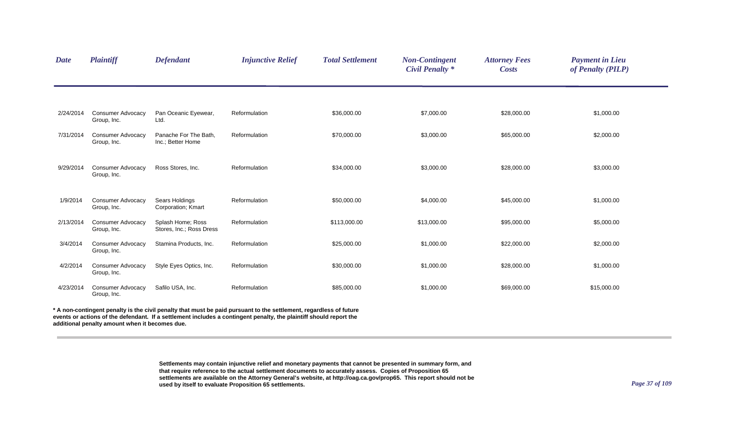| <b>Date</b> | <b>Plaintiff</b>                        | <b>Defendant</b>                              | <b>Injunctive Relief</b>                                                                                                     | <b>Total Settlement</b> | <b>Non-Contingent</b><br><b>Civil Penalty *</b> | <b>Attorney Fees</b><br><b>Costs</b> | <b>Payment in Lieu</b><br>of Penalty (PILP) |  |
|-------------|-----------------------------------------|-----------------------------------------------|------------------------------------------------------------------------------------------------------------------------------|-------------------------|-------------------------------------------------|--------------------------------------|---------------------------------------------|--|
|             |                                         |                                               |                                                                                                                              |                         |                                                 |                                      |                                             |  |
| 2/24/2014   | <b>Consumer Advocacy</b><br>Group, Inc. | Pan Oceanic Eyewear,<br>Ltd.                  | Reformulation                                                                                                                | \$36,000.00             | \$7,000.00                                      | \$28,000.00                          | \$1,000.00                                  |  |
| 7/31/2014   | <b>Consumer Advocacy</b><br>Group, Inc. | Panache For The Bath,<br>Inc.; Better Home    | Reformulation                                                                                                                | \$70,000.00             | \$3,000.00                                      | \$65,000.00                          | \$2,000.00                                  |  |
| 9/29/2014   | <b>Consumer Advocacy</b><br>Group, Inc. | Ross Stores, Inc.                             | Reformulation                                                                                                                | \$34,000.00             | \$3,000.00                                      | \$28,000.00                          | \$3,000.00                                  |  |
| 1/9/2014    | <b>Consumer Advocacy</b><br>Group, Inc. | Sears Holdings<br>Corporation; Kmart          | Reformulation                                                                                                                | \$50,000.00             | \$4,000.00                                      | \$45,000.00                          | \$1,000.00                                  |  |
| 2/13/2014   | <b>Consumer Advocacy</b><br>Group, Inc. | Splash Home; Ross<br>Stores, Inc.; Ross Dress | Reformulation                                                                                                                | \$113,000.00            | \$13,000.00                                     | \$95,000.00                          | \$5,000.00                                  |  |
| 3/4/2014    | <b>Consumer Advocacy</b><br>Group, Inc. | Stamina Products, Inc.                        | Reformulation                                                                                                                | \$25,000.00             | \$1,000.00                                      | \$22,000.00                          | \$2,000.00                                  |  |
| 4/2/2014    | <b>Consumer Advocacy</b><br>Group, Inc. | Style Eyes Optics, Inc.                       | Reformulation                                                                                                                | \$30,000.00             | \$1,000.00                                      | \$28,000.00                          | \$1,000.00                                  |  |
| 4/23/2014   | <b>Consumer Advocacy</b><br>Group, Inc. | Safilo USA, Inc.                              | Reformulation                                                                                                                | \$85,000.00             | \$1,000.00                                      | \$69,000.00                          | \$15,000.00                                 |  |
|             |                                         |                                               | $\bullet$ A construction of a constant of the state of states of the constitution of the design of the construction of forms |                         |                                                 |                                      |                                             |  |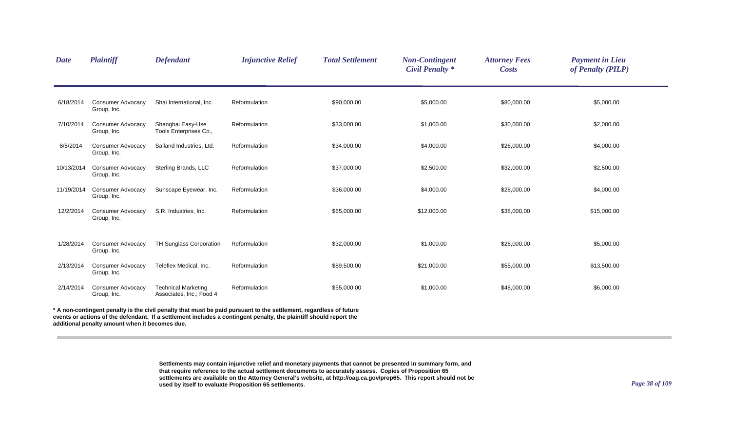| <b>Date</b> | <b>Plaintiff</b>                               | <b>Defendant</b>                                       | <b>Injunctive Relief</b>                                                                                                                                                                                                                 | <b>Total Settlement</b> | <b>Non-Contingent</b><br><b>Civil Penalty *</b> | <b>Attorney Fees</b><br><b>Costs</b> | <b>Payment in Lieu</b><br>of Penalty (PILP) |
|-------------|------------------------------------------------|--------------------------------------------------------|------------------------------------------------------------------------------------------------------------------------------------------------------------------------------------------------------------------------------------------|-------------------------|-------------------------------------------------|--------------------------------------|---------------------------------------------|
| 6/18/2014   | <b>Consumer Advocacy</b><br>Group, Inc.        | Shai International, Inc.                               | Reformulation                                                                                                                                                                                                                            | \$90,000.00             | \$5,000.00                                      | \$80,000.00                          | \$5,000.00                                  |
| 7/10/2014   | <b>Consumer Advocacy</b><br>Group, Inc.        | Shanghai Easy-Use<br>Tools Enterprises Co.,            | Reformulation                                                                                                                                                                                                                            | \$33,000.00             | \$1,000.00                                      | \$30,000.00                          | \$2,000.00                                  |
| 8/5/2014    | <b>Consumer Advocacy</b><br>Group, Inc.        | Salland Industries, Ltd.                               | Reformulation                                                                                                                                                                                                                            | \$34,000.00             | \$4,000.00                                      | \$26,000.00                          | \$4,000.00                                  |
| 10/13/2014  | <b>Consumer Advocacy</b><br>Group, Inc.        | Sterling Brands, LLC                                   | Reformulation                                                                                                                                                                                                                            | \$37,000.00             | \$2,500.00                                      | \$32,000.00                          | \$2,500.00                                  |
| 11/19/2014  | <b>Consumer Advocacy</b><br>Group, Inc.        | Sunscape Eyewear, Inc.                                 | Reformulation                                                                                                                                                                                                                            | \$36,000.00             | \$4,000.00                                      | \$28,000.00                          | \$4,000.00                                  |
| 12/2/2014   | <b>Consumer Advocacy</b><br>Group, Inc.        | S.R. Industries, Inc.                                  | Reformulation                                                                                                                                                                                                                            | \$65,000.00             | \$12,000.00                                     | \$38,000.00                          | \$15,000.00                                 |
| 1/28/2014   | <b>Consumer Advocacy</b><br>Group, Inc.        | TH Sunglass Corporation                                | Reformulation                                                                                                                                                                                                                            | \$32,000.00             | \$1,000.00                                      | \$26,000.00                          | \$5,000.00                                  |
| 2/13/2014   | <b>Consumer Advocacy</b><br>Group, Inc.        | Teleflex Medical, Inc.                                 | Reformulation                                                                                                                                                                                                                            | \$89,500.00             | \$21,000.00                                     | \$55,000.00                          | \$13,500.00                                 |
| 2/14/2014   | <b>Consumer Advocacy</b><br>Group, Inc.        | <b>Technical Marketing</b><br>Associates, Inc.; Food 4 | Reformulation                                                                                                                                                                                                                            | \$55,000.00             | \$1,000.00                                      | \$48,000.00                          | \$6,000.00                                  |
|             | additional penalty amount when it becomes due. |                                                        | * A non-contingent penalty is the civil penalty that must be paid pursuant to the settlement, regardless of future<br>events or actions of the defendant. If a settlement includes a contingent penalty, the plaintiff should report the |                         |                                                 |                                      |                                             |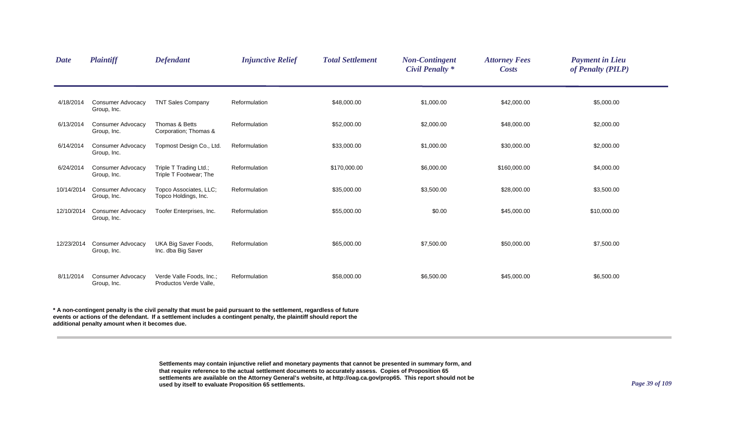| <b>Date</b> | Plaintiff                               | <b>Defendant</b>                                   | <b>Injunctive Relief</b> | <b>Total Settlement</b> | <b>Non-Contingent</b><br><b>Civil Penalty</b> * | <b>Attorney Fees</b><br><b>Costs</b> | <b>Payment in Lieu</b><br>of Penalty (PILP) |  |
|-------------|-----------------------------------------|----------------------------------------------------|--------------------------|-------------------------|-------------------------------------------------|--------------------------------------|---------------------------------------------|--|
| 4/18/2014   | <b>Consumer Advocacy</b><br>Group, Inc. | <b>TNT Sales Company</b>                           | Reformulation            | \$48,000.00             | \$1,000.00                                      | \$42,000.00                          | \$5,000.00                                  |  |
| 6/13/2014   | <b>Consumer Advocacy</b><br>Group, Inc. | Thomas & Betts<br>Corporation: Thomas &            | Reformulation            | \$52,000.00             | \$2,000.00                                      | \$48,000.00                          | \$2,000.00                                  |  |
| 6/14/2014   | <b>Consumer Advocacy</b><br>Group, Inc. | Topmost Design Co., Ltd.                           | Reformulation            | \$33,000.00             | \$1,000.00                                      | \$30,000.00                          | \$2,000.00                                  |  |
| 6/24/2014   | <b>Consumer Advocacy</b><br>Group, Inc. | Triple T Trading Ltd.;<br>Triple T Footwear; The   | Reformulation            | \$170,000.00            | \$6,000.00                                      | \$160,000.00                         | \$4,000.00                                  |  |
| 10/14/2014  | <b>Consumer Advocacy</b><br>Group, Inc. | Topco Associates, LLC;<br>Topco Holdings, Inc.     | Reformulation            | \$35,000.00             | \$3,500.00                                      | \$28,000.00                          | \$3,500.00                                  |  |
| 12/10/2014  | <b>Consumer Advocacy</b><br>Group, Inc. | Toofer Enterprises, Inc.                           | Reformulation            | \$55,000.00             | \$0.00                                          | \$45,000.00                          | \$10,000.00                                 |  |
| 12/23/2014  | <b>Consumer Advocacy</b><br>Group, Inc. | UKA Big Saver Foods,<br>Inc. dba Big Saver         | Reformulation            | \$65,000.00             | \$7,500.00                                      | \$50,000.00                          | \$7,500.00                                  |  |
| 8/11/2014   | <b>Consumer Advocacy</b><br>Group, Inc. | Verde Valle Foods, Inc.;<br>Productos Verde Valle, | Reformulation            | \$58,000.00             | \$6,500.00                                      | \$45,000.00                          | \$6,500.00                                  |  |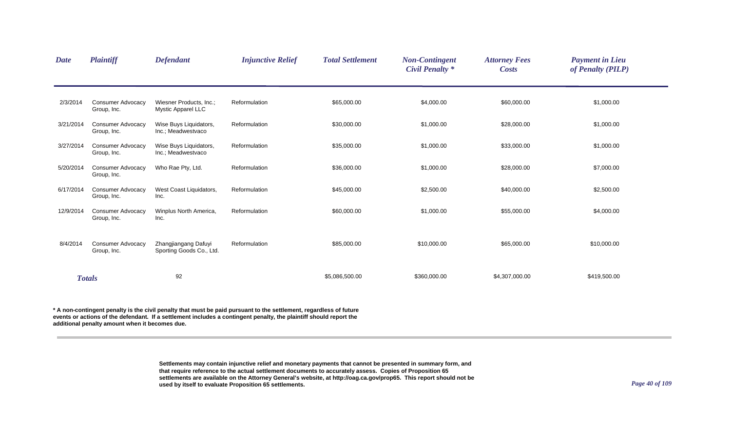| <b>Date</b> | <b>Plaintiff</b>                        | <b>Defendant</b>                                     | <b>Injunctive Relief</b> | <b>Total Settlement</b> | <b>Non-Contingent</b><br><b>Civil Penalty</b> * | <b>Attorney Fees</b><br><b>Costs</b> | <b>Payment in Lieu</b><br>of Penalty (PILP) |  |
|-------------|-----------------------------------------|------------------------------------------------------|--------------------------|-------------------------|-------------------------------------------------|--------------------------------------|---------------------------------------------|--|
| 2/3/2014    | <b>Consumer Advocacy</b><br>Group, Inc. | Wiesner Products, Inc.;<br><b>Mystic Apparel LLC</b> | Reformulation            | \$65,000.00             | \$4,000.00                                      | \$60,000.00                          | \$1,000.00                                  |  |
| 3/21/2014   | <b>Consumer Advocacy</b><br>Group, Inc. | Wise Buys Liquidators,<br>Inc.; Meadwestvaco         | Reformulation            | \$30,000.00             | \$1,000.00                                      | \$28,000.00                          | \$1,000.00                                  |  |
| 3/27/2014   | <b>Consumer Advocacy</b><br>Group, Inc. | Wise Buys Liquidators,<br>Inc.; Meadwestvaco         | Reformulation            | \$35,000.00             | \$1,000.00                                      | \$33,000.00                          | \$1,000.00                                  |  |
| 5/20/2014   | <b>Consumer Advocacy</b><br>Group, Inc. | Who Rae Pty, Ltd.                                    | Reformulation            | \$36,000.00             | \$1,000.00                                      | \$28,000.00                          | \$7,000.00                                  |  |
| 6/17/2014   | <b>Consumer Advocacy</b><br>Group, Inc. | West Coast Liquidators,<br>Inc.                      | Reformulation            | \$45,000.00             | \$2,500.00                                      | \$40,000.00                          | \$2,500.00                                  |  |
| 12/9/2014   | <b>Consumer Advocacy</b><br>Group, Inc. | Winplus North America,<br>Inc.                       | Reformulation            | \$60,000.00             | \$1,000.00                                      | \$55,000.00                          | \$4,000.00                                  |  |
| 8/4/2014    | <b>Consumer Advocacy</b><br>Group, Inc. | Zhangjiangang Dafuyi<br>Sporting Goods Co., Ltd.     | Reformulation            | \$85,000.00             | \$10,000.00                                     | \$65,000.00                          | \$10,000.00                                 |  |
|             | <b>Totals</b>                           | 92                                                   |                          | \$5,086,500.00          | \$360,000.00                                    | \$4,307,000.00                       | \$419,500.00                                |  |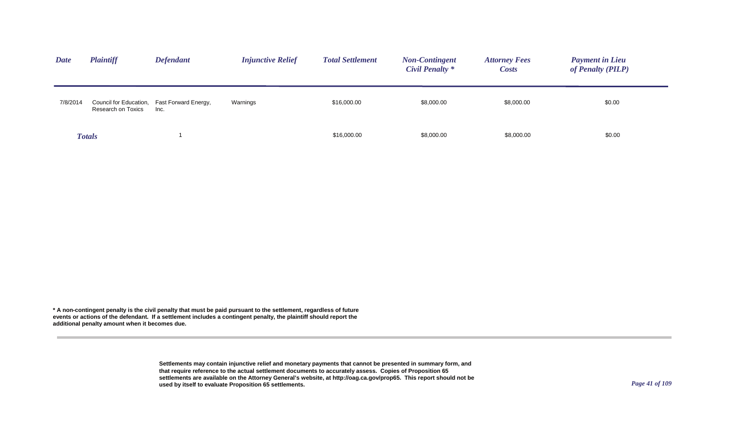| <b>Date</b> | <b>Plaintiff</b>   | <b>Defendant</b>                                    | <b>Injunctive Relief</b> | <b>Total Settlement</b> | <b>Non-Contingent</b><br>Civil Penalty * | <b>Attorney Fees</b><br><b>Costs</b> | <b>Payment in Lieu</b><br>of Penalty (PILP) |
|-------------|--------------------|-----------------------------------------------------|--------------------------|-------------------------|------------------------------------------|--------------------------------------|---------------------------------------------|
| 7/8/2014    | Research on Toxics | Council for Education, Fast Forward Energy,<br>Inc. | Warnings                 | \$16,000.00             | \$8,000.00                               | \$8,000.00                           | \$0.00                                      |
|             | <b>Totals</b>      |                                                     |                          | \$16,000.00             | \$8,000.00                               | \$8,000.00                           | \$0.00                                      |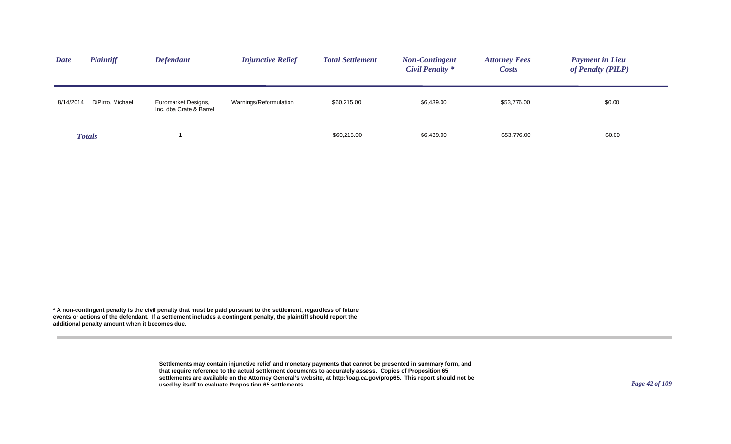| <b>Plaintiff</b><br><b>Date</b> | <b>Defendant</b>                               | <b>Injunctive Relief</b> | <b>Total Settlement</b> | <b>Non-Contingent</b><br>Civil Penalty * | <b>Attorney Fees</b><br><b>Costs</b> | <b>Payment in Lieu</b><br>of Penalty (PILP) |
|---------------------------------|------------------------------------------------|--------------------------|-------------------------|------------------------------------------|--------------------------------------|---------------------------------------------|
| DiPirro, Michael<br>8/14/2014   | Euromarket Designs,<br>Inc. dba Crate & Barrel | Warnings/Reformulation   | \$60,215.00             | \$6,439.00                               | \$53,776.00                          | \$0.00                                      |
| <b>Totals</b>                   |                                                |                          | \$60,215.00             | \$6,439.00                               | \$53,776.00                          | \$0.00                                      |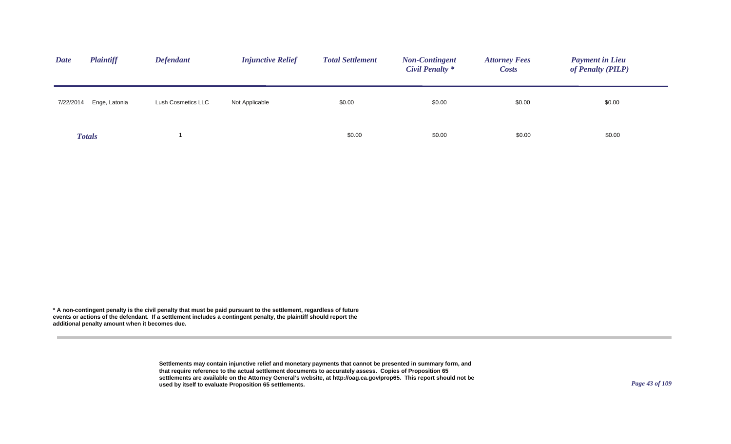| <b>Plaintiff</b><br><b>Date</b> | <b>Defendant</b>   | <b>Injunctive Relief</b> | <b>Total Settlement</b> | <b>Non-Contingent</b><br><b>Civil Penalty</b> * | <b>Attorney Fees</b><br><i>Costs</i> | <b>Payment in Lieu</b><br>of Penalty (PILP) |
|---------------------------------|--------------------|--------------------------|-------------------------|-------------------------------------------------|--------------------------------------|---------------------------------------------|
| Enge, Latonia<br>7/22/2014      | Lush Cosmetics LLC | Not Applicable           | \$0.00                  | \$0.00                                          | \$0.00                               | \$0.00                                      |
| <b>Totals</b>                   |                    |                          | \$0.00                  | \$0.00                                          | \$0.00                               | \$0.00                                      |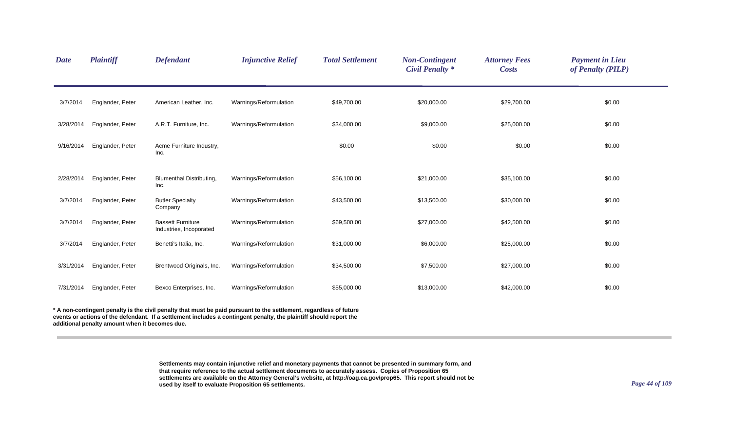| <b>Date</b> | <b>Plaintiff</b> | <b>Defendant</b>                                    | <b>Injunctive Relief</b> | <b>Total Settlement</b> | <b>Non-Contingent</b><br><b>Civil Penalty *</b> | <b>Attorney Fees</b><br><b>Costs</b> | <b>Payment in Lieu</b><br>of Penalty (PILP) |
|-------------|------------------|-----------------------------------------------------|--------------------------|-------------------------|-------------------------------------------------|--------------------------------------|---------------------------------------------|
| 3/7/2014    | Englander, Peter | American Leather, Inc.                              | Warnings/Reformulation   | \$49,700.00             | \$20,000.00                                     | \$29,700.00                          | \$0.00                                      |
| 3/28/2014   | Englander, Peter | A.R.T. Furniture, Inc.                              | Warnings/Reformulation   | \$34,000.00             | \$9,000.00                                      | \$25,000.00                          | \$0.00                                      |
| 9/16/2014   | Englander, Peter | Acme Furniture Industry,<br>Inc.                    |                          | \$0.00                  | \$0.00                                          | \$0.00                               | \$0.00                                      |
| 2/28/2014   | Englander, Peter | <b>Blumenthal Distributing,</b><br>Inc.             | Warnings/Reformulation   | \$56,100.00             | \$21,000.00                                     | \$35,100.00                          | \$0.00                                      |
| 3/7/2014    | Englander, Peter | <b>Butler Specialty</b><br>Company                  | Warnings/Reformulation   | \$43,500.00             | \$13,500.00                                     | \$30,000.00                          | \$0.00                                      |
| 3/7/2014    | Englander, Peter | <b>Bassett Furniture</b><br>Industries, Incoporated | Warnings/Reformulation   | \$69,500.00             | \$27,000.00                                     | \$42,500.00                          | \$0.00                                      |
| 3/7/2014    | Englander, Peter | Benetti's Italia, Inc.                              | Warnings/Reformulation   | \$31,000.00             | \$6,000.00                                      | \$25,000.00                          | \$0.00                                      |
| 3/31/2014   | Englander, Peter | Brentwood Originals, Inc.                           | Warnings/Reformulation   | \$34,500.00             | \$7,500.00                                      | \$27,000.00                          | \$0.00                                      |
| 7/31/2014   | Englander, Peter | Bexco Enterprises, Inc.                             | Warnings/Reformulation   | \$55,000.00             | \$13,000.00                                     | \$42,000.00                          | \$0.00                                      |
|             |                  |                                                     |                          |                         |                                                 |                                      |                                             |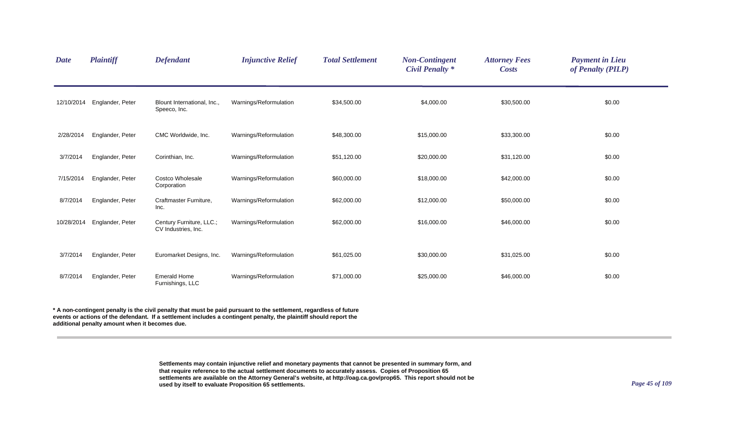| <b>Date</b> | Plaintiff        | <b>Defendant</b>                                | <b>Injunctive Relief</b> | <b>Total Settlement</b> | <b>Non-Contingent</b><br><b>Civil Penalty</b> * | <b>Attorney Fees</b><br><b>Costs</b> | <b>Payment in Lieu</b><br>of Penalty (PILP) |
|-------------|------------------|-------------------------------------------------|--------------------------|-------------------------|-------------------------------------------------|--------------------------------------|---------------------------------------------|
| 12/10/2014  | Englander, Peter | Blount International, Inc.,<br>Speeco, Inc.     | Warnings/Reformulation   | \$34,500.00             | \$4,000.00                                      | \$30,500.00                          | \$0.00                                      |
| 2/28/2014   | Englander, Peter | CMC Worldwide, Inc.                             | Warnings/Reformulation   | \$48,300.00             | \$15,000.00                                     | \$33,300.00                          | \$0.00                                      |
| 3/7/2014    | Englander, Peter | Corinthian, Inc.                                | Warnings/Reformulation   | \$51,120.00             | \$20,000.00                                     | \$31,120.00                          | \$0.00                                      |
| 7/15/2014   | Englander, Peter | Costco Wholesale<br>Corporation                 | Warnings/Reformulation   | \$60,000.00             | \$18,000.00                                     | \$42,000.00                          | \$0.00                                      |
| 8/7/2014    | Englander, Peter | Craftmaster Furniture,<br>Inc.                  | Warnings/Reformulation   | \$62,000.00             | \$12,000.00                                     | \$50,000.00                          | \$0.00                                      |
| 10/28/2014  | Englander, Peter | Century Furniture, LLC.;<br>CV Industries, Inc. | Warnings/Reformulation   | \$62,000.00             | \$16,000.00                                     | \$46,000.00                          | \$0.00                                      |
| 3/7/2014    | Englander, Peter | Euromarket Designs, Inc.                        | Warnings/Reformulation   | \$61,025.00             | \$30,000.00                                     | \$31,025.00                          | \$0.00                                      |
| 8/7/2014    | Englander, Peter | <b>Emerald Home</b><br>Furnishings, LLC         | Warnings/Reformulation   | \$71,000.00             | \$25,000.00                                     | \$46,000.00                          | \$0.00                                      |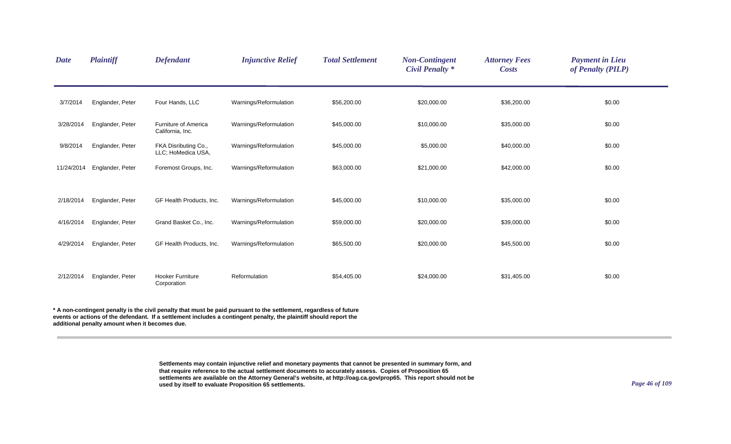| <b>Date</b> | <b>Plaintiff</b> | <b>Defendant</b>                           | <b>Injunctive Relief</b> | <b>Total Settlement</b> | <b>Non-Contingent</b><br><b>Civil Penalty *</b> | <b>Attorney Fees</b><br><b>Costs</b> | <b>Payment in Lieu</b><br>of Penalty (PILP) |
|-------------|------------------|--------------------------------------------|--------------------------|-------------------------|-------------------------------------------------|--------------------------------------|---------------------------------------------|
| 3/7/2014    | Englander, Peter | Four Hands, LLC                            | Warnings/Reformulation   | \$56,200.00             | \$20,000.00                                     | \$36,200.00                          | \$0.00                                      |
| 3/28/2014   | Englander, Peter | Furniture of America<br>California, Inc.   | Warnings/Reformulation   | \$45,000.00             | \$10,000.00                                     | \$35,000.00                          | \$0.00                                      |
| 9/8/2014    | Englander, Peter | FKA Disributing Co.,<br>LLC; HoMedica USA, | Warnings/Reformulation   | \$45,000.00             | \$5,000.00                                      | \$40,000.00                          | \$0.00                                      |
| 11/24/2014  | Englander, Peter | Foremost Groups, Inc.                      | Warnings/Reformulation   | \$63,000.00             | \$21,000.00                                     | \$42,000.00                          | \$0.00                                      |
|             |                  |                                            |                          |                         |                                                 |                                      |                                             |
| 2/18/2014   | Englander, Peter | GF Health Products, Inc.                   | Warnings/Reformulation   | \$45,000.00             | \$10,000.00                                     | \$35,000.00                          | \$0.00                                      |
| 4/16/2014   | Englander, Peter | Grand Basket Co., Inc.                     | Warnings/Reformulation   | \$59,000.00             | \$20,000.00                                     | \$39,000.00                          | \$0.00                                      |
| 4/29/2014   | Englander, Peter | GF Health Products, Inc.                   | Warnings/Reformulation   | \$65,500.00             | \$20,000.00                                     | \$45,500.00                          | \$0.00                                      |
| 2/12/2014   | Englander, Peter | <b>Hooker Furniture</b><br>Corporation     | Reformulation            | \$54,405.00             | \$24,000.00                                     | \$31,405.00                          | \$0.00                                      |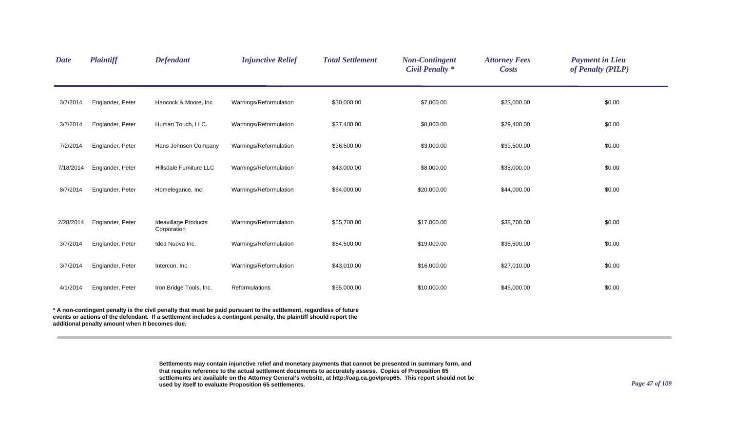| <b>Date</b> | <b>Plaintiff</b>                                                                                                 | <b>Defendant</b>                           | <b>Injunctive Relief</b> | <b>Total Settlement</b> | <b>Non-Contingent</b><br><b>Civil Penalty *</b> | <b>Attorney Fees</b><br><b>Costs</b> | <b>Payment in Lieu</b><br>of Penalty (PILP) |  |  |  |
|-------------|------------------------------------------------------------------------------------------------------------------|--------------------------------------------|--------------------------|-------------------------|-------------------------------------------------|--------------------------------------|---------------------------------------------|--|--|--|
| 3/7/2014    | Englander, Peter                                                                                                 | Hancock & Moore, Inc.                      | Warnings/Reformulation   | \$30,000.00             | \$7,000.00                                      | \$23,000.00                          | \$0.00                                      |  |  |  |
| 3/7/2014    | Englander, Peter                                                                                                 | Human Touch, LLC.                          | Warnings/Reformulation   | \$37,400.00             | \$8,000.00                                      | \$29,400.00                          | \$0.00                                      |  |  |  |
| 7/2/2014    | Englander, Peter                                                                                                 | Hans Johnsen Company                       | Warnings/Reformulation   | \$36,500.00             | \$3,000.00                                      | \$33,500.00                          | \$0.00                                      |  |  |  |
| 7/18/2014   | Englander, Peter                                                                                                 | Hillsdale Furniture LLC                    | Warnings/Reformulation   | \$43,000.00             | \$8,000.00                                      | \$35,000.00                          | \$0.00                                      |  |  |  |
| 8/7/2014    | Englander, Peter                                                                                                 | Homelegance, Inc.                          | Warnings/Reformulation   | \$64,000.00             | \$20,000.00                                     | \$44,000.00                          | \$0.00                                      |  |  |  |
| 2/28/2014   | Englander, Peter                                                                                                 | <b>Ideavillage Products</b><br>Corporation | Warnings/Reformulation   | \$55,700.00             | \$17,000.00                                     | \$38,700.00                          | \$0.00                                      |  |  |  |
| 3/7/2014    | Englander, Peter                                                                                                 | Idea Nuova Inc.                            | Warnings/Reformulation   | \$54,500.00             | \$19,000.00                                     | \$35,500.00                          | \$0.00                                      |  |  |  |
| 3/7/2014    | Englander, Peter                                                                                                 | Intercon, Inc.                             | Warnings/Reformulation   | \$43,010.00             | \$16,000.00                                     | \$27,010.00                          | \$0.00                                      |  |  |  |
| 4/1/2014    | Englander, Peter                                                                                                 | Iron Bridge Tools, Inc.                    | Reformulations           | \$55,000.00             | \$10,000.00                                     | \$45,000.00                          | \$0.00                                      |  |  |  |
|             | A non-contingent penalty is the civil penalty that must be paid pursuant to the settlement, regardless of future |                                            |                          |                         |                                                 |                                      |                                             |  |  |  |

**events or actions of the defendant. If a settlement includes a contingent penalty, the plaintiff should report the additional penalty amount when it becomes due.**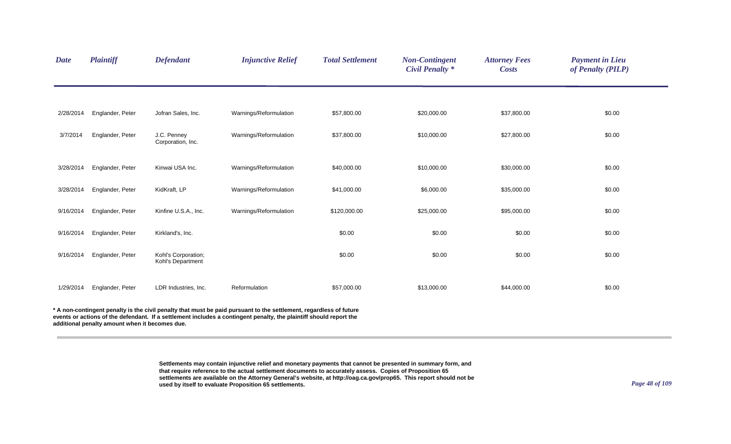| <b>Date</b> | <b>Plaintiff</b> | <b>Defendant</b>                         | <b>Injunctive Relief</b>                                                                                         | <b>Total Settlement</b> | <b>Non-Contingent</b><br><b>Civil Penalty *</b> | <b>Attorney Fees</b><br><b>Costs</b> | <b>Payment in Lieu</b><br>of Penalty (PILP) |
|-------------|------------------|------------------------------------------|------------------------------------------------------------------------------------------------------------------|-------------------------|-------------------------------------------------|--------------------------------------|---------------------------------------------|
|             |                  |                                          |                                                                                                                  |                         |                                                 |                                      |                                             |
| 2/28/2014   | Englander, Peter | Jofran Sales, Inc.                       | Warnings/Reformulation                                                                                           | \$57,800.00             | \$20,000.00                                     | \$37,800.00                          | \$0.00                                      |
| 3/7/2014    | Englander, Peter | J.C. Penney<br>Corporation, Inc.         | Warnings/Reformulation                                                                                           | \$37,800.00             | \$10,000.00                                     | \$27,800.00                          | \$0.00                                      |
| 3/28/2014   | Englander, Peter | Kinwai USA Inc.                          | Warnings/Reformulation                                                                                           | \$40,000.00             | \$10,000.00                                     | \$30,000.00                          | \$0.00                                      |
| 3/28/2014   | Englander, Peter | KidKraft, LP                             | Warnings/Reformulation                                                                                           | \$41,000.00             | \$6,000.00                                      | \$35,000.00                          | \$0.00                                      |
| 9/16/2014   | Englander, Peter | Kinfine U.S.A., Inc.                     | Warnings/Reformulation                                                                                           | \$120,000.00            | \$25,000.00                                     | \$95,000.00                          | \$0.00                                      |
| 9/16/2014   | Englander, Peter | Kirkland's, Inc.                         |                                                                                                                  | \$0.00                  | \$0.00                                          | \$0.00                               | \$0.00                                      |
| 9/16/2014   | Englander, Peter | Kohl's Corporation;<br>Kohl's Department |                                                                                                                  | \$0.00                  | \$0.00                                          | \$0.00                               | \$0.00                                      |
| 1/29/2014   | Englander, Peter | LDR Industries, Inc.                     | Reformulation                                                                                                    | \$57,000.00             | \$13,000.00                                     | \$44,000.00                          | \$0.00                                      |
|             |                  |                                          | A non-contingent penalty is the civil penalty that must be paid pursuant to the settlement, regardless of future |                         |                                                 |                                      |                                             |

**events or actions of the defendant. If a settlement includes a contingent penalty, the plaintiff should report the** 

**additional penalty amount when it becomes due.**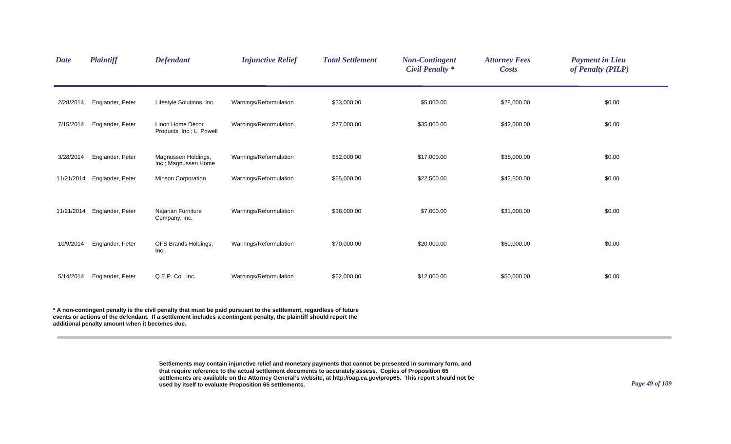| <b>Date</b> | <b>Plaintiff</b> | <b>Defendant</b>                              | <b>Injunctive Relief</b> | <b>Total Settlement</b> | <b>Non-Contingent</b><br><b>Civil Penalty</b> * | <b>Attorney Fees</b><br><b>Costs</b> | <b>Payment in Lieu</b><br>of Penalty (PILP) |
|-------------|------------------|-----------------------------------------------|--------------------------|-------------------------|-------------------------------------------------|--------------------------------------|---------------------------------------------|
| 2/28/2014   | Englander, Peter | Lifestyle Solutions, Inc.                     | Warnings/Reformulation   | \$33,000.00             | \$5,000.00                                      | \$28,000.00                          | \$0.00                                      |
| 7/15/2014   | Englander, Peter | Linon Home Décor<br>Products, Inc.; L. Powell | Warnings/Reformulation   | \$77,000.00             | \$35,000.00                                     | \$42,000.00                          | \$0.00                                      |
| 3/28/2014   | Englander, Peter | Magnussen Holdings,<br>Inc.; Magnussen Home   | Warnings/Reformulation   | \$52,000.00             | \$17,000.00                                     | \$35,000.00                          | \$0.00                                      |
| 11/21/2014  | Englander, Peter | Minson Corporation                            | Warnings/Reformulation   | \$65,000.00             | \$22,500.00                                     | \$42,500.00                          | \$0.00                                      |
| 11/21/2014  | Englander, Peter | Najarian Furniture<br>Company, Inc.           | Warnings/Reformulation   | \$38,000.00             | \$7,000.00                                      | \$31,000.00                          | \$0.00                                      |
| 10/9/2014   | Englander, Peter | OFS Brands Holdings,<br>Inc.                  | Warnings/Reformulation   | \$70,000.00             | \$20,000.00                                     | \$50,000.00                          | \$0.00                                      |
| 5/14/2014   | Englander, Peter | Q.E.P. Co., Inc.                              | Warnings/Reformulation   | \$62,000.00             | \$12,000.00                                     | \$50,000.00                          | \$0.00                                      |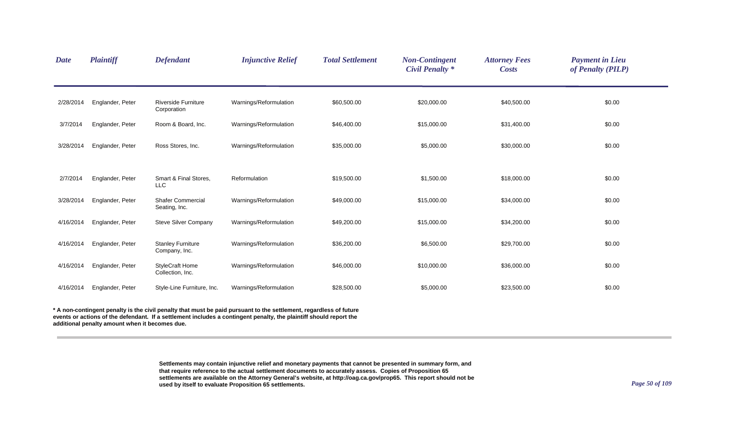| <b>Plaintiff</b>                                                                        | <b>Defendant</b>                           | <b>Injunctive Relief</b> | <b>Total Settlement</b> | <b>Non-Contingent</b><br><b>Civil Penalty *</b> | <b>Attorney Fees</b><br><b>Costs</b> | <b>Payment in Lieu</b><br>of Penalty (PILP) |
|-----------------------------------------------------------------------------------------|--------------------------------------------|--------------------------|-------------------------|-------------------------------------------------|--------------------------------------|---------------------------------------------|
| Englander, Peter                                                                        | <b>Riverside Furniture</b><br>Corporation  | Warnings/Reformulation   | \$60,500.00             | \$20,000.00                                     | \$40,500.00                          | \$0.00                                      |
| Englander, Peter                                                                        | Room & Board, Inc.                         | Warnings/Reformulation   | \$46,400.00             | \$15,000.00                                     | \$31,400.00                          | \$0.00                                      |
| Englander, Peter                                                                        | Ross Stores, Inc.                          | Warnings/Reformulation   | \$35,000.00             | \$5,000.00                                      | \$30,000.00                          | \$0.00                                      |
| Englander, Peter                                                                        | Smart & Final Stores,<br><b>LLC</b>        | Reformulation            | \$19,500.00             | \$1,500.00                                      | \$18,000.00                          | \$0.00                                      |
| Englander, Peter                                                                        | <b>Shafer Commercial</b><br>Seating, Inc.  | Warnings/Reformulation   | \$49,000.00             | \$15,000.00                                     | \$34,000.00                          | \$0.00                                      |
| Englander, Peter                                                                        | <b>Steve Silver Company</b>                | Warnings/Reformulation   | \$49,200.00             | \$15,000.00                                     | \$34,200.00                          | \$0.00                                      |
| Englander, Peter                                                                        | <b>Stanley Furniture</b><br>Company, Inc.  | Warnings/Reformulation   | \$36,200.00             | \$6,500.00                                      | \$29,700.00                          | \$0.00                                      |
| Englander, Peter                                                                        | <b>StyleCraft Home</b><br>Collection, Inc. | Warnings/Reformulation   | \$46,000.00             | \$10,000.00                                     | \$36,000.00                          | \$0.00                                      |
| Englander, Peter                                                                        | Style-Line Furniture, Inc.                 | Warnings/Reformulation   | \$28,500.00             | \$5,000.00                                      | \$23,500.00                          | \$0.00                                      |
| 2/28/2014<br>3/28/2014<br>3/28/2014<br>4/16/2014<br>4/16/2014<br>4/16/2014<br>4/16/2014 |                                            |                          |                         |                                                 |                                      |                                             |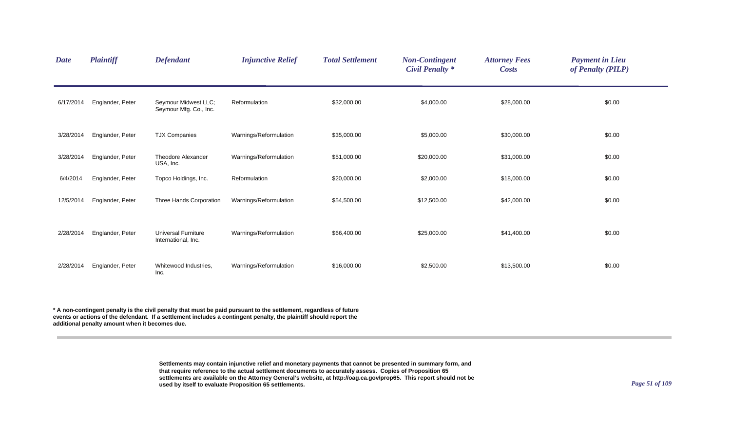| <b>Date</b> | <b>Plaintiff</b> | <b>Defendant</b>                                  | <b>Injunctive Relief</b> | <b>Total Settlement</b> | <b>Non-Contingent</b><br><b>Civil Penalty *</b> | <b>Attorney Fees</b><br><b>Costs</b> | <b>Payment in Lieu</b><br>of Penalty (PILP) |
|-------------|------------------|---------------------------------------------------|--------------------------|-------------------------|-------------------------------------------------|--------------------------------------|---------------------------------------------|
| 6/17/2014   | Englander, Peter | Seymour Midwest LLC;<br>Seymour Mfg. Co., Inc.    | Reformulation            | \$32,000.00             | \$4,000.00                                      | \$28,000.00                          | \$0.00                                      |
| 3/28/2014   | Englander, Peter | <b>TJX Companies</b>                              | Warnings/Reformulation   | \$35,000.00             | \$5,000.00                                      | \$30,000.00                          | \$0.00                                      |
| 3/28/2014   | Englander, Peter | <b>Theodore Alexander</b><br>USA, Inc.            | Warnings/Reformulation   | \$51,000.00             | \$20,000.00                                     | \$31,000.00                          | \$0.00                                      |
| 6/4/2014    | Englander, Peter | Topco Holdings, Inc.                              | Reformulation            | \$20,000.00             | \$2,000.00                                      | \$18,000.00                          | \$0.00                                      |
| 12/5/2014   | Englander, Peter | Three Hands Corporation                           | Warnings/Reformulation   | \$54,500.00             | \$12,500.00                                     | \$42,000.00                          | \$0.00                                      |
| 2/28/2014   | Englander, Peter | <b>Universal Furniture</b><br>International, Inc. | Warnings/Reformulation   | \$66,400.00             | \$25,000.00                                     | \$41,400.00                          | \$0.00                                      |
| 2/28/2014   | Englander, Peter | Whitewood Industries,<br>Inc.                     | Warnings/Reformulation   | \$16,000.00             | \$2,500.00                                      | \$13,500.00                          | \$0.00                                      |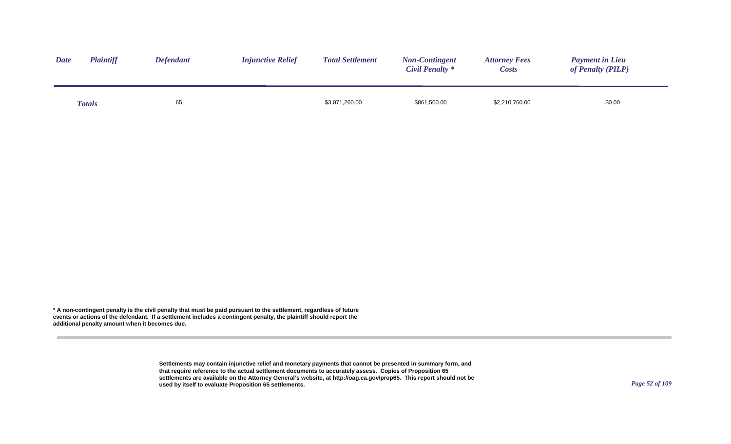| <b>Date</b> | <b>Plaintiff</b> | <b>Defendant</b> | <b>Injunctive Relief</b> | <b>Total Settlement</b> | <b>Non-Contingent</b><br><b>Civil Penalty *</b> | <b>Attorney Fees</b><br><i>Costs</i> | <b>Payment in Lieu</b><br>of Penalty (PILP) |
|-------------|------------------|------------------|--------------------------|-------------------------|-------------------------------------------------|--------------------------------------|---------------------------------------------|
|             | <b>Totals</b>    | 65               |                          | \$3,071,260.00          | \$861,500.00                                    | \$2,210,760.00                       | \$0.00                                      |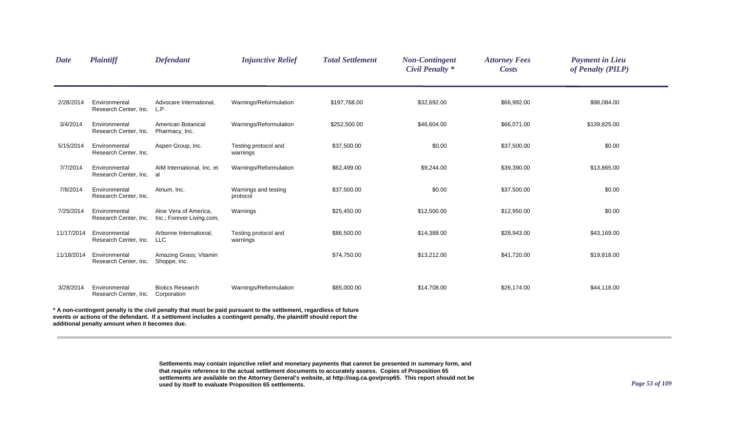| <b>Date</b> | <b>Plaintiff</b>                               | <b>Defendant</b>                                   | <b>Injunctive Relief</b>                                                                                                                                                                                                               | <b>Total Settlement</b> | <b>Non-Contingent</b><br><b>Civil Penalty *</b> | <b>Attorney Fees</b><br><b>Costs</b> | <b>Payment in Lieu</b><br>of Penalty (PILP) |  |
|-------------|------------------------------------------------|----------------------------------------------------|----------------------------------------------------------------------------------------------------------------------------------------------------------------------------------------------------------------------------------------|-------------------------|-------------------------------------------------|--------------------------------------|---------------------------------------------|--|
| 2/28/2014   | Environmental<br>Research Center, Inc.         | Advocare International,<br>L.P.                    | Warnings/Reformulation                                                                                                                                                                                                                 | \$197,768.00            | \$32,692.00                                     | \$66,992.00                          | \$98,084.00                                 |  |
| 3/4/2014    | Environmental<br>Research Center, Inc.         | American Botanical<br>Pharmacy, Inc.               | Warnings/Reformulation                                                                                                                                                                                                                 | \$252,500.00            | \$46,604.00                                     | \$66,071.00                          | \$139,825.00                                |  |
| 5/15/2014   | Environmental<br>Research Center, Inc.         | Aspen Group, Inc.                                  | Testing protocol and<br>warnings                                                                                                                                                                                                       | \$37,500.00             | \$0.00                                          | \$37,500.00                          | \$0.00                                      |  |
| 7/7/2014    | Environmental<br>Research Center, Inc.         | AIM International, Inc. et<br>al                   | Warnings/Reformulation                                                                                                                                                                                                                 | \$62,499.00             | \$9,244.00                                      | \$39,390.00                          | \$13,865.00                                 |  |
| 7/8/2014    | Environmental<br>Research Center, Inc.         | Atrium, Inc.                                       | Warnings and testing<br>protocol                                                                                                                                                                                                       | \$37,500.00             | \$0.00                                          | \$37,500.00                          | \$0.00                                      |  |
| 7/25/2014   | Environmental<br>Research Center, Inc.         | Aloe Vera of America,<br>Inc.; Forever Living.com, | Warnings                                                                                                                                                                                                                               | \$25,450.00             | \$12,500.00                                     | \$12,950.00                          | \$0.00                                      |  |
| 11/17/2014  | Environmental<br>Research Center, Inc.         | Arbonne International,<br><b>LLC</b>               | Testing protocol and<br>warnings                                                                                                                                                                                                       | \$86,500.00             | \$14,388.00                                     | \$28,943.00                          | \$43,169.00                                 |  |
| 11/18/2014  | Environmental<br>Research Center, Inc.         | Amazing Grass; Vitamin<br>Shoppe, Inc.             |                                                                                                                                                                                                                                        | \$74,750.00             | \$13,212.00                                     | \$41,720.00                          | \$19,818.00                                 |  |
| 3/28/2014   | Environmental<br>Research Center, Inc.         | <b>Biotics Research</b><br>Corporation             | Warnings/Reformulation                                                                                                                                                                                                                 | \$85,000.00             | \$14,708.00                                     | \$26,174.00                          | \$44,118.00                                 |  |
|             | additional penalty amount when it becomes due. |                                                    | A non-contingent penalty is the civil penalty that must be paid pursuant to the settlement, regardless of future<br>events or actions of the defendant. If a settlement includes a contingent penalty, the plaintiff should report the |                         |                                                 |                                      |                                             |  |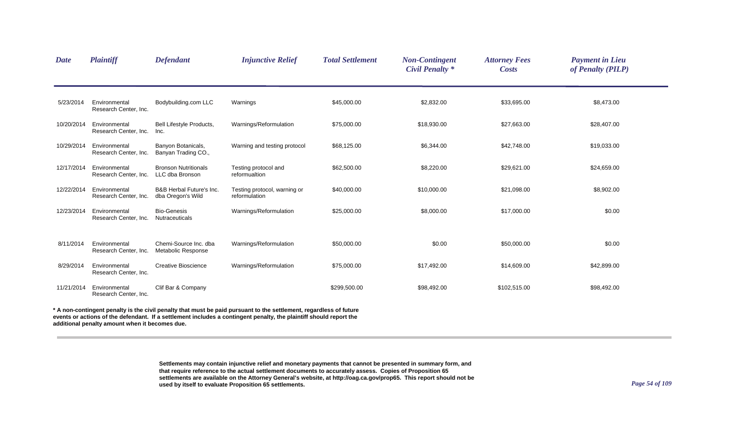| <b>Date</b> | Plaintiff                              | <b>Defendant</b>                                         | <b>Injunctive Relief</b>                                                                                                                                                                                                                 | <b>Total Settlement</b> | <b>Non-Contingent</b><br><b>Civil Penalty *</b> | <b>Attorney Fees</b><br><b>Costs</b> | <b>Payment in Lieu</b><br>of Penalty (PILP) |  |
|-------------|----------------------------------------|----------------------------------------------------------|------------------------------------------------------------------------------------------------------------------------------------------------------------------------------------------------------------------------------------------|-------------------------|-------------------------------------------------|--------------------------------------|---------------------------------------------|--|
| 5/23/2014   | Environmental<br>Research Center, Inc. | Bodybuilding.com LLC                                     | Warnings                                                                                                                                                                                                                                 | \$45,000.00             | \$2,832.00                                      | \$33,695.00                          | \$8,473.00                                  |  |
| 10/20/2014  | Environmental<br>Research Center, Inc. | Bell Lifestyle Products,<br>Inc.                         | Warnings/Reformulation                                                                                                                                                                                                                   | \$75,000.00             | \$18,930.00                                     | \$27,663.00                          | \$28,407.00                                 |  |
| 10/29/2014  | Environmental<br>Research Center, Inc. | Banyon Botanicals,<br>Banyan Trading CO.,                | Warning and testing protocol                                                                                                                                                                                                             | \$68,125.00             | \$6,344.00                                      | \$42,748.00                          | \$19,033.00                                 |  |
| 12/17/2014  | Environmental<br>Research Center, Inc. | <b>Bronson Nutritionals</b><br>LLC dba Bronson           | Testing protocol and<br>reformualtion                                                                                                                                                                                                    | \$62,500.00             | \$8,220.00                                      | \$29,621.00                          | \$24,659.00                                 |  |
| 12/22/2014  | Environmental<br>Research Center, Inc. | <b>B&amp;B Herbal Future's Inc.</b><br>dba Oregon's Wild | Testing protocol, warning or<br>reformulation                                                                                                                                                                                            | \$40,000.00             | \$10,000.00                                     | \$21,098.00                          | \$8,902.00                                  |  |
| 12/23/2014  | Environmental<br>Research Center, Inc. | <b>Bio-Genesis</b><br><b>Nutraceuticals</b>              | Warnings/Reformulation                                                                                                                                                                                                                   | \$25,000.00             | \$8,000.00                                      | \$17,000.00                          | \$0.00                                      |  |
| 8/11/2014   | Environmental<br>Research Center, Inc. | Chemi-Source Inc. dba<br>Metabolic Response              | Warnings/Reformulation                                                                                                                                                                                                                   | \$50,000.00             | \$0.00                                          | \$50,000.00                          | \$0.00                                      |  |
| 8/29/2014   | Environmental<br>Research Center, Inc. | <b>Creative Bioscience</b>                               | Warnings/Reformulation                                                                                                                                                                                                                   | \$75,000.00             | \$17,492.00                                     | \$14,609.00                          | \$42,899.00                                 |  |
| 11/21/2014  | Environmental<br>Research Center, Inc. | Clif Bar & Company                                       |                                                                                                                                                                                                                                          | \$299,500.00            | \$98,492.00                                     | \$102,515.00                         | \$98,492.00                                 |  |
|             |                                        |                                                          | * A non-contingent penalty is the civil penalty that must be paid pursuant to the settlement, regardless of future<br>events or actions of the defendant. If a settlement includes a contingent penalty, the plaintiff should report the |                         |                                                 |                                      |                                             |  |

**additional penalty amount when it becomes due.**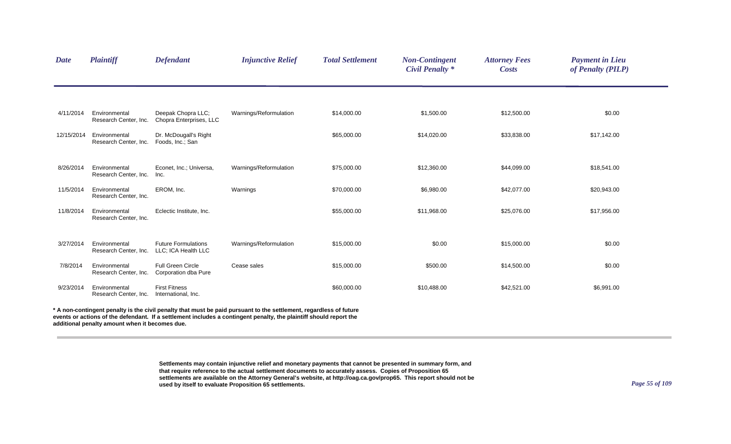| <b>Date</b> | Plaintiff                                      | <b>Defendant</b>                                  | <b>Injunctive Relief</b>                                                                                                                                                                                                                 | <b>Total Settlement</b> | <b>Non-Contingent</b><br><b>Civil Penalty *</b> | <b>Attorney Fees</b><br><b>Costs</b> | <b>Payment in Lieu</b><br>of Penalty (PILP) |
|-------------|------------------------------------------------|---------------------------------------------------|------------------------------------------------------------------------------------------------------------------------------------------------------------------------------------------------------------------------------------------|-------------------------|-------------------------------------------------|--------------------------------------|---------------------------------------------|
|             |                                                |                                                   |                                                                                                                                                                                                                                          |                         |                                                 |                                      |                                             |
| 4/11/2014   | Environmental<br>Research Center, Inc.         | Deepak Chopra LLC;<br>Chopra Enterprises, LLC     | Warnings/Reformulation                                                                                                                                                                                                                   | \$14,000.00             | \$1,500.00                                      | \$12,500.00                          | \$0.00                                      |
| 12/15/2014  | Environmental<br>Research Center, Inc.         | Dr. McDougall's Right<br>Foods, Inc.; San         |                                                                                                                                                                                                                                          | \$65,000.00             | \$14,020.00                                     | \$33,838.00                          | \$17,142.00                                 |
| 8/26/2014   | Environmental<br>Research Center, Inc.         | Econet, Inc.; Universa,<br>Inc.                   | Warnings/Reformulation                                                                                                                                                                                                                   | \$75,000.00             | \$12,360.00                                     | \$44,099.00                          | \$18,541.00                                 |
| 11/5/2014   | Environmental<br>Research Center, Inc.         | EROM, Inc.                                        | Warnings                                                                                                                                                                                                                                 | \$70,000.00             | \$6,980.00                                      | \$42,077.00                          | \$20,943.00                                 |
| 11/8/2014   | Environmental<br>Research Center, Inc.         | Eclectic Institute, Inc.                          |                                                                                                                                                                                                                                          | \$55,000.00             | \$11,968.00                                     | \$25,076.00                          | \$17,956.00                                 |
| 3/27/2014   | Environmental<br>Research Center, Inc.         | <b>Future Formulations</b><br>LLC; ICA Health LLC | Warnings/Reformulation                                                                                                                                                                                                                   | \$15,000.00             | \$0.00                                          | \$15,000.00                          | \$0.00                                      |
| 7/8/2014    | Environmental<br>Research Center, Inc.         | Full Green Circle<br>Corporation dba Pure         | Cease sales                                                                                                                                                                                                                              | \$15,000.00             | \$500.00                                        | \$14,500.00                          | \$0.00                                      |
| 9/23/2014   | Environmental<br>Research Center, Inc.         | <b>First Fitness</b><br>International, Inc.       |                                                                                                                                                                                                                                          | \$60,000.00             | \$10,488.00                                     | \$42,521.00                          | \$6,991.00                                  |
|             | additional penalty amount when it becomes due. |                                                   | * A non-contingent penalty is the civil penalty that must be paid pursuant to the settlement, regardless of future<br>events or actions of the defendant. If a settlement includes a contingent penalty, the plaintiff should report the |                         |                                                 |                                      |                                             |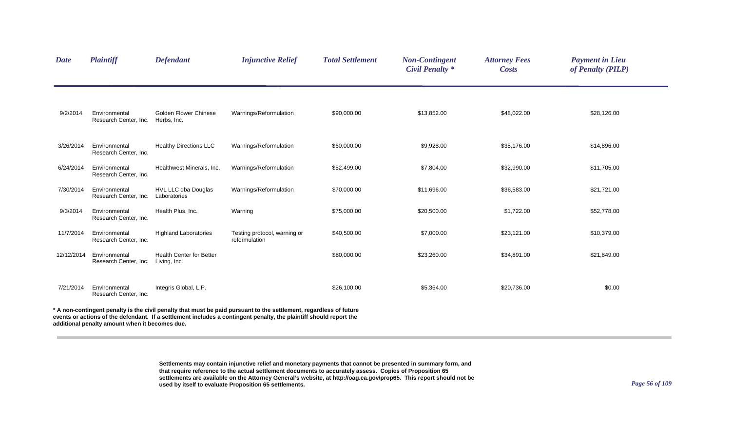| <b>Date</b> | Plaintiff                                      | <b>Defendant</b>                                | <b>Injunctive Relief</b>                                                                                                                                                                                                               | <b>Total Settlement</b> | <b>Non-Contingent</b><br><b>Civil Penalty *</b> | <b>Attorney Fees</b><br><b>Costs</b> | <b>Payment in Lieu</b><br>of Penalty (PILP) |  |
|-------------|------------------------------------------------|-------------------------------------------------|----------------------------------------------------------------------------------------------------------------------------------------------------------------------------------------------------------------------------------------|-------------------------|-------------------------------------------------|--------------------------------------|---------------------------------------------|--|
| 9/2/2014    | Environmental<br>Research Center, Inc.         | <b>Golden Flower Chinese</b><br>Herbs, Inc.     | Warnings/Reformulation                                                                                                                                                                                                                 | \$90,000.00             | \$13,852.00                                     | \$48,022.00                          | \$28,126.00                                 |  |
| 3/26/2014   | Environmental<br>Research Center, Inc.         | <b>Healthy Directions LLC</b>                   | Warnings/Reformulation                                                                                                                                                                                                                 | \$60,000.00             | \$9,928.00                                      | \$35,176.00                          | \$14,896.00                                 |  |
| 6/24/2014   | Environmental<br>Research Center, Inc.         | Healthwest Minerals, Inc.                       | Warnings/Reformulation                                                                                                                                                                                                                 | \$52,499.00             | \$7,804.00                                      | \$32,990.00                          | \$11,705.00                                 |  |
| 7/30/2014   | Environmental<br>Research Center, Inc.         | HVL LLC dba Douglas<br>Laboratories             | Warnings/Reformulation                                                                                                                                                                                                                 | \$70,000.00             | \$11,696.00                                     | \$36,583.00                          | \$21,721.00                                 |  |
| 9/3/2014    | Environmental<br>Research Center, Inc.         | Health Plus, Inc.                               | Warning                                                                                                                                                                                                                                | \$75,000.00             | \$20,500.00                                     | \$1,722.00                           | \$52,778.00                                 |  |
| 11/7/2014   | Environmental<br>Research Center, Inc.         | <b>Highland Laboratories</b>                    | Testing protocol, warning or<br>reformulation                                                                                                                                                                                          | \$40,500.00             | \$7,000.00                                      | \$23,121.00                          | \$10,379.00                                 |  |
| 12/12/2014  | Environmental<br>Research Center, Inc.         | <b>Health Center for Better</b><br>Living, Inc. |                                                                                                                                                                                                                                        | \$80,000.00             | \$23,260.00                                     | \$34,891.00                          | \$21,849.00                                 |  |
| 7/21/2014   | Environmental<br>Research Center, Inc.         | Integris Global, L.P.                           |                                                                                                                                                                                                                                        | \$26,100.00             | \$5,364.00                                      | \$20,736.00                          | \$0.00                                      |  |
|             | additional penalty amount when it becomes due. |                                                 | A non-contingent penalty is the civil penalty that must be paid pursuant to the settlement, regardless of future<br>events or actions of the defendant. If a settlement includes a contingent penalty, the plaintiff should report the |                         |                                                 |                                      |                                             |  |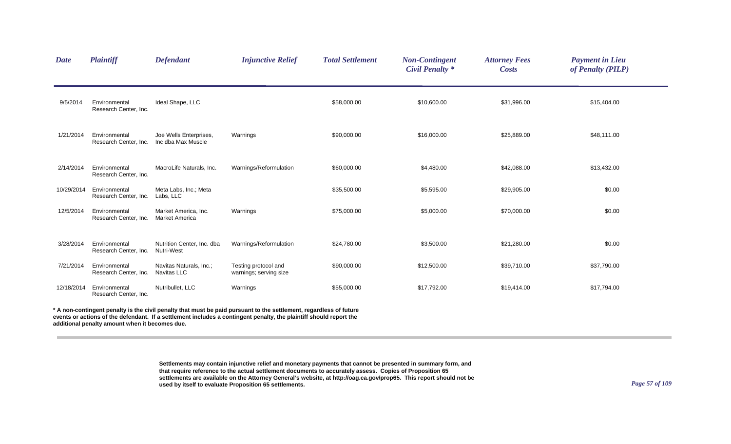| <b>Date</b> | <b>Plaintiff</b>                       | <b>Defendant</b>                              | <b>Injunctive Relief</b>                                                                                                                                                                                                                 | <b>Total Settlement</b> | <b>Non-Contingent</b><br><b>Civil Penalty *</b> | <b>Attorney Fees</b><br><b>Costs</b> | <b>Payment in Lieu</b><br>of Penalty (PILP) |  |
|-------------|----------------------------------------|-----------------------------------------------|------------------------------------------------------------------------------------------------------------------------------------------------------------------------------------------------------------------------------------------|-------------------------|-------------------------------------------------|--------------------------------------|---------------------------------------------|--|
| 9/5/2014    | Environmental<br>Research Center, Inc. | Ideal Shape, LLC                              |                                                                                                                                                                                                                                          | \$58,000.00             | \$10,600.00                                     | \$31,996.00                          | \$15,404.00                                 |  |
| 1/21/2014   | Environmental<br>Research Center, Inc. | Joe Wells Enterprises,<br>Inc dba Max Muscle  | Warnings                                                                                                                                                                                                                                 | \$90,000.00             | \$16,000.00                                     | \$25,889.00                          | \$48,111.00                                 |  |
| 2/14/2014   | Environmental<br>Research Center, Inc. | MacroLife Naturals, Inc.                      | Warnings/Reformulation                                                                                                                                                                                                                   | \$60,000.00             | \$4,480.00                                      | \$42,088.00                          | \$13,432.00                                 |  |
| 10/29/2014  | Environmental<br>Research Center, Inc. | Meta Labs, Inc.; Meta<br>Labs, LLC            |                                                                                                                                                                                                                                          | \$35,500.00             | \$5,595.00                                      | \$29,905.00                          | \$0.00                                      |  |
| 12/5/2014   | Environmental<br>Research Center, Inc. | Market America, Inc.<br><b>Market America</b> | Warnings                                                                                                                                                                                                                                 | \$75,000.00             | \$5,000.00                                      | \$70,000.00                          | \$0.00                                      |  |
| 3/28/2014   | Environmental<br>Research Center, Inc. | Nutrition Center, Inc. dba<br>Nutri-West      | Warnings/Reformulation                                                                                                                                                                                                                   | \$24,780.00             | \$3,500.00                                      | \$21,280.00                          | \$0.00                                      |  |
| 7/21/2014   | Environmental<br>Research Center, Inc. | Navitas Naturals, Inc.;<br><b>Navitas LLC</b> | Testing protocol and<br>warnings; serving size                                                                                                                                                                                           | \$90,000.00             | \$12,500.00                                     | \$39,710.00                          | \$37,790.00                                 |  |
| 12/18/2014  | Environmental<br>Research Center, Inc. | Nutribullet, LLC                              | Warnings                                                                                                                                                                                                                                 | \$55,000.00             | \$17,792.00                                     | \$19,414.00                          | \$17,794.00                                 |  |
|             |                                        |                                               | * A non-contingent penalty is the civil penalty that must be paid pursuant to the settlement, regardless of future<br>events or actions of the defendant. If a settlement includes a contingent penalty, the plaintiff should report the |                         |                                                 |                                      |                                             |  |

**additional penalty amount when it becomes due.**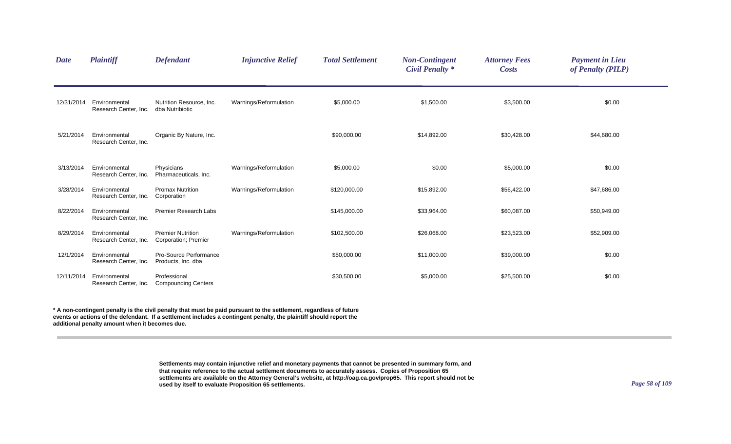| <b>Date</b> | <b>Plaintiff</b>                       | <b>Defendant</b>                                 | <b>Injunctive Relief</b> | <b>Total Settlement</b> | <b>Non-Contingent</b><br><b>Civil Penalty *</b> | <b>Attorney Fees</b><br><b>Costs</b> | <b>Payment in Lieu</b><br>of Penalty (PILP) |  |
|-------------|----------------------------------------|--------------------------------------------------|--------------------------|-------------------------|-------------------------------------------------|--------------------------------------|---------------------------------------------|--|
| 12/31/2014  | Environmental<br>Research Center, Inc. | Nutrition Resource, Inc.<br>dba Nutribiotic      | Warnings/Reformulation   | \$5,000.00              | \$1,500.00                                      | \$3,500.00                           | \$0.00                                      |  |
| 5/21/2014   | Environmental<br>Research Center, Inc. | Organic By Nature, Inc.                          |                          | \$90,000.00             | \$14,892.00                                     | \$30,428.00                          | \$44,680.00                                 |  |
| 3/13/2014   | Environmental<br>Research Center, Inc. | Physicians<br>Pharmaceuticals, Inc.              | Warnings/Reformulation   | \$5,000.00              | \$0.00                                          | \$5,000.00                           | \$0.00                                      |  |
| 3/28/2014   | Environmental<br>Research Center, Inc. | <b>Promax Nutrition</b><br>Corporation           | Warnings/Reformulation   | \$120,000.00            | \$15,892.00                                     | \$56,422.00                          | \$47,686.00                                 |  |
| 8/22/2014   | Environmental<br>Research Center, Inc. | <b>Premier Research Labs</b>                     |                          | \$145,000.00            | \$33,964.00                                     | \$60,087.00                          | \$50,949.00                                 |  |
| 8/29/2014   | Environmental<br>Research Center, Inc. | <b>Premier Nutrition</b><br>Corporation; Premier | Warnings/Reformulation   | \$102,500.00            | \$26,068.00                                     | \$23,523.00                          | \$52,909.00                                 |  |
| 12/1/2014   | Environmental<br>Research Center, Inc. | Pro-Source Performance<br>Products, Inc. dba     |                          | \$50,000.00             | \$11,000.00                                     | \$39,000.00                          | \$0.00                                      |  |
| 12/11/2014  | Environmental<br>Research Center, Inc. | Professional<br><b>Compounding Centers</b>       |                          | \$30,500.00             | \$5,000.00                                      | \$25,500.00                          | \$0.00                                      |  |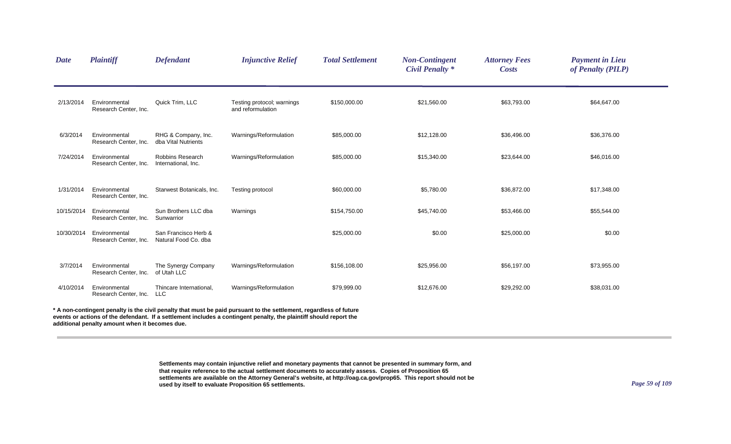| <b>Date</b> | <b>Plaintiff</b>                       | <b>Defendant</b>                               | <b>Injunctive Relief</b>                                                                                                                                                                                                               | <b>Total Settlement</b> | <b>Non-Contingent</b><br><b>Civil Penalty *</b> | <b>Attorney Fees</b><br>Costs | <b>Payment in Lieu</b><br>of Penalty (PILP) |  |
|-------------|----------------------------------------|------------------------------------------------|----------------------------------------------------------------------------------------------------------------------------------------------------------------------------------------------------------------------------------------|-------------------------|-------------------------------------------------|-------------------------------|---------------------------------------------|--|
| 2/13/2014   | Environmental<br>Research Center, Inc. | Quick Trim, LLC                                | Testing protocol; warnings<br>and reformulation                                                                                                                                                                                        | \$150,000.00            | \$21,560.00                                     | \$63,793.00                   | \$64,647.00                                 |  |
| 6/3/2014    | Environmental<br>Research Center, Inc. | RHG & Company, Inc.<br>dba Vital Nutrients     | Warnings/Reformulation                                                                                                                                                                                                                 | \$85,000.00             | \$12,128.00                                     | \$36,496.00                   | \$36,376.00                                 |  |
| 7/24/2014   | Environmental<br>Research Center, Inc. | <b>Robbins Research</b><br>International, Inc. | Warnings/Reformulation                                                                                                                                                                                                                 | \$85,000.00             | \$15,340.00                                     | \$23,644.00                   | \$46,016.00                                 |  |
| 1/31/2014   | Environmental<br>Research Center, Inc. | Starwest Botanicals, Inc.                      | Testing protocol                                                                                                                                                                                                                       | \$60,000.00             | \$5,780.00                                      | \$36,872.00                   | \$17,348.00                                 |  |
| 10/15/2014  | Environmental<br>Research Center, Inc. | Sun Brothers LLC dba<br>Sunwarrior             | Warnings                                                                                                                                                                                                                               | \$154,750.00            | \$45,740.00                                     | \$53,466.00                   | \$55,544.00                                 |  |
| 10/30/2014  | Environmental<br>Research Center, Inc. | San Francisco Herb &<br>Natural Food Co. dba   |                                                                                                                                                                                                                                        | \$25,000.00             | \$0.00                                          | \$25,000.00                   | \$0.00                                      |  |
| 3/7/2014    | Environmental<br>Research Center, Inc. | The Synergy Company<br>of Utah LLC             | Warnings/Reformulation                                                                                                                                                                                                                 | \$156,108.00            | \$25,956.00                                     | \$56,197.00                   | \$73,955.00                                 |  |
| 4/10/2014   | Environmental<br>Research Center, Inc. | Thincare International,<br>LLC                 | Warnings/Reformulation                                                                                                                                                                                                                 | \$79,999.00             | \$12,676.00                                     | \$29,292.00                   | \$38,031.00                                 |  |
|             |                                        |                                                | A non-contingent penalty is the civil penalty that must be paid pursuant to the settlement, regardless of future<br>events or actions of the defendant. If a settlement includes a contingent penalty, the plaintiff should report the |                         |                                                 |                               |                                             |  |

**additional penalty amount when it becomes due.**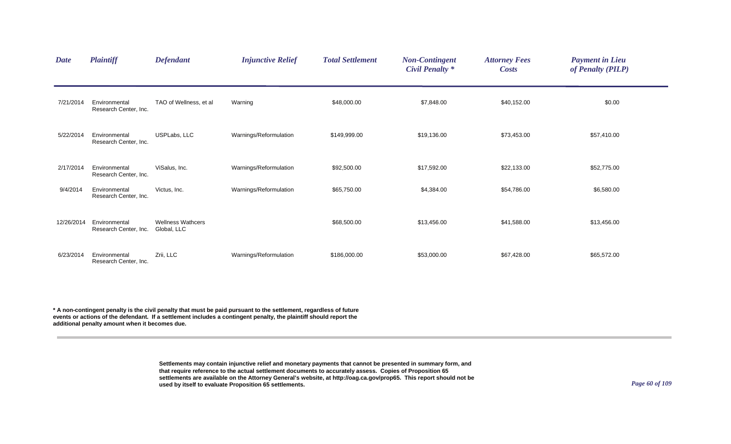| <b>Date</b> | <b>Plaintiff</b>                       | <b>Defendant</b>                        | <b>Injunctive Relief</b> | <b>Total Settlement</b> | <b>Non-Contingent</b><br><b>Civil Penalty *</b> | <b>Attorney Fees</b><br><b>Costs</b> | <b>Payment in Lieu</b><br>of Penalty (PILP) |
|-------------|----------------------------------------|-----------------------------------------|--------------------------|-------------------------|-------------------------------------------------|--------------------------------------|---------------------------------------------|
| 7/21/2014   | Environmental<br>Research Center, Inc. | TAO of Wellness, et al                  | Warning                  | \$48,000.00             | \$7,848.00                                      | \$40,152.00                          | \$0.00                                      |
| 5/22/2014   | Environmental<br>Research Center, Inc. | USPLabs, LLC                            | Warnings/Reformulation   | \$149,999.00            | \$19,136.00                                     | \$73,453.00                          | \$57,410.00                                 |
| 2/17/2014   | Environmental<br>Research Center, Inc. | ViSalus, Inc.                           | Warnings/Reformulation   | \$92,500.00             | \$17,592.00                                     | \$22,133.00                          | \$52,775.00                                 |
| 9/4/2014    | Environmental<br>Research Center, Inc. | Victus, Inc.                            | Warnings/Reformulation   | \$65,750.00             | \$4,384.00                                      | \$54,786.00                          | \$6,580.00                                  |
| 12/26/2014  | Environmental<br>Research Center, Inc. | <b>Wellness Wathcers</b><br>Global, LLC |                          | \$68,500.00             | \$13,456.00                                     | \$41,588.00                          | \$13,456.00                                 |
| 6/23/2014   | Environmental<br>Research Center, Inc. | Zrii, LLC                               | Warnings/Reformulation   | \$186,000.00            | \$53,000.00                                     | \$67,428.00                          | \$65,572.00                                 |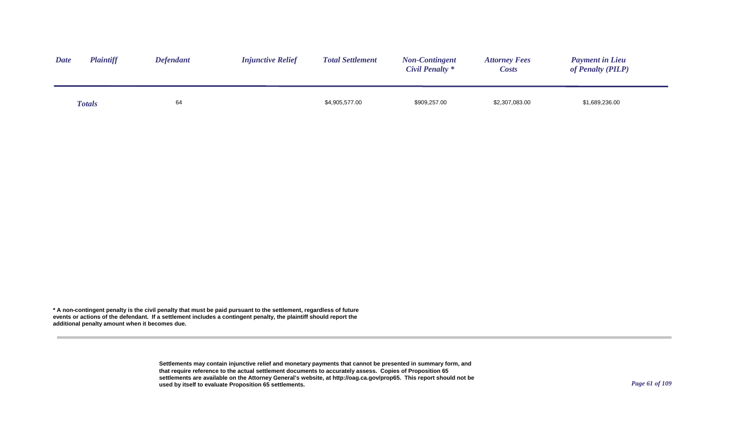| <b>Date</b> | <b>Plaintiff</b> | <b>Defendant</b> | <b>Injunctive Relief</b> | <b>Total Settlement</b> | <b>Non-Contingent</b><br>Civil Penalty * | <b>Attorney Fees</b><br><i>Costs</i> | <b>Payment in Lieu</b><br>of Penalty (PILP) |
|-------------|------------------|------------------|--------------------------|-------------------------|------------------------------------------|--------------------------------------|---------------------------------------------|
|             | <b>Totals</b>    | 64               |                          | \$4,905,577.00          | \$909,257.00                             | \$2,307,083.00                       | \$1,689,236.00                              |

> **Settlements may contain injunctive relief and monetary payments that cannot be presented in summary form, and that require reference to the actual settlement documents to accurately assess. Copies of Proposition 65 settlements are available on the Attorney General's website, at http://oag.ca.gov/prop65. This report should not be used by itself to evaluate Proposition 65 settlements.**

*Page 61 of 109*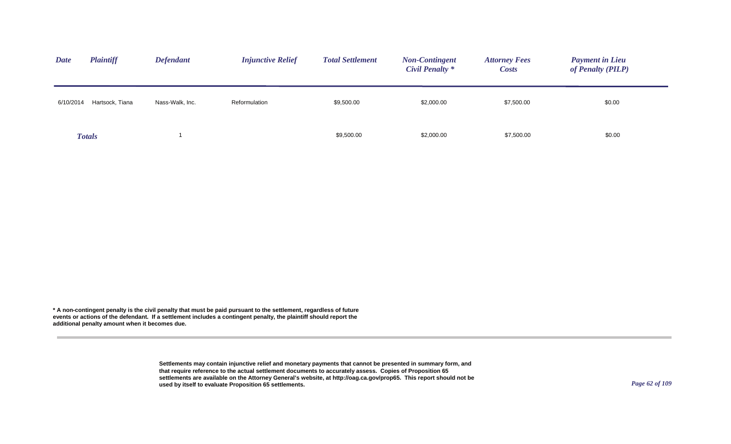| <b>Plaintiff</b><br><b>Date</b> | <b>Defendant</b> | <b>Injunctive Relief</b> | <b>Total Settlement</b> | <b>Non-Contingent</b><br><b>Civil Penalty *</b> | <b>Attorney Fees</b><br><b>Costs</b> | <b>Payment in Lieu</b><br>of Penalty (PILP) |
|---------------------------------|------------------|--------------------------|-------------------------|-------------------------------------------------|--------------------------------------|---------------------------------------------|
| Hartsock, Tiana<br>6/10/2014    | Nass-Walk, Inc.  | Reformulation            | \$9,500.00              | \$2,000.00                                      | \$7,500.00                           | \$0.00                                      |
| <b>Totals</b>                   |                  |                          | \$9,500.00              | \$2,000.00                                      | \$7,500.00                           | \$0.00                                      |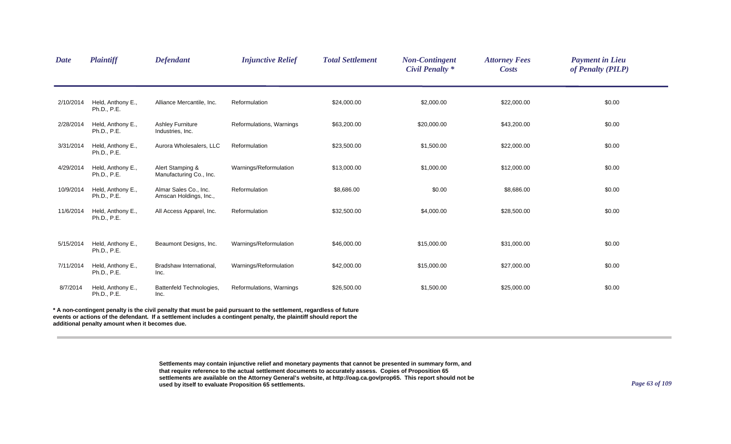| <b>Date</b> | <b>Plaintiff</b>                               | <b>Defendant</b>                                | <b>Injunctive Relief</b>                                                                                                                                                                                                                 | <b>Total Settlement</b> | <b>Non-Contingent</b><br><b>Civil Penalty *</b> | <b>Attorney Fees</b><br><b>Costs</b> | <b>Payment in Lieu</b><br>of Penalty (PILP) |
|-------------|------------------------------------------------|-------------------------------------------------|------------------------------------------------------------------------------------------------------------------------------------------------------------------------------------------------------------------------------------------|-------------------------|-------------------------------------------------|--------------------------------------|---------------------------------------------|
| 2/10/2014   | Held, Anthony E.,<br>Ph.D., P.E.               | Alliance Mercantile, Inc.                       | Reformulation                                                                                                                                                                                                                            | \$24,000.00             | \$2,000.00                                      | \$22,000.00                          | \$0.00                                      |
| 2/28/2014   | Held, Anthony E.,<br>Ph.D., P.E.               | <b>Ashley Furniture</b><br>Industries, Inc.     | Reformulations, Warnings                                                                                                                                                                                                                 | \$63,200.00             | \$20,000.00                                     | \$43,200.00                          | \$0.00                                      |
| 3/31/2014   | Held, Anthony E.,<br>Ph.D., P.E.               | Aurora Wholesalers, LLC                         | Reformulation                                                                                                                                                                                                                            | \$23,500.00             | \$1,500.00                                      | \$22,000.00                          | \$0.00                                      |
| 4/29/2014   | Held, Anthony E.,<br>Ph.D., P.E.               | Alert Stamping &<br>Manufacturing Co., Inc.     | Warnings/Reformulation                                                                                                                                                                                                                   | \$13,000.00             | \$1,000.00                                      | \$12,000.00                          | \$0.00                                      |
| 10/9/2014   | Held, Anthony E.,<br>Ph.D., P.E.               | Almar Sales Co., Inc.<br>Amscan Holdings, Inc., | Reformulation                                                                                                                                                                                                                            | \$8,686.00              | \$0.00                                          | \$8,686.00                           | \$0.00                                      |
| 11/6/2014   | Held, Anthony E.,<br>Ph.D., P.E.               | All Access Apparel, Inc.                        | Reformulation                                                                                                                                                                                                                            | \$32,500.00             | \$4,000.00                                      | \$28,500.00                          | \$0.00                                      |
| 5/15/2014   | Held, Anthony E.,<br>Ph.D., P.E.               | Beaumont Designs, Inc.                          | Warnings/Reformulation                                                                                                                                                                                                                   | \$46,000.00             | \$15,000.00                                     | \$31,000.00                          | \$0.00                                      |
| 7/11/2014   | Held, Anthony E.,<br>Ph.D., P.E.               | Bradshaw International,<br>Inc.                 | Warnings/Reformulation                                                                                                                                                                                                                   | \$42,000.00             | \$15,000.00                                     | \$27,000.00                          | \$0.00                                      |
| 8/7/2014    | Held, Anthony E.,<br>Ph.D., P.E.               | Battenfeld Technologies,<br>Inc.                | Reformulations, Warnings                                                                                                                                                                                                                 | \$26,500.00             | \$1,500.00                                      | \$25,000.00                          | \$0.00                                      |
|             | additional penalty amount when it becomes due. |                                                 | * A non-contingent penalty is the civil penalty that must be paid pursuant to the settlement, regardless of future<br>events or actions of the defendant. If a settlement includes a contingent penalty, the plaintiff should report the |                         |                                                 |                                      |                                             |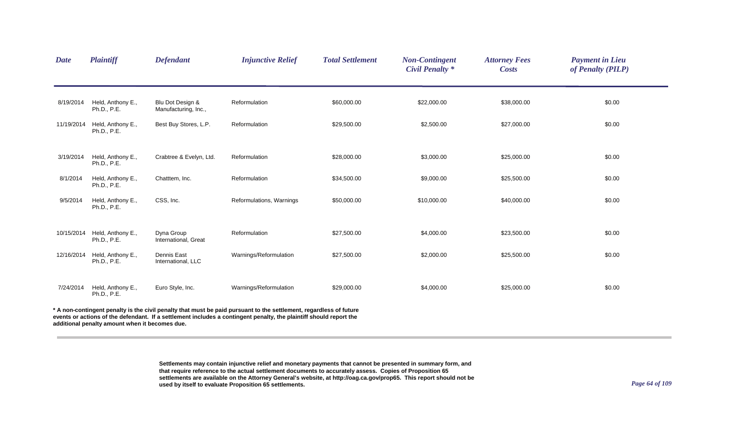| <b>Date</b> | <b>Plaintiff</b>                               | <b>Defendant</b>                         | <b>Injunctive Relief</b>                                                                                                                                                                                                               | <b>Total Settlement</b> | <b>Non-Contingent</b><br><b>Civil Penalty *</b> | <b>Attorney Fees</b><br><b>Costs</b> | <b>Payment in Lieu</b><br>of Penalty (PILP) |
|-------------|------------------------------------------------|------------------------------------------|----------------------------------------------------------------------------------------------------------------------------------------------------------------------------------------------------------------------------------------|-------------------------|-------------------------------------------------|--------------------------------------|---------------------------------------------|
| 8/19/2014   | Held, Anthony E.,<br>Ph.D., P.E.               | Blu Dot Design &<br>Manufacturing, Inc., | Reformulation                                                                                                                                                                                                                          | \$60,000.00             | \$22,000.00                                     | \$38,000.00                          | \$0.00                                      |
| 11/19/2014  | Held, Anthony E.,<br>Ph.D., P.E.               | Best Buy Stores, L.P.                    | Reformulation                                                                                                                                                                                                                          | \$29,500.00             | \$2,500.00                                      | \$27,000.00                          | \$0.00                                      |
| 3/19/2014   | Held, Anthony E.,<br>Ph.D., P.E.               | Crabtree & Evelyn, Ltd.                  | Reformulation                                                                                                                                                                                                                          | \$28,000.00             | \$3,000.00                                      | \$25,000.00                          | \$0.00                                      |
| 8/1/2014    | Held, Anthony E.,<br>Ph.D., P.E.               | Chatttem, Inc.                           | Reformulation                                                                                                                                                                                                                          | \$34,500.00             | \$9,000.00                                      | \$25,500.00                          | \$0.00                                      |
| 9/5/2014    | Held, Anthony E.,<br>Ph.D., P.E.               | CSS, Inc.                                | Reformulations, Warnings                                                                                                                                                                                                               | \$50,000.00             | \$10,000.00                                     | \$40,000.00                          | \$0.00                                      |
| 10/15/2014  | Held, Anthony E.,<br>Ph.D., P.E.               | Dyna Group<br>International, Great       | Reformulation                                                                                                                                                                                                                          | \$27,500.00             | \$4,000.00                                      | \$23,500.00                          | \$0.00                                      |
| 12/16/2014  | Held, Anthony E.,<br>Ph.D., P.E.               | <b>Dennis East</b><br>International, LLC | Warnings/Reformulation                                                                                                                                                                                                                 | \$27,500.00             | \$2,000.00                                      | \$25,500.00                          | \$0.00                                      |
| 7/24/2014   | Held, Anthony E.,<br>Ph.D., P.E.               | Euro Style, Inc.                         | Warnings/Reformulation                                                                                                                                                                                                                 | \$29,000.00             | \$4,000.00                                      | \$25,000.00                          | \$0.00                                      |
|             | additional penalty amount when it becomes due. |                                          | A non-contingent penalty is the civil penalty that must be paid pursuant to the settlement, regardless of future<br>events or actions of the defendant. If a settlement includes a contingent penalty, the plaintiff should report the |                         |                                                 |                                      |                                             |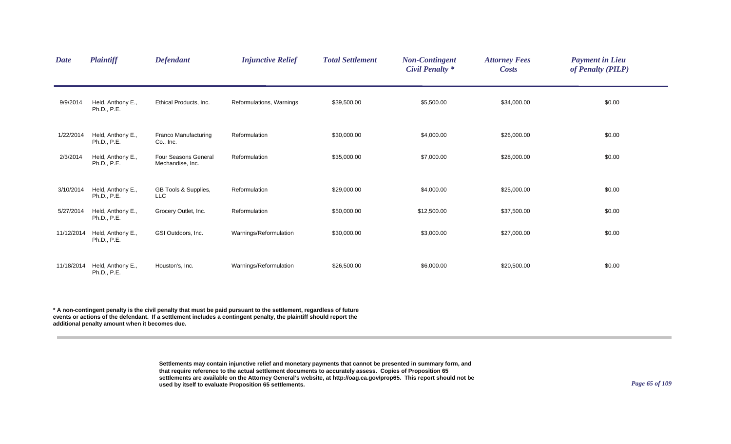| <b>Date</b> | <b>Plaintiff</b>                 | <b>Defendant</b>                         | <b>Injunctive Relief</b> | <b>Total Settlement</b> | <b>Non-Contingent</b><br><b>Civil Penalty *</b> | <b>Attorney Fees</b><br><b>Costs</b> | <b>Payment in Lieu</b><br>of Penalty (PILP) |  |
|-------------|----------------------------------|------------------------------------------|--------------------------|-------------------------|-------------------------------------------------|--------------------------------------|---------------------------------------------|--|
| 9/9/2014    | Held, Anthony E.,<br>Ph.D., P.E. | Ethical Products, Inc.                   | Reformulations, Warnings | \$39,500.00             | \$5,500.00                                      | \$34,000.00                          | \$0.00                                      |  |
| 1/22/2014   | Held, Anthony E.,<br>Ph.D., P.E. | Franco Manufacturing<br>Co., Inc.        | Reformulation            | \$30,000.00             | \$4,000.00                                      | \$26,000.00                          | \$0.00                                      |  |
| 2/3/2014    | Held, Anthony E.,<br>Ph.D., P.E. | Four Seasons General<br>Mechandise, Inc. | Reformulation            | \$35,000.00             | \$7,000.00                                      | \$28,000.00                          | \$0.00                                      |  |
| 3/10/2014   | Held, Anthony E.,<br>Ph.D., P.E. | GB Tools & Supplies,<br><b>LLC</b>       | Reformulation            | \$29,000.00             | \$4,000.00                                      | \$25,000.00                          | \$0.00                                      |  |
| 5/27/2014   | Held, Anthony E.,<br>Ph.D., P.E. | Grocery Outlet, Inc.                     | Reformulation            | \$50,000.00             | \$12,500.00                                     | \$37,500.00                          | \$0.00                                      |  |
| 11/12/2014  | Held, Anthony E.,<br>Ph.D., P.E. | GSI Outdoors, Inc.                       | Warnings/Reformulation   | \$30,000.00             | \$3,000.00                                      | \$27,000.00                          | \$0.00                                      |  |
| 11/18/2014  | Held, Anthony E.,<br>Ph.D., P.E. | Houston's, Inc.                          | Warnings/Reformulation   | \$26,500.00             | \$6,000.00                                      | \$20,500.00                          | \$0.00                                      |  |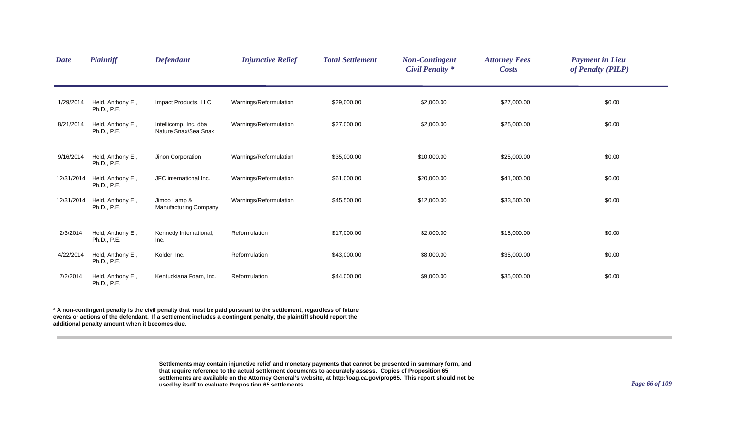| <b>Date</b> | <b>Plaintiff</b>                 | <b>Defendant</b>                              | <b>Injunctive Relief</b> | <b>Total Settlement</b> | <b>Non-Contingent</b><br><b>Civil Penalty</b> * | <b>Attorney Fees</b><br><b>Costs</b> | <b>Payment in Lieu</b><br>of Penalty (PILP) |  |
|-------------|----------------------------------|-----------------------------------------------|--------------------------|-------------------------|-------------------------------------------------|--------------------------------------|---------------------------------------------|--|
| 1/29/2014   | Held, Anthony E.,<br>Ph.D., P.E. | Impact Products, LLC                          | Warnings/Reformulation   | \$29,000.00             | \$2,000.00                                      | \$27,000.00                          | \$0.00                                      |  |
| 8/21/2014   | Held, Anthony E.,<br>Ph.D., P.E. | Intellicomp, Inc. dba<br>Nature Snax/Sea Snax | Warnings/Reformulation   | \$27,000.00             | \$2,000.00                                      | \$25,000.00                          | \$0.00                                      |  |
| 9/16/2014   | Held, Anthony E.,<br>Ph.D., P.E. | Jinon Corporation                             | Warnings/Reformulation   | \$35,000.00             | \$10,000.00                                     | \$25,000.00                          | \$0.00                                      |  |
| 12/31/2014  | Held, Anthony E.,<br>Ph.D., P.E. | JFC international Inc.                        | Warnings/Reformulation   | \$61,000.00             | \$20,000.00                                     | \$41,000.00                          | \$0.00                                      |  |
| 12/31/2014  | Held, Anthony E.,<br>Ph.D., P.E. | Jimco Lamp &<br>Manufacturing Company         | Warnings/Reformulation   | \$45,500.00             | \$12,000.00                                     | \$33,500.00                          | \$0.00                                      |  |
| 2/3/2014    | Held, Anthony E.,<br>Ph.D., P.E. | Kennedy International,<br>Inc.                | Reformulation            | \$17,000.00             | \$2,000.00                                      | \$15,000.00                          | \$0.00                                      |  |
| 4/22/2014   | Held, Anthony E.,<br>Ph.D., P.E. | Kolder, Inc.                                  | Reformulation            | \$43,000.00             | \$8,000.00                                      | \$35,000.00                          | \$0.00                                      |  |
| 7/2/2014    | Held, Anthony E.,<br>Ph.D., P.E. | Kentuckiana Foam, Inc.                        | Reformulation            | \$44,000.00             | \$9,000.00                                      | \$35,000.00                          | \$0.00                                      |  |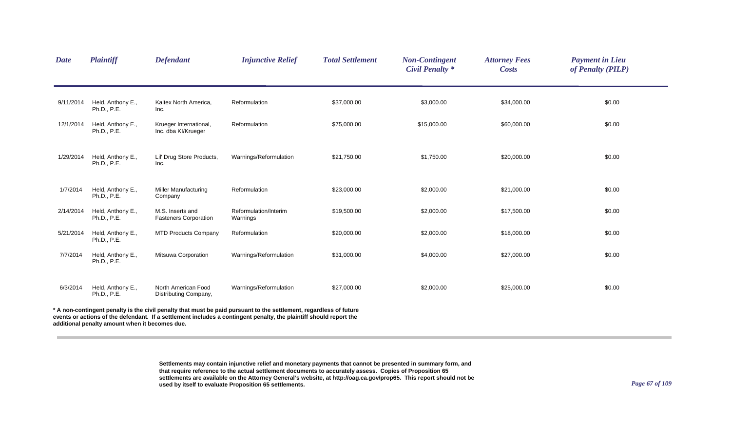| <b>Date</b> | <b>Plaintiff</b>                               | <b>Defendant</b>                                 | <b>Injunctive Relief</b>                                                                                                                                                                                                               | <b>Total Settlement</b> | <b>Non-Contingent</b><br><b>Civil Penalty *</b> | <b>Attorney Fees</b><br><b>Costs</b> | <b>Payment in Lieu</b><br>of Penalty (PILP) |
|-------------|------------------------------------------------|--------------------------------------------------|----------------------------------------------------------------------------------------------------------------------------------------------------------------------------------------------------------------------------------------|-------------------------|-------------------------------------------------|--------------------------------------|---------------------------------------------|
| 9/11/2014   | Held, Anthony E.,<br>Ph.D., P.E.               | Kaltex North America,<br>Inc.                    | Reformulation                                                                                                                                                                                                                          | \$37,000.00             | \$3,000.00                                      | \$34,000.00                          | \$0.00                                      |
| 12/1/2014   | Held, Anthony E.,<br>Ph.D., P.E.               | Krueger International,<br>Inc. dba KI/Krueger    | Reformulation                                                                                                                                                                                                                          | \$75,000.00             | \$15,000.00                                     | \$60,000.00                          | \$0.00                                      |
| 1/29/2014   | Held, Anthony E.,<br>Ph.D., P.E.               | Lil' Drug Store Products,<br>Inc.                | Warnings/Reformulation                                                                                                                                                                                                                 | \$21,750.00             | \$1,750.00                                      | \$20,000.00                          | \$0.00                                      |
| 1/7/2014    | Held, Anthony E.,<br>Ph.D., P.E.               | <b>Miller Manufacturing</b><br>Company           | Reformulation                                                                                                                                                                                                                          | \$23,000.00             | \$2,000.00                                      | \$21,000.00                          | \$0.00                                      |
| 2/14/2014   | Held, Anthony E.,<br>Ph.D., P.E.               | M.S. Inserts and<br><b>Fasteners Corporation</b> | Reformulation/Interim<br>Warnings                                                                                                                                                                                                      | \$19,500.00             | \$2,000.00                                      | \$17,500.00                          | \$0.00                                      |
| 5/21/2014   | Held, Anthony E.,<br>Ph.D., P.E.               | <b>MTD Products Company</b>                      | Reformulation                                                                                                                                                                                                                          | \$20,000.00             | \$2,000.00                                      | \$18,000.00                          | \$0.00                                      |
| 7/7/2014    | Held, Anthony E.,<br>Ph.D., P.E.               | Mitsuwa Corporation                              | Warnings/Reformulation                                                                                                                                                                                                                 | \$31,000.00             | \$4,000.00                                      | \$27,000.00                          | \$0.00                                      |
| 6/3/2014    | Held, Anthony E.,<br>Ph.D., P.E.               | North American Food<br>Distributing Company,     | Warnings/Reformulation                                                                                                                                                                                                                 | \$27,000.00             | \$2,000.00                                      | \$25,000.00                          | \$0.00                                      |
|             | additional penalty amount when it becomes due. |                                                  | A non-contingent penalty is the civil penalty that must be paid pursuant to the settlement, regardless of future<br>events or actions of the defendant. If a settlement includes a contingent penalty, the plaintiff should report the |                         |                                                 |                                      |                                             |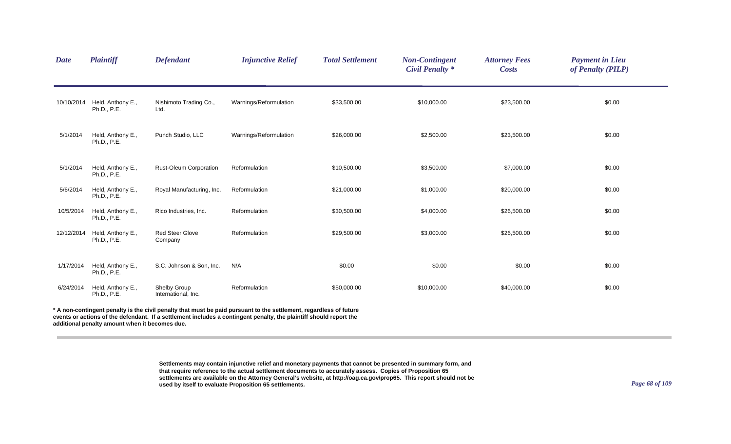| <b>Date</b> | <b>Plaintiff</b>                               | <b>Defendant</b>                    | <b>Injunctive Relief</b>                                                                                                                                                                                                                 | <b>Total Settlement</b> | <b>Non-Contingent</b><br><b>Civil Penalty *</b> | <b>Attorney Fees</b><br><b>Costs</b> | <b>Payment in Lieu</b><br>of Penalty (PILP) |
|-------------|------------------------------------------------|-------------------------------------|------------------------------------------------------------------------------------------------------------------------------------------------------------------------------------------------------------------------------------------|-------------------------|-------------------------------------------------|--------------------------------------|---------------------------------------------|
| 10/10/2014  | Held, Anthony E.,<br>Ph.D., P.E.               | Nishimoto Trading Co.,<br>Ltd.      | Warnings/Reformulation                                                                                                                                                                                                                   | \$33,500.00             | \$10,000.00                                     | \$23,500.00                          | \$0.00                                      |
| 5/1/2014    | Held, Anthony E.,<br>Ph.D., P.E.               | Punch Studio, LLC                   | Warnings/Reformulation                                                                                                                                                                                                                   | \$26,000.00             | \$2,500.00                                      | \$23,500.00                          | \$0.00                                      |
| 5/1/2014    | Held, Anthony E.,<br>Ph.D., P.E.               | Rust-Oleum Corporation              | Reformulation                                                                                                                                                                                                                            | \$10,500.00             | \$3,500.00                                      | \$7,000.00                           | \$0.00                                      |
| 5/6/2014    | Held, Anthony E.,<br>Ph.D., P.E.               | Royal Manufacturing, Inc.           | Reformulation                                                                                                                                                                                                                            | \$21,000.00             | \$1,000.00                                      | \$20,000.00                          | \$0.00                                      |
| 10/5/2014   | Held, Anthony E.,<br>Ph.D., P.E.               | Rico Industries, Inc.               | Reformulation                                                                                                                                                                                                                            | \$30,500.00             | \$4,000.00                                      | \$26,500.00                          | \$0.00                                      |
| 12/12/2014  | Held, Anthony E.,<br>Ph.D., P.E.               | <b>Red Steer Glove</b><br>Company   | Reformulation                                                                                                                                                                                                                            | \$29,500.00             | \$3,000.00                                      | \$26,500.00                          | \$0.00                                      |
| 1/17/2014   | Held, Anthony E.,<br>Ph.D., P.E.               | S.C. Johnson & Son, Inc.            | N/A                                                                                                                                                                                                                                      | \$0.00                  | \$0.00                                          | \$0.00                               | \$0.00                                      |
| 6/24/2014   | Held, Anthony E.,<br>Ph.D., P.E.               | Shelby Group<br>International, Inc. | Reformulation                                                                                                                                                                                                                            | \$50,000.00             | \$10,000.00                                     | \$40,000.00                          | \$0.00                                      |
|             | additional penalty amount when it becomes due. |                                     | * A non-contingent penalty is the civil penalty that must be paid pursuant to the settlement, regardless of future<br>events or actions of the defendant. If a settlement includes a contingent penalty, the plaintiff should report the |                         |                                                 |                                      |                                             |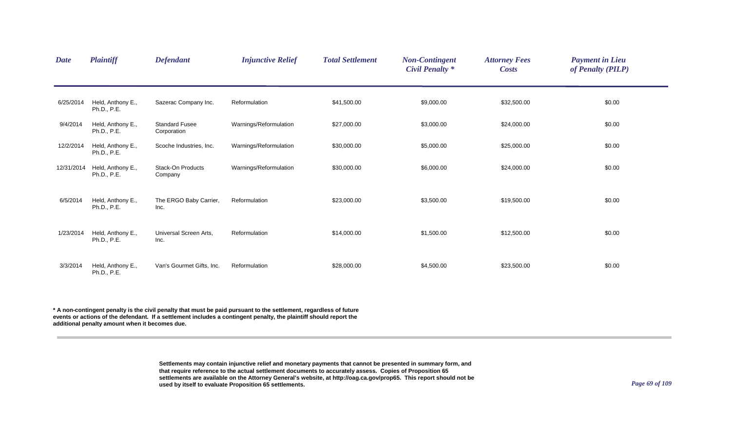| <b>Date</b> | <b>Plaintiff</b>                 | <b>Defendant</b>                     | <b>Injunctive Relief</b> | <b>Total Settlement</b> | <b>Non-Contingent</b><br><b>Civil Penalty</b> * | <b>Attorney Fees</b><br><b>Costs</b> | <b>Payment in Lieu</b><br>of Penalty (PILP) |  |
|-------------|----------------------------------|--------------------------------------|--------------------------|-------------------------|-------------------------------------------------|--------------------------------------|---------------------------------------------|--|
| 6/25/2014   | Held, Anthony E.,<br>Ph.D., P.E. | Sazerac Company Inc.                 | Reformulation            | \$41,500.00             | \$9,000.00                                      | \$32,500.00                          | \$0.00                                      |  |
| 9/4/2014    | Held, Anthony E.,<br>Ph.D., P.E. | <b>Standard Fusee</b><br>Corporation | Warnings/Reformulation   | \$27,000.00             | \$3,000.00                                      | \$24,000.00                          | \$0.00                                      |  |
| 12/2/2014   | Held, Anthony E.,<br>Ph.D., P.E. | Scoche Industries, Inc.              | Warnings/Reformulation   | \$30,000.00             | \$5,000.00                                      | \$25,000.00                          | \$0.00                                      |  |
| 12/31/2014  | Held, Anthony E.,<br>Ph.D., P.E. | <b>Stack-On Products</b><br>Company  | Warnings/Reformulation   | \$30,000.00             | \$6,000.00                                      | \$24,000.00                          | \$0.00                                      |  |
| 6/5/2014    | Held, Anthony E.,<br>Ph.D., P.E. | The ERGO Baby Carrier,<br>Inc.       | Reformulation            | \$23,000.00             | \$3,500.00                                      | \$19,500.00                          | \$0.00                                      |  |
| 1/23/2014   | Held, Anthony E.,<br>Ph.D., P.E. | Universal Screen Arts,<br>Inc.       | Reformulation            | \$14,000.00             | \$1,500.00                                      | \$12,500.00                          | \$0.00                                      |  |
| 3/3/2014    | Held, Anthony E.,<br>Ph.D., P.E. | Van's Gourmet Gifts, Inc.            | Reformulation            | \$28,000.00             | \$4,500.00                                      | \$23,500.00                          | \$0.00                                      |  |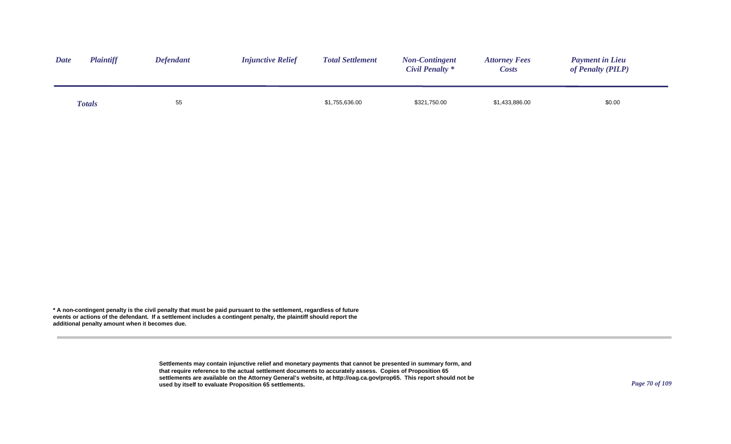| <b>Date</b> | <b>Plaintiff</b> | <b>Defendant</b> | <b>Injunctive Relief</b> | <b>Total Settlement</b> | <b>Non-Contingent</b><br>Civil Penalty * | <b>Attorney Fees</b><br><i>Costs</i> | <b>Payment in Lieu</b><br>of Penalty (PILP) |
|-------------|------------------|------------------|--------------------------|-------------------------|------------------------------------------|--------------------------------------|---------------------------------------------|
|             | <b>Totals</b>    | 55               |                          | \$1,755,636.00          | \$321,750.00                             | \$1,433,886.00                       | \$0.00                                      |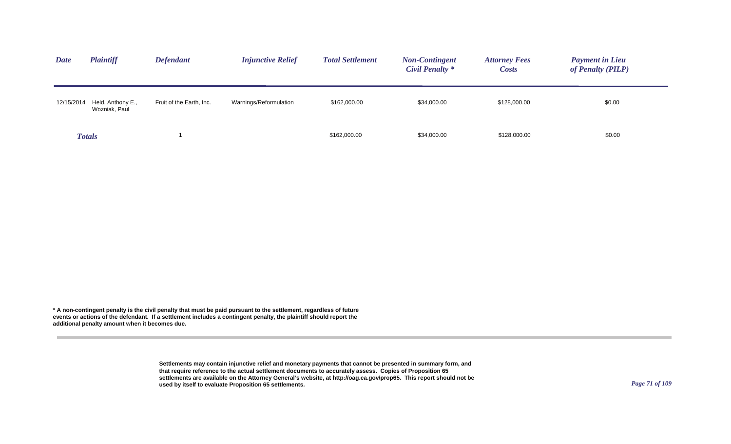| <b>Date</b> | <b>Plaintiff</b>                   | <b>Defendant</b>         | <b>Injunctive Relief</b> | <b>Total Settlement</b> | <b>Non-Contingent</b><br>Civil Penalty * | <b>Attorney Fees</b><br><b>Costs</b> | <b>Payment in Lieu</b><br>of Penalty (PILP) |
|-------------|------------------------------------|--------------------------|--------------------------|-------------------------|------------------------------------------|--------------------------------------|---------------------------------------------|
| 12/15/2014  | Held, Anthony E.,<br>Wozniak, Paul | Fruit of the Earth, Inc. | Warnings/Reformulation   | \$162,000.00            | \$34,000.00                              | \$128,000.00                         | \$0.00                                      |
|             | <b>Totals</b>                      |                          |                          | \$162,000.00            | \$34,000.00                              | \$128,000.00                         | \$0.00                                      |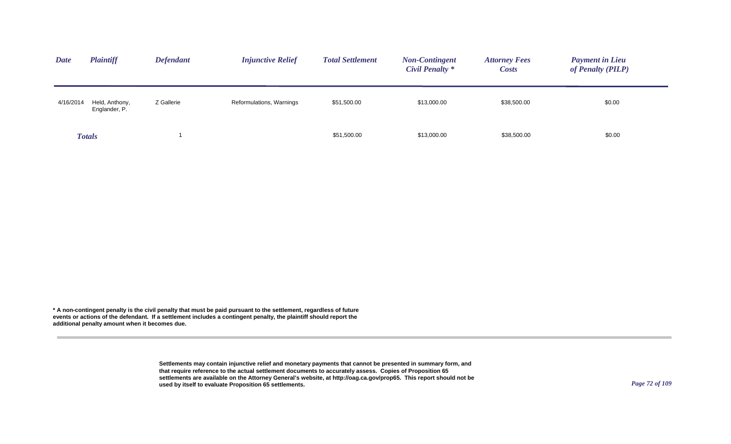| <b>Date</b> | <b>Plaintiff</b>                | <b>Defendant</b> | <b>Injunctive Relief</b> | <b>Total Settlement</b> | <b>Non-Contingent</b><br><b>Civil Penalty *</b> | <b>Attorney Fees</b><br><b>Costs</b> | <b>Payment in Lieu</b><br>of Penalty (PILP) |
|-------------|---------------------------------|------------------|--------------------------|-------------------------|-------------------------------------------------|--------------------------------------|---------------------------------------------|
| 4/16/2014   | Held, Anthony,<br>Englander, P. | Z Gallerie       | Reformulations, Warnings | \$51,500.00             | \$13,000.00                                     | \$38,500.00                          | \$0.00                                      |
|             | <b>Totals</b>                   |                  |                          | \$51,500.00             | \$13,000.00                                     | \$38,500.00                          | \$0.00                                      |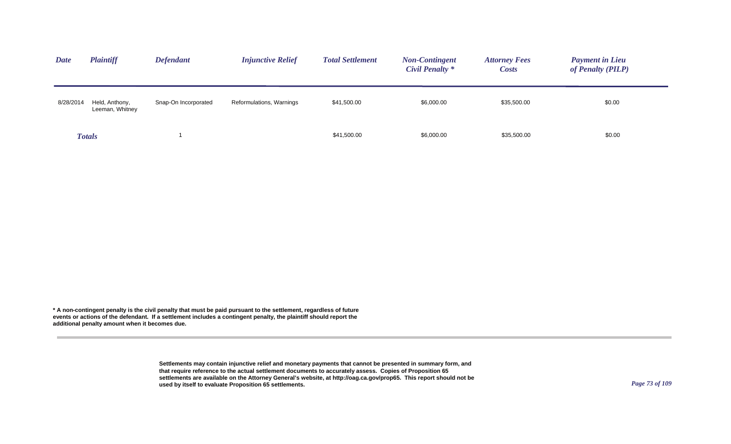| <b>Date</b> | <b>Plaintiff</b>                  | <b>Defendant</b>     | <b>Injunctive Relief</b> | <b>Total Settlement</b> | <b>Non-Contingent</b><br>Civil Penalty * | <b>Attorney Fees</b><br><b>Costs</b> | <b>Payment in Lieu</b><br>of Penalty (PILP) |
|-------------|-----------------------------------|----------------------|--------------------------|-------------------------|------------------------------------------|--------------------------------------|---------------------------------------------|
| 8/28/2014   | Held, Anthony,<br>Leeman, Whitney | Snap-On Incorporated | Reformulations, Warnings | \$41,500.00             | \$6,000.00                               | \$35,500.00                          | \$0.00                                      |
|             | <b>Totals</b>                     |                      |                          | \$41,500.00             | \$6,000.00                               | \$35,500.00                          | \$0.00                                      |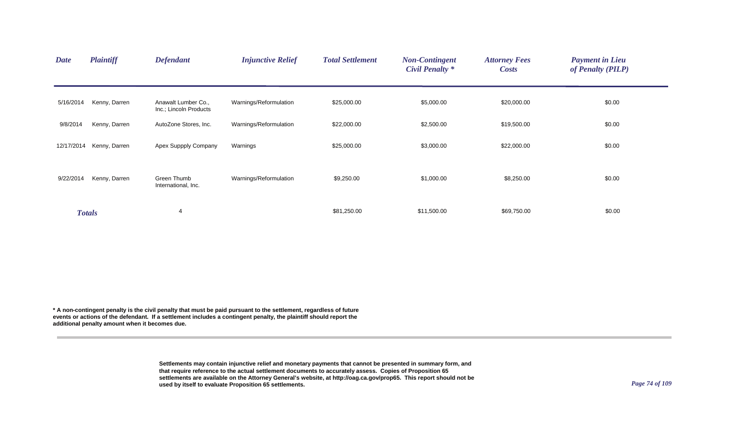| <b>Date</b> | <b>Plaintiff</b> | <b>Defendant</b>                              | <b>Injunctive Relief</b> | <b>Total Settlement</b> | <b>Non-Contingent</b><br><b>Civil Penalty *</b> | <b>Attorney Fees</b><br><b>Costs</b> | <b>Payment in Lieu</b><br>of Penalty (PILP) |  |
|-------------|------------------|-----------------------------------------------|--------------------------|-------------------------|-------------------------------------------------|--------------------------------------|---------------------------------------------|--|
| 5/16/2014   | Kenny, Darren    | Anawalt Lumber Co.,<br>Inc.; Lincoln Products | Warnings/Reformulation   | \$25,000.00             | \$5,000.00                                      | \$20,000.00                          | \$0.00                                      |  |
| 9/8/2014    | Kenny, Darren    | AutoZone Stores, Inc.                         | Warnings/Reformulation   | \$22,000.00             | \$2,500.00                                      | \$19,500.00                          | \$0.00                                      |  |
| 12/17/2014  | Kenny, Darren    | Apex Suppply Company                          | Warnings                 | \$25,000.00             | \$3,000.00                                      | \$22,000.00                          | \$0.00                                      |  |
| 9/22/2014   | Kenny, Darren    | Green Thumb<br>International, Inc.            | Warnings/Reformulation   | \$9,250.00              | \$1,000.00                                      | \$8,250.00                           | \$0.00                                      |  |
|             | <b>Totals</b>    | 4                                             |                          | \$81,250.00             | \$11,500.00                                     | \$69,750.00                          | \$0.00                                      |  |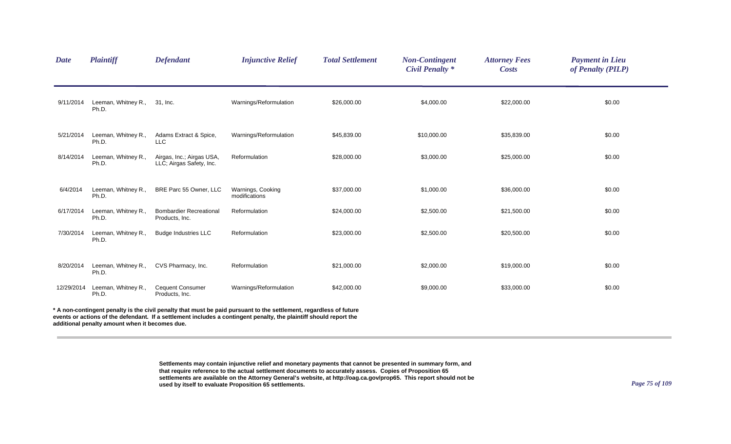| <b>Date</b> | <b>Plaintiff</b>                               | <b>Defendant</b>                                      | <b>Injunctive Relief</b>                                                                                                                                                                                                                 | <b>Total Settlement</b> | <b>Non-Contingent</b><br><b>Civil Penalty *</b> | <b>Attorney Fees</b><br><b>Costs</b> | <b>Payment in Lieu</b><br>of Penalty (PILP) |
|-------------|------------------------------------------------|-------------------------------------------------------|------------------------------------------------------------------------------------------------------------------------------------------------------------------------------------------------------------------------------------------|-------------------------|-------------------------------------------------|--------------------------------------|---------------------------------------------|
| 9/11/2014   | Leeman, Whitney R.,<br>Ph.D.                   | 31, Inc.                                              | Warnings/Reformulation                                                                                                                                                                                                                   | \$26,000.00             | \$4,000.00                                      | \$22,000.00                          | \$0.00                                      |
| 5/21/2014   | Leeman, Whitney R.,<br>Ph.D.                   | Adams Extract & Spice,<br>LLC                         | Warnings/Reformulation                                                                                                                                                                                                                   | \$45,839.00             | \$10,000.00                                     | \$35,839.00                          | \$0.00                                      |
| 8/14/2014   | Leeman, Whitney R.,<br>Ph.D.                   | Airgas, Inc.; Airgas USA,<br>LLC; Airgas Safety, Inc. | Reformulation                                                                                                                                                                                                                            | \$28,000.00             | \$3,000.00                                      | \$25,000.00                          | \$0.00                                      |
| 6/4/2014    | Leeman, Whitney R.,<br>Ph.D.                   | BRE Parc 55 Owner, LLC                                | Warnings, Cooking<br>modifications                                                                                                                                                                                                       | \$37,000.00             | \$1,000.00                                      | \$36,000.00                          | \$0.00                                      |
| 6/17/2014   | Leeman, Whitney R.,<br>Ph.D.                   | <b>Bombardier Recreational</b><br>Products, Inc.      | Reformulation                                                                                                                                                                                                                            | \$24,000.00             | \$2,500.00                                      | \$21,500.00                          | \$0.00                                      |
| 7/30/2014   | Leeman, Whitney R.,<br>Ph.D.                   | <b>Budge Industries LLC</b>                           | Reformulation                                                                                                                                                                                                                            | \$23,000.00             | \$2,500.00                                      | \$20,500.00                          | \$0.00                                      |
| 8/20/2014   | Leeman, Whitney R.,<br>Ph.D.                   | CVS Pharmacy, Inc.                                    | Reformulation                                                                                                                                                                                                                            | \$21,000.00             | \$2,000.00                                      | \$19,000.00                          | \$0.00                                      |
| 12/29/2014  | Leeman, Whitney R.,<br>Ph.D.                   | <b>Cequent Consumer</b><br>Products, Inc.             | Warnings/Reformulation                                                                                                                                                                                                                   | \$42,000.00             | \$9,000.00                                      | \$33,000.00                          | \$0.00                                      |
|             | additional penalty amount when it becomes due. |                                                       | * A non-contingent penalty is the civil penalty that must be paid pursuant to the settlement, regardless of future<br>events or actions of the defendant. If a settlement includes a contingent penalty, the plaintiff should report the |                         |                                                 |                                      |                                             |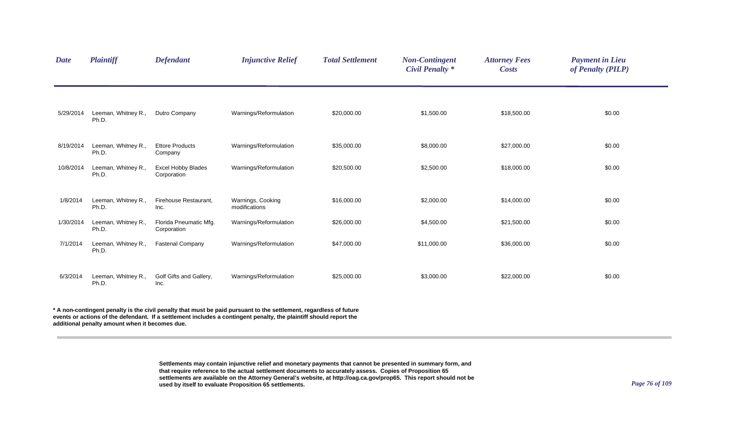| <b>Date</b> | <b>Plaintiff</b>             | <b>Defendant</b>                         | <b>Injunctive Relief</b>           | <b>Total Settlement</b> | <b>Non-Contingent</b><br><b>Civil Penalty *</b> | <b>Attorney Fees</b><br><b>Costs</b> | <b>Payment in Lieu</b><br>of Penalty (PILP) |  |
|-------------|------------------------------|------------------------------------------|------------------------------------|-------------------------|-------------------------------------------------|--------------------------------------|---------------------------------------------|--|
| 5/29/2014   | Leeman, Whitney R.,<br>Ph.D. | Dutro Company                            | Warnings/Reformulation             | \$20,000.00             | \$1,500.00                                      | \$18,500.00                          | \$0.00                                      |  |
| 8/19/2014   | Leeman, Whitney R.,<br>Ph.D. | <b>Ettore Products</b><br>Company        | Warnings/Reformulation             | \$35,000.00             | \$8,000.00                                      | \$27,000.00                          | \$0.00                                      |  |
| 10/8/2014   | Leeman, Whitney R.,<br>Ph.D. | <b>Excel Hobby Blades</b><br>Corporation | Warnings/Reformulation             | \$20,500.00             | \$2,500.00                                      | \$18,000.00                          | \$0.00                                      |  |
| 1/8/2014    | Leeman, Whitney R.,<br>Ph.D. | Firehouse Restaurant,<br>Inc.            | Warnings, Cooking<br>modifications | \$16,000.00             | \$2,000.00                                      | \$14,000.00                          | \$0.00                                      |  |
| 1/30/2014   | Leeman, Whitney R.,<br>Ph.D. | Florida Pneumatic Mfg.<br>Corporation    | Warnings/Reformulation             | \$26,000.00             | \$4,500.00                                      | \$21,500.00                          | \$0.00                                      |  |
| 7/1/2014    | Leeman, Whitney R.,<br>Ph.D. | <b>Fastenal Company</b>                  | Warnings/Reformulation             | \$47,000.00             | \$11,000.00                                     | \$36,000.00                          | \$0.00                                      |  |
| 6/3/2014    | Leeman, Whitney R.,<br>Ph.D. | Golf Gifts and Gallery,<br>Inc.          | Warnings/Reformulation             | \$25,000.00             | \$3,000.00                                      | \$22,000.00                          | \$0.00                                      |  |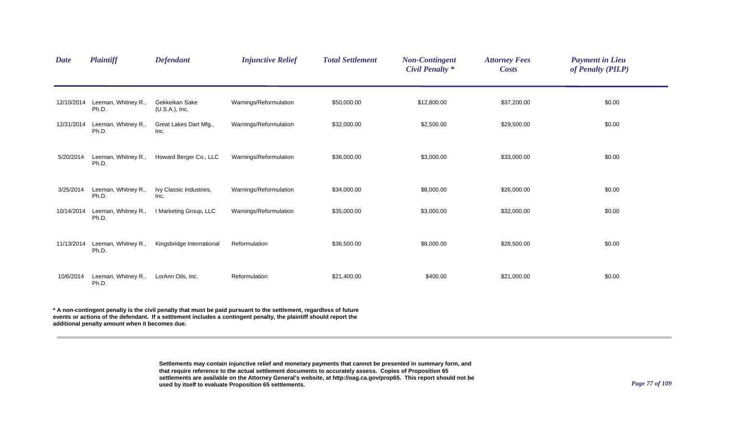| <b>Date</b> | Plaintiff                    | <b>Defendant</b>                    | <b>Injunctive Relief</b> | <b>Total Settlement</b> | <b>Non-Contingent</b><br><b>Civil Penalty *</b> | <b>Attorney Fees</b><br><b>Costs</b> | <b>Payment in Lieu</b><br>of Penalty (PILP) |
|-------------|------------------------------|-------------------------------------|--------------------------|-------------------------|-------------------------------------------------|--------------------------------------|---------------------------------------------|
| 12/10/2014  | Leeman, Whitney R.,<br>Ph.D. | Gekkeikan Sake<br>$(U.S.A.)$ , Inc. | Warnings/Reformulation   | \$50,000.00             | \$12,800.00                                     | \$37,200.00                          | \$0.00                                      |
| 12/31/2014  | Leeman, Whitney R.,<br>Ph.D. | Great Lakes Dart Mfg.,<br>Inc.      | Warnings/Reformulation   | \$32,000.00             | \$2,500.00                                      | \$29,500.00                          | \$0.00                                      |
| 5/20/2014   | Leeman, Whitney R.,<br>Ph.D. | Howard Berger Co., LLC              | Warnings/Reformulation   | \$36,000.00             | \$3,000.00                                      | \$33,000.00                          | \$0.00                                      |
| 3/25/2014   | Leeman, Whitney R.,<br>Ph.D. | Ivy Classic Industries,<br>Inc.     | Warnings/Reformulation   | \$34,000.00             | \$8,000.00                                      | \$26,000.00                          | \$0.00                                      |
| 10/14/2014  | Leeman, Whitney R.,<br>Ph.D. | I Marketing Group, LLC              | Warnings/Reformulation   | \$35,000.00             | \$3,000.00                                      | \$32,000.00                          | \$0.00                                      |
| 11/13/2014  | Leeman, Whitney R.,<br>Ph.D. | Kingsbridge International           | Reformulation            | \$36,500.00             | \$8,000.00                                      | \$28,500.00                          | \$0.00                                      |
| 10/6/2014   | Leeman, Whitney R.,<br>Ph.D. | LorAnn Oils, Inc.                   | Reformulation            | \$21,400.00             | \$400.00                                        | \$21,000.00                          | \$0.00                                      |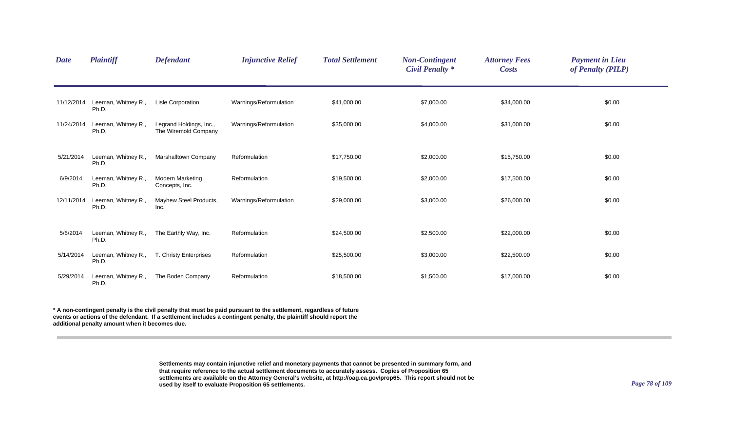| <b>Date</b> | <b>Plaintiff</b>             | <b>Defendant</b>                                | <b>Injunctive Relief</b> | <b>Total Settlement</b> | <b>Non-Contingent</b><br><b>Civil Penalty *</b> | <b>Attorney Fees</b><br><b>Costs</b> | <b>Payment in Lieu</b><br>of Penalty (PILP) |  |
|-------------|------------------------------|-------------------------------------------------|--------------------------|-------------------------|-------------------------------------------------|--------------------------------------|---------------------------------------------|--|
| 11/12/2014  | Leeman, Whitney R.,<br>Ph.D. | Lisle Corporation                               | Warnings/Reformulation   | \$41,000.00             | \$7,000.00                                      | \$34,000.00                          | \$0.00                                      |  |
| 11/24/2014  | Leeman, Whitney R.,<br>Ph.D. | Legrand Holdings, Inc.,<br>The Wiremold Company | Warnings/Reformulation   | \$35,000.00             | \$4,000.00                                      | \$31,000.00                          | \$0.00                                      |  |
| 5/21/2014   | Leeman, Whitney R.,<br>Ph.D. | Marshalltown Company                            | Reformulation            | \$17,750.00             | \$2,000.00                                      | \$15,750.00                          | \$0.00                                      |  |
| 6/9/2014    | Leeman, Whitney R.,<br>Ph.D. | <b>Modern Marketing</b><br>Concepts, Inc.       | Reformulation            | \$19,500.00             | \$2,000.00                                      | \$17,500.00                          | \$0.00                                      |  |
| 12/11/2014  | Leeman, Whitney R.,<br>Ph.D. | Mayhew Steel Products,<br>Inc.                  | Warnings/Reformulation   | \$29,000.00             | \$3,000.00                                      | \$26,000.00                          | \$0.00                                      |  |
| 5/6/2014    | Leeman, Whitney R.,<br>Ph.D. | The Earthly Way, Inc.                           | Reformulation            | \$24,500.00             | \$2,500.00                                      | \$22,000.00                          | \$0.00                                      |  |
| 5/14/2014   | Leeman, Whitney R.,<br>Ph.D. | T. Christy Enterprises                          | Reformulation            | \$25,500.00             | \$3,000.00                                      | \$22,500.00                          | \$0.00                                      |  |
| 5/29/2014   | Leeman, Whitney R.,<br>Ph.D. | The Boden Company                               | Reformulation            | \$18,500.00             | \$1,500.00                                      | \$17,000.00                          | \$0.00                                      |  |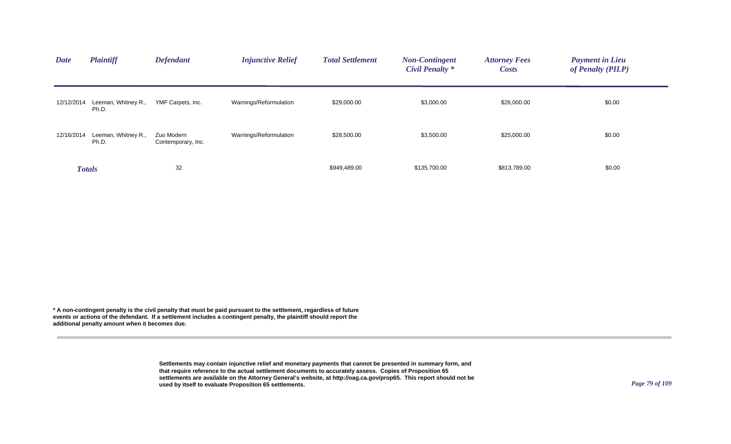| <b>Date</b> | <b>Plaintiff</b>             | <b>Defendant</b>                 | <b>Injunctive Relief</b> | <b>Total Settlement</b> | <b>Non-Contingent</b><br>Civil Penalty * | <b>Attorney Fees</b><br><b>Costs</b> | <b>Payment in Lieu</b><br>of Penalty (PILP) |  |
|-------------|------------------------------|----------------------------------|--------------------------|-------------------------|------------------------------------------|--------------------------------------|---------------------------------------------|--|
| 12/12/2014  | Leeman, Whitney R.,<br>Ph.D. | YMF Carpets, Inc.                | Warnings/Reformulation   | \$29,000.00             | \$3,000.00                               | \$26,000.00                          | \$0.00                                      |  |
| 12/16/2014  | Leeman, Whitney R.,<br>Ph.D. | Zuo Modern<br>Contemporary, Inc. | Warnings/Reformulation   | \$28,500.00             | \$3,500.00                               | \$25,000.00                          | \$0.00                                      |  |
|             | <b>Totals</b>                | 32                               |                          | \$949,489.00            | \$135,700.00                             | \$813,789.00                         | \$0.00                                      |  |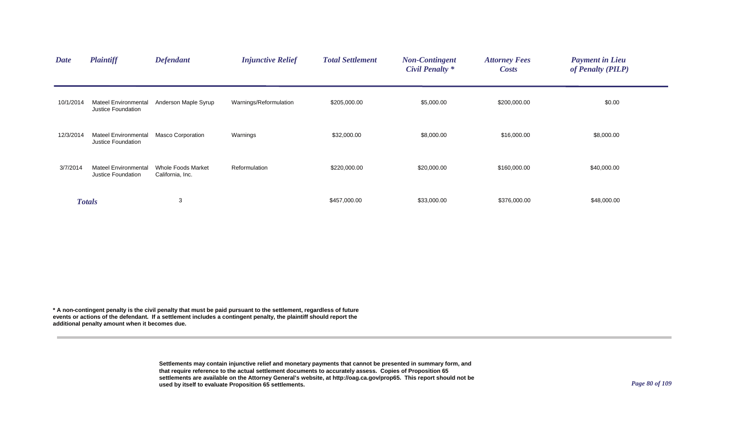| <b>Date</b> | <b>Plaintiff</b>                                  | <b>Defendant</b>                       | <b>Injunctive Relief</b> | <b>Total Settlement</b> | <b>Non-Contingent</b><br><b>Civil Penalty *</b> | <b>Attorney Fees</b><br><b>Costs</b> | <b>Payment in Lieu</b><br>of Penalty (PILP) |  |
|-------------|---------------------------------------------------|----------------------------------------|--------------------------|-------------------------|-------------------------------------------------|--------------------------------------|---------------------------------------------|--|
| 10/1/2014   | <b>Mateel Environmental</b><br>Justice Foundation | Anderson Maple Syrup                   | Warnings/Reformulation   | \$205,000.00            | \$5,000.00                                      | \$200,000.00                         | \$0.00                                      |  |
| 12/3/2014   | <b>Mateel Environmental</b><br>Justice Foundation | <b>Masco Corporation</b>               | Warnings                 | \$32,000.00             | \$8,000.00                                      | \$16,000.00                          | \$8,000.00                                  |  |
| 3/7/2014    | <b>Mateel Environmental</b><br>Justice Foundation | Whole Foods Market<br>California, Inc. | Reformulation            | \$220,000.00            | \$20,000.00                                     | \$160,000.00                         | \$40,000.00                                 |  |
|             | <b>Totals</b>                                     | 3                                      |                          | \$457,000.00            | \$33,000.00                                     | \$376,000.00                         | \$48,000.00                                 |  |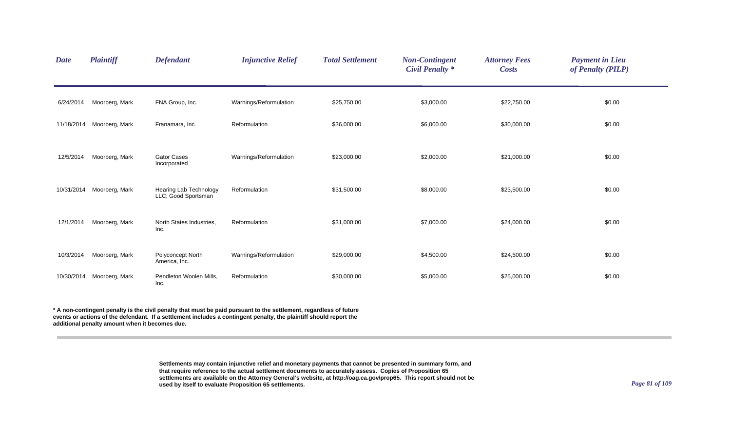| <b>Date</b> | <b>Plaintiff</b> | <b>Defendant</b>                              | <b>Injunctive Relief</b> | <b>Total Settlement</b> | <b>Non-Contingent</b><br><b>Civil Penalty</b> * | <b>Attorney Fees</b><br><b>Costs</b> | <b>Payment in Lieu</b><br>of Penalty (PILP) |  |
|-------------|------------------|-----------------------------------------------|--------------------------|-------------------------|-------------------------------------------------|--------------------------------------|---------------------------------------------|--|
| 6/24/2014   | Moorberg, Mark   | FNA Group, Inc.                               | Warnings/Reformulation   | \$25,750.00             | \$3,000.00                                      | \$22,750.00                          | \$0.00                                      |  |
| 11/18/2014  | Moorberg, Mark   | Franamara, Inc.                               | Reformulation            | \$36,000.00             | \$6,000.00                                      | \$30,000.00                          | \$0.00                                      |  |
| 12/5/2014   | Moorberg, Mark   | <b>Gator Cases</b><br>Incorporated            | Warnings/Reformulation   | \$23,000.00             | \$2,000.00                                      | \$21,000.00                          | \$0.00                                      |  |
| 10/31/2014  | Moorberg, Mark   | Hearing Lab Technology<br>LLC; Good Sportsman | Reformulation            | \$31,500.00             | \$8,000.00                                      | \$23,500.00                          | \$0.00                                      |  |
| 12/1/2014   | Moorberg, Mark   | North States Industries,<br>Inc.              | Reformulation            | \$31,000.00             | \$7,000.00                                      | \$24,000.00                          | \$0.00                                      |  |
| 10/3/2014   | Moorberg, Mark   | Polyconcept North<br>America, Inc.            | Warnings/Reformulation   | \$29,000.00             | \$4,500.00                                      | \$24,500.00                          | \$0.00                                      |  |
| 10/30/2014  | Moorberg, Mark   | Pendleton Woolen Mills,<br>Inc.               | Reformulation            | \$30,000.00             | \$5,000.00                                      | \$25,000.00                          | \$0.00                                      |  |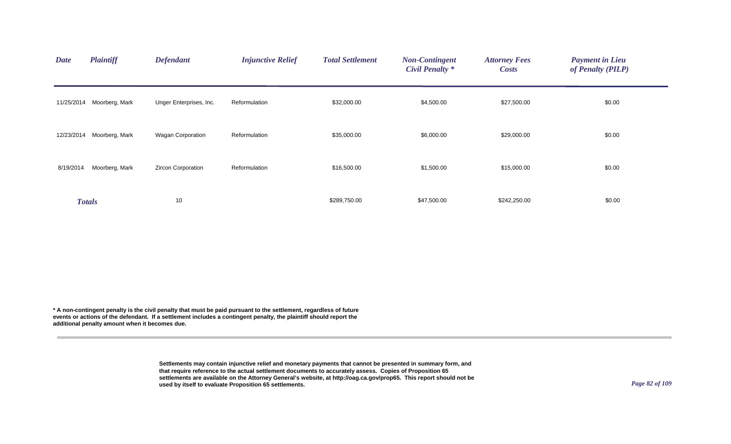| <b>Date</b> | <b>Plaintiff</b>          | <b>Defendant</b>          | <b>Injunctive Relief</b> | <b>Total Settlement</b> | <b>Non-Contingent</b><br><b>Civil Penalty *</b> | <b>Attorney Fees</b><br><b>Costs</b> | <b>Payment in Lieu</b><br>of Penalty (PILP) |  |
|-------------|---------------------------|---------------------------|--------------------------|-------------------------|-------------------------------------------------|--------------------------------------|---------------------------------------------|--|
|             | 11/25/2014 Moorberg, Mark | Unger Enterprises, Inc.   | Reformulation            | \$32,000.00             | \$4,500.00                                      | \$27,500.00                          | \$0.00                                      |  |
| 12/23/2014  | Moorberg, Mark            | Wagan Corporation         | Reformulation            | \$35,000.00             | \$6,000.00                                      | \$29,000.00                          | \$0.00                                      |  |
| 8/19/2014   | Moorberg, Mark            | <b>Zircon Corporation</b> | Reformulation            | \$16,500.00             | \$1,500.00                                      | \$15,000.00                          | \$0.00                                      |  |
|             | <b>Totals</b>             | 10                        |                          | \$289,750.00            | \$47,500.00                                     | \$242,250.00                         | \$0.00                                      |  |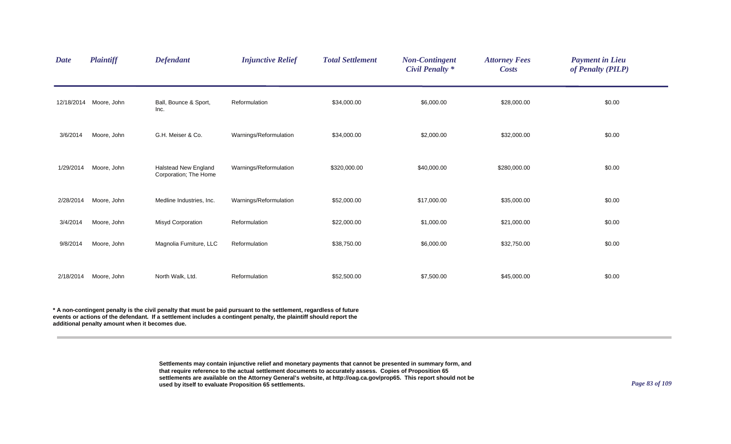| <b>Date</b> | <b>Plaintiff</b>       | <b>Defendant</b>                                     | <b>Injunctive Relief</b> | <b>Total Settlement</b> | <b>Non-Contingent</b><br><b>Civil Penalty *</b> | <b>Attorney Fees</b><br><b>Costs</b> | <b>Payment in Lieu</b><br>of Penalty (PILP) |
|-------------|------------------------|------------------------------------------------------|--------------------------|-------------------------|-------------------------------------------------|--------------------------------------|---------------------------------------------|
|             | 12/18/2014 Moore, John | Ball, Bounce & Sport,<br>Inc.                        | Reformulation            | \$34,000.00             | \$6,000.00                                      | \$28,000.00                          | \$0.00                                      |
| 3/6/2014    | Moore, John            | G.H. Meiser & Co.                                    | Warnings/Reformulation   | \$34,000.00             | \$2,000.00                                      | \$32,000.00                          | \$0.00                                      |
| 1/29/2014   | Moore, John            | <b>Halstead New England</b><br>Corporation; The Home | Warnings/Reformulation   | \$320,000.00            | \$40,000.00                                     | \$280,000.00                         | \$0.00                                      |
| 2/28/2014   | Moore, John            | Medline Industries, Inc.                             | Warnings/Reformulation   | \$52,000.00             | \$17,000.00                                     | \$35,000.00                          | \$0.00                                      |
| 3/4/2014    | Moore, John            | <b>Misyd Corporation</b>                             | Reformulation            | \$22,000.00             | \$1,000.00                                      | \$21,000.00                          | \$0.00                                      |
| 9/8/2014    | Moore, John            | Magnolia Furniture, LLC                              | Reformulation            | \$38,750.00             | \$6,000.00                                      | \$32,750.00                          | \$0.00                                      |
| 2/18/2014   | Moore, John            | North Walk, Ltd.                                     | Reformulation            | \$52,500.00             | \$7,500.00                                      | \$45,000.00                          | \$0.00                                      |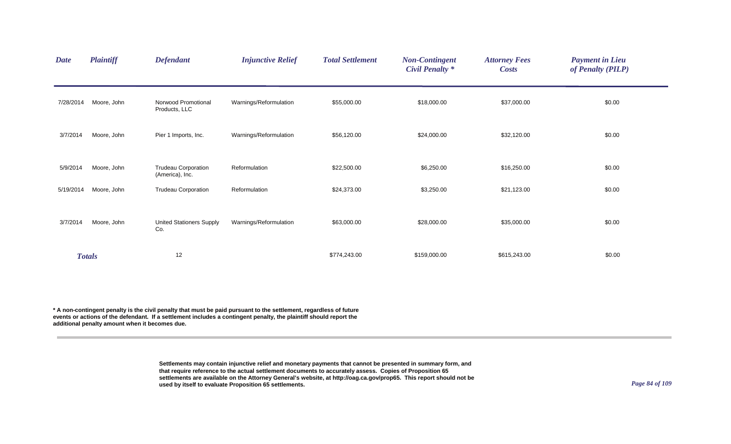| <b>Date</b> | <b>Plaintiff</b> | <b>Defendant</b>                              | <b>Injunctive Relief</b> | <b>Total Settlement</b> | <b>Non-Contingent</b><br><b>Civil Penalty *</b> | <b>Attorney Fees</b><br><b>Costs</b> | <b>Payment in Lieu</b><br>of Penalty (PILP) |
|-------------|------------------|-----------------------------------------------|--------------------------|-------------------------|-------------------------------------------------|--------------------------------------|---------------------------------------------|
| 7/28/2014   | Moore, John      | Norwood Promotional<br>Products, LLC          | Warnings/Reformulation   | \$55,000.00             | \$18,000.00                                     | \$37,000.00                          | \$0.00                                      |
| 3/7/2014    | Moore, John      | Pier 1 Imports, Inc.                          | Warnings/Reformulation   | \$56,120.00             | \$24,000.00                                     | \$32,120.00                          | \$0.00                                      |
| 5/9/2014    | Moore, John      | <b>Trudeau Corporation</b><br>(America), Inc. | Reformulation            | \$22,500.00             | \$6,250.00                                      | \$16,250.00                          | \$0.00                                      |
| 5/19/2014   | Moore, John      | <b>Trudeau Corporation</b>                    | Reformulation            | \$24,373.00             | \$3,250.00                                      | \$21,123.00                          | \$0.00                                      |
| 3/7/2014    | Moore, John      | <b>United Stationers Supply</b><br>Co.        | Warnings/Reformulation   | \$63,000.00             | \$28,000.00                                     | \$35,000.00                          | \$0.00                                      |
|             | <b>Totals</b>    | 12                                            |                          | \$774,243.00            | \$159,000.00                                    | \$615,243.00                         | \$0.00                                      |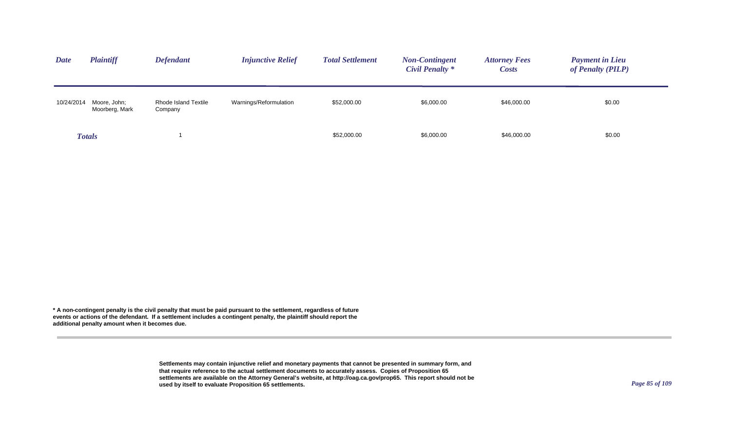| <b>Date</b> | <b>Plaintiff</b>               | <b>Defendant</b>                | <b>Injunctive Relief</b> | <b>Total Settlement</b> | <b>Non-Contingent</b><br>Civil Penalty * | <b>Attorney Fees</b><br><i>Costs</i> | <b>Payment in Lieu</b><br>of Penalty (PILP) |
|-------------|--------------------------------|---------------------------------|--------------------------|-------------------------|------------------------------------------|--------------------------------------|---------------------------------------------|
| 10/24/2014  | Moore, John;<br>Moorberg, Mark | Rhode Island Textile<br>Company | Warnings/Reformulation   | \$52,000.00             | \$6,000.00                               | \$46,000.00                          | \$0.00                                      |
|             | <b>Totals</b>                  |                                 |                          | \$52,000.00             | \$6,000.00                               | \$46,000.00                          | \$0.00                                      |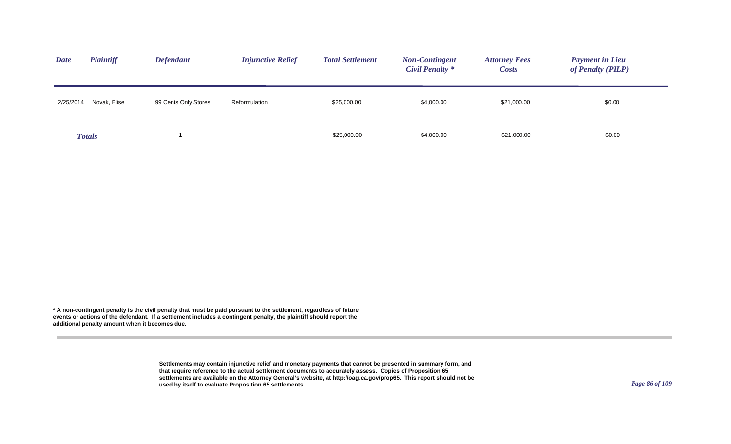| <b>Plaintiff</b><br><b>Date</b> | <b>Defendant</b>     | <b>Injunctive Relief</b> | <b>Total Settlement</b> | <b>Non-Contingent</b><br>Civil Penalty * | <b>Attorney Fees</b><br><b>Costs</b> | <b>Payment in Lieu</b><br>of Penalty (PILP) |
|---------------------------------|----------------------|--------------------------|-------------------------|------------------------------------------|--------------------------------------|---------------------------------------------|
| Novak, Elise<br>2/25/2014       | 99 Cents Only Stores | Reformulation            | \$25,000.00             | \$4,000.00                               | \$21,000.00                          | \$0.00                                      |
| <b>Totals</b>                   |                      |                          | \$25,000.00             | \$4,000.00                               | \$21,000.00                          | \$0.00                                      |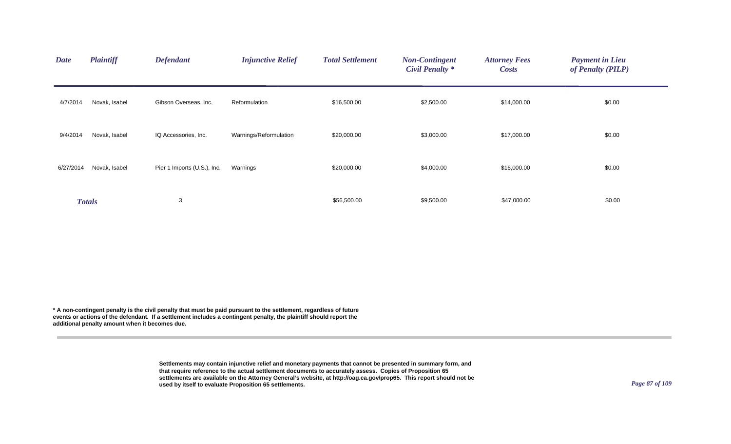| <b>Date</b> | <b>Plaintiff</b> | <b>Defendant</b>            | <b>Injunctive Relief</b> | <b>Total Settlement</b> | <b>Non-Contingent</b><br><b>Civil Penalty *</b> | <b>Attorney Fees</b><br><b>Costs</b> | <b>Payment in Lieu</b><br>of Penalty (PILP) |  |
|-------------|------------------|-----------------------------|--------------------------|-------------------------|-------------------------------------------------|--------------------------------------|---------------------------------------------|--|
| 4/7/2014    | Novak, Isabel    | Gibson Overseas, Inc.       | Reformulation            | \$16,500.00             | \$2,500.00                                      | \$14,000.00                          | \$0.00                                      |  |
| 9/4/2014    | Novak, Isabel    | IQ Accessories, Inc.        | Warnings/Reformulation   | \$20,000.00             | \$3,000.00                                      | \$17,000.00                          | \$0.00                                      |  |
| 6/27/2014   | Novak, Isabel    | Pier 1 Imports (U.S.), Inc. | Warnings                 | \$20,000.00             | \$4,000.00                                      | \$16,000.00                          | \$0.00                                      |  |
|             | <b>Totals</b>    | 3                           |                          | \$56,500.00             | \$9,500.00                                      | \$47,000.00                          | \$0.00                                      |  |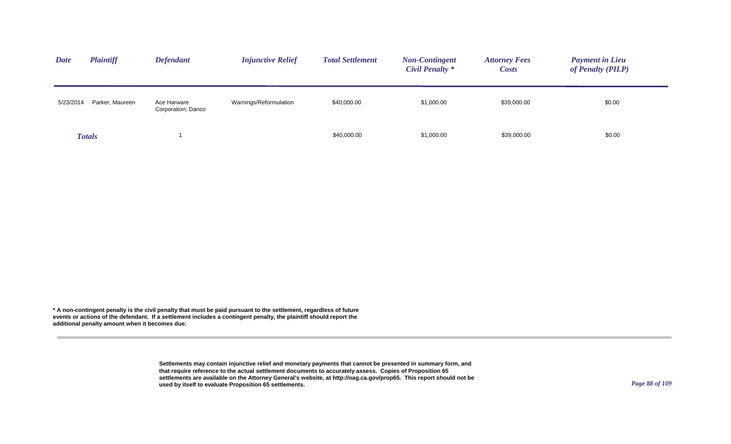| <b>Plaintiff</b><br><b>Date</b> | <b>Defendant</b>               | <b>Injunctive Relief</b>                     | <b>Total Settlement</b> | <b>Non-Contingent</b><br><b>Civil Penalty *</b> | <b>Attorney Fees</b><br><b>Costs</b> | <b>Payment in Lieu</b><br>of Penalty (PILP) |
|---------------------------------|--------------------------------|----------------------------------------------|-------------------------|-------------------------------------------------|--------------------------------------|---------------------------------------------|
| 5/23/2014                       | Parker, Maureen<br>Ace Harware | Warnings/Reformulation<br>Corporation; Danco | \$40,000.00             | \$1,000.00                                      | \$39,000.00                          | \$0.00                                      |
| <b>Totals</b>                   |                                |                                              | \$40,000.00             | \$1,000.00                                      | \$39,000.00                          | \$0.00                                      |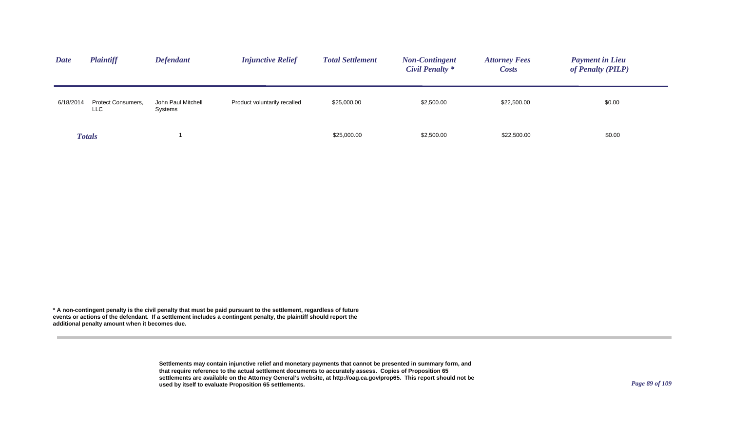| <b>Date</b> | <b>Plaintiff</b>                 | <b>Defendant</b>              | <b>Injunctive Relief</b>     | <b>Total Settlement</b> | <b>Non-Contingent</b><br>Civil Penalty * | <b>Attorney Fees</b><br><b>Costs</b> | <b>Payment in Lieu</b><br>of Penalty (PILP) |
|-------------|----------------------------------|-------------------------------|------------------------------|-------------------------|------------------------------------------|--------------------------------------|---------------------------------------------|
| 6/18/2014   | <b>Protect Consumers,</b><br>LLC | John Paul Mitchell<br>Systems | Product voluntarily recalled | \$25,000.00             | \$2,500.00                               | \$22,500.00                          | \$0.00                                      |
|             | <b>Totals</b>                    |                               |                              | \$25,000.00             | \$2,500.00                               | \$22,500.00                          | \$0.00                                      |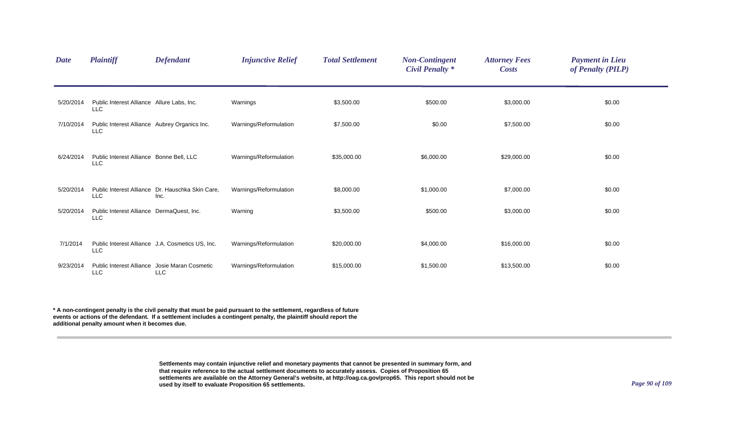| <b>Date</b> | <b>Plaintiff</b>                                            | <b>Defendant</b>                                            | <b>Injunctive Relief</b> | <b>Total Settlement</b> | <b>Non-Contingent</b><br><b>Civil Penalty *</b> | <b>Attorney Fees</b><br><b>Costs</b> | <b>Payment in Lieu</b><br>of Penalty (PILP) |  |
|-------------|-------------------------------------------------------------|-------------------------------------------------------------|--------------------------|-------------------------|-------------------------------------------------|--------------------------------------|---------------------------------------------|--|
| 5/20/2014   | Public Interest Alliance Allure Labs, Inc.<br><b>LLC</b>    |                                                             | Warnings                 | \$3,500.00              | \$500.00                                        | \$3,000.00                           | \$0.00                                      |  |
| 7/10/2014   | Public Interest Alliance Aubrey Organics Inc.<br><b>LLC</b> |                                                             | Warnings/Reformulation   | \$7,500.00              | \$0.00                                          | \$7,500.00                           | \$0.00                                      |  |
| 6/24/2014   | Public Interest Alliance Bonne Bell, LLC<br><b>LLC</b>      |                                                             | Warnings/Reformulation   | \$35,000.00             | \$6,000.00                                      | \$29,000.00                          | \$0.00                                      |  |
| 5/20/2014   | <b>LLC</b>                                                  | Public Interest Alliance Dr. Hauschka Skin Care,<br>Inc.    | Warnings/Reformulation   | \$8,000.00              | \$1,000.00                                      | \$7,000.00                           | \$0.00                                      |  |
| 5/20/2014   | Public Interest Alliance DermaQuest, Inc.<br><b>LLC</b>     |                                                             | Warning                  | \$3,500.00              | \$500.00                                        | \$3,000.00                           | \$0.00                                      |  |
| 7/1/2014    | <b>LLC</b>                                                  | Public Interest Alliance J.A. Cosmetics US. Inc.            | Warnings/Reformulation   | \$20,000.00             | \$4,000.00                                      | \$16,000.00                          | \$0.00                                      |  |
| 9/23/2014   | LLC                                                         | Public Interest Alliance Josie Maran Cosmetic<br><b>LLC</b> | Warnings/Reformulation   | \$15,000.00             | \$1,500.00                                      | \$13,500.00                          | \$0.00                                      |  |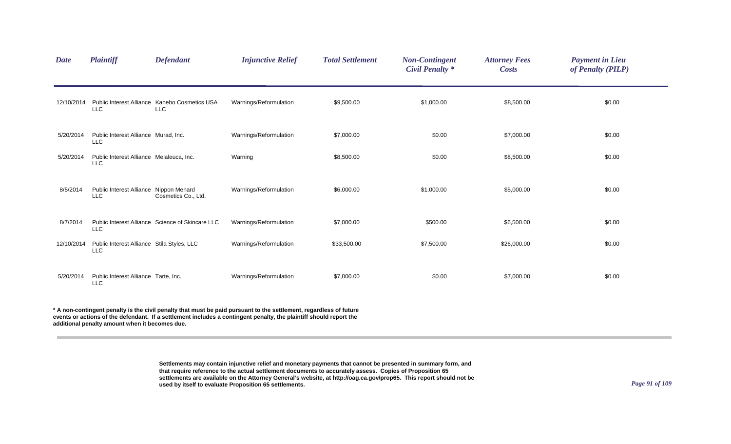| <b>Date</b> | <b>Plaintiff</b>                                       | <b>Defendant</b>                                            | <b>Injunctive Relief</b> | <b>Total Settlement</b> | <b>Non-Contingent</b><br><b>Civil Penalty</b> * | <b>Attorney Fees</b><br><b>Costs</b> | <b>Payment in Lieu</b><br>of Penalty (PILP) |
|-------------|--------------------------------------------------------|-------------------------------------------------------------|--------------------------|-------------------------|-------------------------------------------------|--------------------------------------|---------------------------------------------|
| 12/10/2014  | <b>LLC</b>                                             | Public Interest Alliance Kanebo Cosmetics USA<br><b>LLC</b> | Warnings/Reformulation   | \$9,500.00              | \$1,000.00                                      | \$8,500.00                           | \$0.00                                      |
| 5/20/2014   | Public Interest Alliance Murad, Inc.<br><b>LLC</b>     |                                                             | Warnings/Reformulation   | \$7,000.00              | \$0.00                                          | \$7,000.00                           | \$0.00                                      |
| 5/20/2014   | Public Interest Alliance Melaleuca, Inc.<br><b>LLC</b> |                                                             | Warning                  | \$8,500.00              | \$0.00                                          | \$8,500.00                           | \$0.00                                      |
| 8/5/2014    | Public Interest Alliance Nippon Menard<br><b>LLC</b>   | Cosmetics Co., Ltd.                                         | Warnings/Reformulation   | \$6,000.00              | \$1,000.00                                      | \$5,000.00                           | \$0.00                                      |
| 8/7/2014    | <b>LLC</b>                                             | Public Interest Alliance Science of Skincare LLC            | Warnings/Reformulation   | \$7,000.00              | \$500.00                                        | \$6,500.00                           | \$0.00                                      |
| 12/10/2014  | Public Interest Alliance Stila Styles, LLC<br>LLC      |                                                             | Warnings/Reformulation   | \$33,500.00             | \$7,500.00                                      | \$26,000.00                          | \$0.00                                      |
| 5/20/2014   | Public Interest Alliance Tarte, Inc.<br><b>LLC</b>     |                                                             | Warnings/Reformulation   | \$7,000.00              | \$0.00                                          | \$7,000.00                           | \$0.00                                      |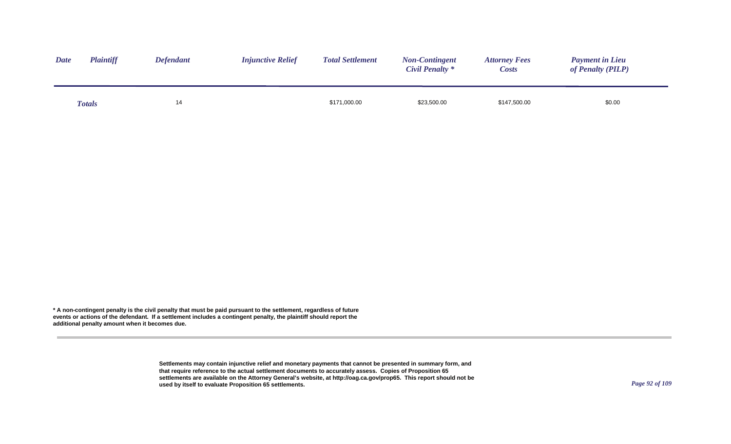| <b>Date</b> | <b>Plaintiff</b> | <b>Defendant</b> | <b>Injunctive Relief</b> | <b>Total Settlement</b> | <b>Non-Contingent</b><br><b>Civil Penalty *</b> | <b>Attorney Fees</b><br><b>Costs</b> | <b>Payment in Lieu</b><br>of Penalty (PILP) |
|-------------|------------------|------------------|--------------------------|-------------------------|-------------------------------------------------|--------------------------------------|---------------------------------------------|
|             | <b>Totals</b>    | 14               |                          | \$171,000.00            | \$23,500.00                                     | \$147,500.00                         | \$0.00                                      |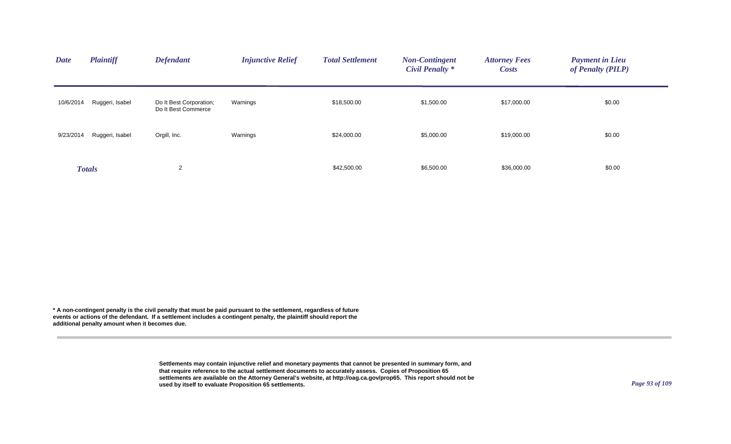| <b>Date</b> | <b>Plaintiff</b> | <b>Defendant</b>                               | <b>Injunctive Relief</b> | <b>Total Settlement</b> | <b>Non-Contingent</b><br><b>Civil Penalty *</b> | <b>Attorney Fees</b><br><b>Costs</b> | <b>Payment in Lieu</b><br>of Penalty (PILP) |
|-------------|------------------|------------------------------------------------|--------------------------|-------------------------|-------------------------------------------------|--------------------------------------|---------------------------------------------|
| 10/6/2014   | Ruggeri, Isabel  | Do It Best Corporation;<br>Do It Best Commerce | Warnings                 | \$18,500.00             | \$1,500.00                                      | \$17,000.00                          | \$0.00                                      |
| 9/23/2014   | Ruggeri, Isabel  | Orgill, Inc.                                   | Warnings                 | \$24,000.00             | \$5,000.00                                      | \$19,000.00                          | \$0.00                                      |
|             | <b>Totals</b>    | $\overline{2}$                                 |                          | \$42,500.00             | \$6,500.00                                      | \$36,000.00                          | \$0.00                                      |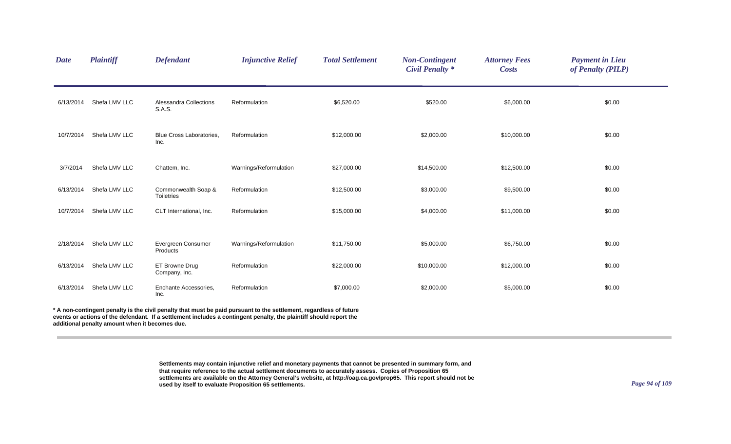| <b>Date</b> | <b>Plaintiff</b>                               | <b>Defendant</b>                         | <b>Injunctive Relief</b>                                                                                                                                                                                                                 | <b>Total Settlement</b> | <b>Non-Contingent</b><br><b>Civil Penalty *</b> | <b>Attorney Fees</b><br><b>Costs</b> | <b>Payment in Lieu</b><br>of Penalty (PILP) |
|-------------|------------------------------------------------|------------------------------------------|------------------------------------------------------------------------------------------------------------------------------------------------------------------------------------------------------------------------------------------|-------------------------|-------------------------------------------------|--------------------------------------|---------------------------------------------|
| 6/13/2014   | Shefa LMV LLC                                  | Alessandra Collections<br>S.A.S.         | Reformulation                                                                                                                                                                                                                            | \$6,520.00              | \$520.00                                        | \$6,000.00                           | \$0.00                                      |
| 10/7/2014   | Shefa LMV LLC                                  | <b>Blue Cross Laboratories,</b><br>Inc.  | Reformulation                                                                                                                                                                                                                            | \$12,000.00             | \$2,000.00                                      | \$10,000.00                          | \$0.00                                      |
| 3/7/2014    | Shefa LMV LLC                                  | Chattem, Inc.                            | Warnings/Reformulation                                                                                                                                                                                                                   | \$27,000.00             | \$14,500.00                                     | \$12,500.00                          | \$0.00                                      |
| 6/13/2014   | Shefa LMV LLC                                  | Commonwealth Soap &<br><b>Toiletries</b> | Reformulation                                                                                                                                                                                                                            | \$12,500.00             | \$3,000.00                                      | \$9,500.00                           | \$0.00                                      |
| 10/7/2014   | Shefa LMV LLC                                  | CLT International, Inc.                  | Reformulation                                                                                                                                                                                                                            | \$15,000.00             | \$4,000.00                                      | \$11,000.00                          | \$0.00                                      |
| 2/18/2014   | Shefa LMV LLC                                  | Evergreen Consumer<br>Products           | Warnings/Reformulation                                                                                                                                                                                                                   | \$11,750.00             | \$5,000.00                                      | \$6,750.00                           | \$0.00                                      |
| 6/13/2014   | Shefa LMV LLC                                  | ET Browne Drug<br>Company, Inc.          | Reformulation                                                                                                                                                                                                                            | \$22,000.00             | \$10,000.00                                     | \$12,000.00                          | \$0.00                                      |
| 6/13/2014   | Shefa LMV LLC                                  | Enchante Accessories,<br>Inc.            | Reformulation                                                                                                                                                                                                                            | \$7,000.00              | \$2,000.00                                      | \$5,000.00                           | \$0.00                                      |
|             | additional penalty amount when it becomes due. |                                          | * A non-contingent penalty is the civil penalty that must be paid pursuant to the settlement, regardless of future<br>events or actions of the defendant. If a settlement includes a contingent penalty, the plaintiff should report the |                         |                                                 |                                      |                                             |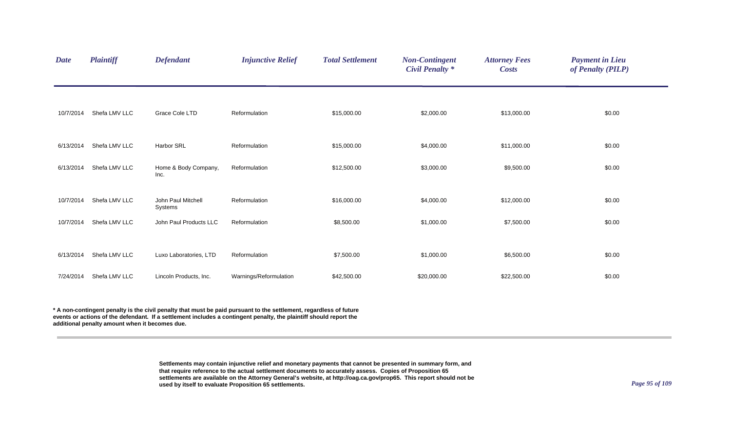| <b>Date</b> | <b>Plaintiff</b> | <b>Defendant</b>              | <b>Injunctive Relief</b> | <b>Total Settlement</b> | <b>Non-Contingent</b><br><b>Civil Penalty *</b> | <b>Attorney Fees</b><br><b>Costs</b> | <b>Payment in Lieu</b><br>of Penalty (PILP) |  |
|-------------|------------------|-------------------------------|--------------------------|-------------------------|-------------------------------------------------|--------------------------------------|---------------------------------------------|--|
|             |                  |                               |                          |                         |                                                 |                                      |                                             |  |
| 10/7/2014   | Shefa LMV LLC    | Grace Cole LTD                | Reformulation            | \$15,000.00             | \$2,000.00                                      | \$13,000.00                          | \$0.00                                      |  |
| 6/13/2014   | Shefa LMV LLC    | Harbor SRL                    | Reformulation            | \$15,000.00             | \$4,000.00                                      | \$11,000.00                          | \$0.00                                      |  |
| 6/13/2014   | Shefa LMV LLC    | Home & Body Company,<br>Inc.  | Reformulation            | \$12,500.00             | \$3,000.00                                      | \$9,500.00                           | \$0.00                                      |  |
|             |                  |                               |                          |                         |                                                 |                                      |                                             |  |
| 10/7/2014   | Shefa LMV LLC    | John Paul Mitchell<br>Systems | Reformulation            | \$16,000.00             | \$4,000.00                                      | \$12,000.00                          | \$0.00                                      |  |
| 10/7/2014   | Shefa LMV LLC    | John Paul Products LLC        | Reformulation            | \$8,500.00              | \$1,000.00                                      | \$7,500.00                           | \$0.00                                      |  |
|             |                  |                               |                          |                         |                                                 |                                      |                                             |  |
| 6/13/2014   | Shefa LMV LLC    | Luxo Laboratories, LTD        | Reformulation            | \$7,500.00              | \$1,000.00                                      | \$6,500.00                           | \$0.00                                      |  |
| 7/24/2014   | Shefa LMV LLC    | Lincoln Products, Inc.        | Warnings/Reformulation   | \$42,500.00             | \$20,000.00                                     | \$22,500.00                          | \$0.00                                      |  |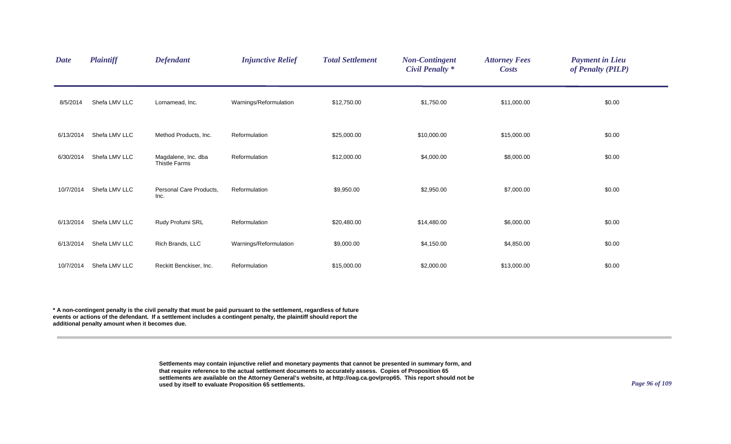| <b>Date</b> | <b>Plaintiff</b> | <b>Defendant</b>                     | <b>Injunctive Relief</b> | <b>Total Settlement</b> | <b>Non-Contingent</b><br><b>Civil Penalty *</b> | <b>Attorney Fees</b><br><b>Costs</b> | <b>Payment in Lieu</b><br>of Penalty (PILP) |  |
|-------------|------------------|--------------------------------------|--------------------------|-------------------------|-------------------------------------------------|--------------------------------------|---------------------------------------------|--|
| 8/5/2014    | Shefa LMV LLC    | Lornamead, Inc.                      | Warnings/Reformulation   | \$12,750.00             | \$1,750.00                                      | \$11,000.00                          | \$0.00                                      |  |
| 6/13/2014   | Shefa LMV LLC    | Method Products, Inc.                | Reformulation            | \$25,000.00             | \$10,000.00                                     | \$15,000.00                          | \$0.00                                      |  |
| 6/30/2014   | Shefa LMV LLC    | Magdalene, Inc. dba<br>Thistle Farms | Reformulation            | \$12,000.00             | \$4,000.00                                      | \$8,000.00                           | \$0.00                                      |  |
| 10/7/2014   | Shefa LMV LLC    | Personal Care Products,<br>Inc.      | Reformulation            | \$9,950.00              | \$2,950.00                                      | \$7,000.00                           | \$0.00                                      |  |
| 6/13/2014   | Shefa LMV LLC    | Rudy Profumi SRL                     | Reformulation            | \$20,480.00             | \$14,480.00                                     | \$6,000.00                           | \$0.00                                      |  |
| 6/13/2014   | Shefa LMV LLC    | Rich Brands, LLC                     | Warnings/Reformulation   | \$9,000.00              | \$4,150.00                                      | \$4,850.00                           | \$0.00                                      |  |
| 10/7/2014   | Shefa LMV LLC    | Reckitt Benckiser, Inc.              | Reformulation            | \$15,000.00             | \$2,000.00                                      | \$13,000.00                          | \$0.00                                      |  |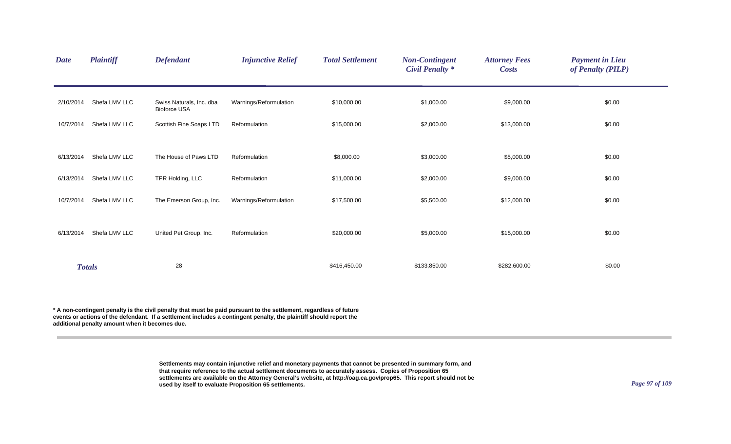| <b>Date</b> | <b>Plaintiff</b> | <b>Defendant</b>                                | <b>Injunctive Relief</b> | <b>Total Settlement</b> | <b>Non-Contingent</b><br><b>Civil Penalty</b> * | <b>Attorney Fees</b><br><b>Costs</b> | <b>Payment in Lieu</b><br>of Penalty (PILP) |
|-------------|------------------|-------------------------------------------------|--------------------------|-------------------------|-------------------------------------------------|--------------------------------------|---------------------------------------------|
| 2/10/2014   | Shefa LMV LLC    | Swiss Naturals, Inc. dba<br><b>Bioforce USA</b> | Warnings/Reformulation   | \$10,000.00             | \$1,000.00                                      | \$9,000.00                           | \$0.00                                      |
| 10/7/2014   | Shefa LMV LLC    | Scottish Fine Soaps LTD                         | Reformulation            | \$15,000.00             | \$2,000.00                                      | \$13,000.00                          | \$0.00                                      |
| 6/13/2014   | Shefa LMV LLC    | The House of Paws LTD                           | Reformulation            | \$8,000.00              | \$3,000.00                                      | \$5,000.00                           | \$0.00                                      |
| 6/13/2014   | Shefa LMV LLC    | TPR Holding, LLC                                | Reformulation            | \$11,000.00             | \$2,000.00                                      | \$9,000.00                           | \$0.00                                      |
| 10/7/2014   | Shefa LMV LLC    | The Emerson Group, Inc.                         | Warnings/Reformulation   | \$17,500.00             | \$5,500.00                                      | \$12,000.00                          | \$0.00                                      |
| 6/13/2014   | Shefa LMV LLC    | United Pet Group, Inc.                          | Reformulation            | \$20,000.00             | \$5,000.00                                      | \$15,000.00                          | \$0.00                                      |
|             | <b>Totals</b>    | 28                                              |                          | \$416,450.00            | \$133,850.00                                    | \$282,600.00                         | \$0.00                                      |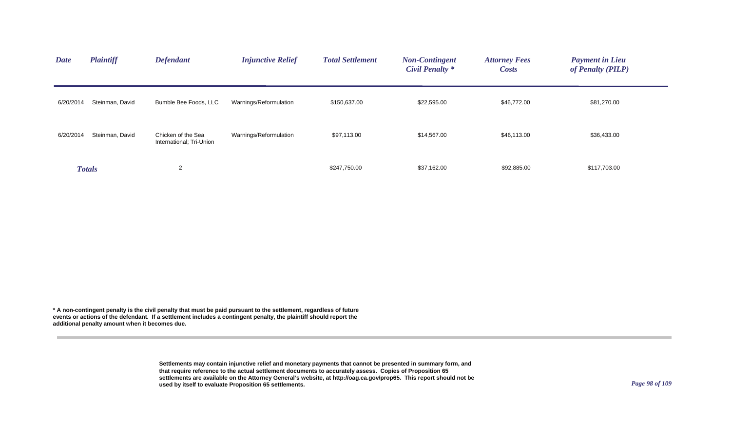| <b>Date</b> | <b>Plaintiff</b> | <b>Defendant</b>                               | <b>Injunctive Relief</b> | <b>Total Settlement</b> | <b>Non-Contingent</b><br><b>Civil Penalty</b> * | <b>Attorney Fees</b><br><b>Costs</b> | <b>Payment in Lieu</b><br>of Penalty (PILP) |  |
|-------------|------------------|------------------------------------------------|--------------------------|-------------------------|-------------------------------------------------|--------------------------------------|---------------------------------------------|--|
| 6/20/2014   | Steinman, David  | Bumble Bee Foods, LLC                          | Warnings/Reformulation   | \$150,637.00            | \$22,595.00                                     | \$46,772.00                          | \$81,270.00                                 |  |
| 6/20/2014   | Steinman, David  | Chicken of the Sea<br>International; Tri-Union | Warnings/Reformulation   | \$97,113.00             | \$14,567.00                                     | \$46,113.00                          | \$36,433.00                                 |  |
|             | <b>Totals</b>    | 2                                              |                          | \$247,750.00            | \$37,162.00                                     | \$92,885.00                          | \$117,703.00                                |  |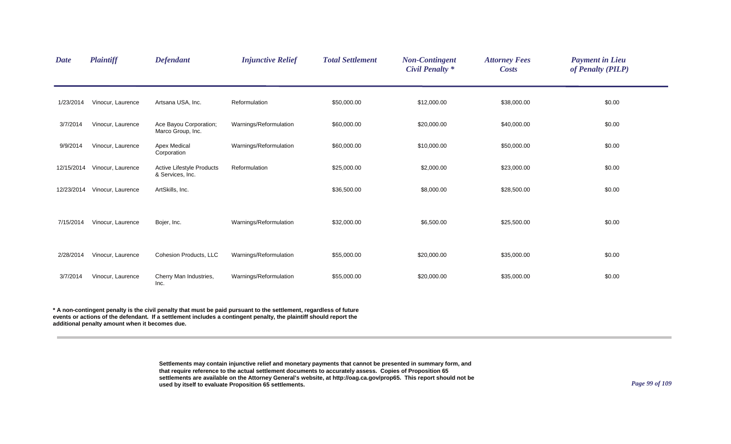| <b>Date</b> | <b>Plaintiff</b>  | <b>Defendant</b>                              | <b>Injunctive Relief</b> | <b>Total Settlement</b> | <b>Non-Contingent</b><br><b>Civil Penalty *</b> | <b>Attorney Fees</b><br><b>Costs</b> | <b>Payment in Lieu</b><br>of Penalty (PILP) |
|-------------|-------------------|-----------------------------------------------|--------------------------|-------------------------|-------------------------------------------------|--------------------------------------|---------------------------------------------|
| 1/23/2014   | Vinocur, Laurence | Artsana USA, Inc.                             | Reformulation            | \$50,000.00             | \$12,000.00                                     | \$38,000.00                          | \$0.00                                      |
| 3/7/2014    | Vinocur, Laurence | Ace Bayou Corporation;<br>Marco Group, Inc.   | Warnings/Reformulation   | \$60,000.00             | \$20,000.00                                     | \$40,000.00                          | \$0.00                                      |
| 9/9/2014    | Vinocur, Laurence | <b>Apex Medical</b><br>Corporation            | Warnings/Reformulation   | \$60,000.00             | \$10,000.00                                     | \$50,000.00                          | \$0.00                                      |
| 12/15/2014  | Vinocur, Laurence | Active Lifestyle Products<br>& Services, Inc. | Reformulation            | \$25,000.00             | \$2,000.00                                      | \$23,000.00                          | \$0.00                                      |
| 12/23/2014  | Vinocur, Laurence | ArtSkills, Inc.                               |                          | \$36,500.00             | \$8,000.00                                      | \$28,500.00                          | \$0.00                                      |
| 7/15/2014   | Vinocur, Laurence | Bojer, Inc.                                   | Warnings/Reformulation   | \$32,000.00             | \$6,500.00                                      | \$25,500.00                          | \$0.00                                      |
| 2/28/2014   | Vinocur, Laurence | <b>Cohesion Products, LLC</b>                 | Warnings/Reformulation   | \$55,000.00             | \$20,000.00                                     | \$35,000.00                          | \$0.00                                      |
| 3/7/2014    | Vinocur, Laurence | Cherry Man Industries,<br>Inc.                | Warnings/Reformulation   | \$55,000.00             | \$20,000.00                                     | \$35,000.00                          | \$0.00                                      |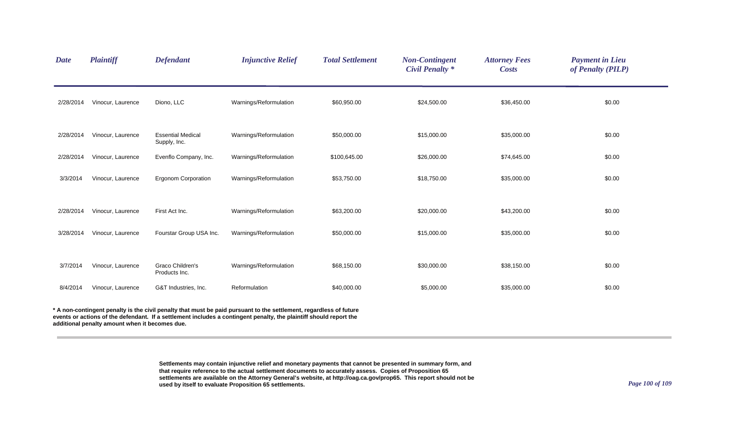| <b>Date</b> | <b>Plaintiff</b>                               | <b>Defendant</b>                         | <b>Injunctive Relief</b>                                                                                                                                                                                                                 | <b>Total Settlement</b> | <b>Non-Contingent</b><br><b>Civil Penalty *</b> | <b>Attorney Fees</b><br><b>Costs</b> | <b>Payment in Lieu</b><br>of Penalty (PILP) |
|-------------|------------------------------------------------|------------------------------------------|------------------------------------------------------------------------------------------------------------------------------------------------------------------------------------------------------------------------------------------|-------------------------|-------------------------------------------------|--------------------------------------|---------------------------------------------|
| 2/28/2014   | Vinocur, Laurence                              | Diono, LLC                               | Warnings/Reformulation                                                                                                                                                                                                                   | \$60,950.00             | \$24,500.00                                     | \$36,450.00                          | \$0.00                                      |
| 2/28/2014   | Vinocur, Laurence                              | <b>Essential Medical</b><br>Supply, Inc. | Warnings/Reformulation                                                                                                                                                                                                                   | \$50,000.00             | \$15,000.00                                     | \$35,000.00                          | \$0.00                                      |
| 2/28/2014   | Vinocur, Laurence                              | Evenflo Company, Inc.                    | Warnings/Reformulation                                                                                                                                                                                                                   | \$100,645.00            | \$26,000.00                                     | \$74,645.00                          | \$0.00                                      |
| 3/3/2014    | Vinocur, Laurence                              | <b>Ergonom Corporation</b>               | Warnings/Reformulation                                                                                                                                                                                                                   | \$53,750.00             | \$18,750.00                                     | \$35,000.00                          | \$0.00                                      |
| 2/28/2014   | Vinocur, Laurence                              | First Act Inc.                           | Warnings/Reformulation                                                                                                                                                                                                                   | \$63,200.00             | \$20,000.00                                     | \$43,200.00                          | \$0.00                                      |
| 3/28/2014   | Vinocur, Laurence                              | Fourstar Group USA Inc.                  | Warnings/Reformulation                                                                                                                                                                                                                   | \$50,000.00             | \$15,000.00                                     | \$35,000.00                          | \$0.00                                      |
| 3/7/2014    | Vinocur, Laurence                              | Graco Children's<br>Products Inc.        | Warnings/Reformulation                                                                                                                                                                                                                   | \$68,150.00             | \$30,000.00                                     | \$38,150.00                          | \$0.00                                      |
| 8/4/2014    | Vinocur, Laurence                              | G&T Industries, Inc.                     | Reformulation                                                                                                                                                                                                                            | \$40,000.00             | \$5,000.00                                      | \$35,000.00                          | \$0.00                                      |
|             | additional penalty amount when it becomes due. |                                          | * A non-contingent penalty is the civil penalty that must be paid pursuant to the settlement, regardless of future<br>events or actions of the defendant. If a settlement includes a contingent penalty, the plaintiff should report the |                         |                                                 |                                      |                                             |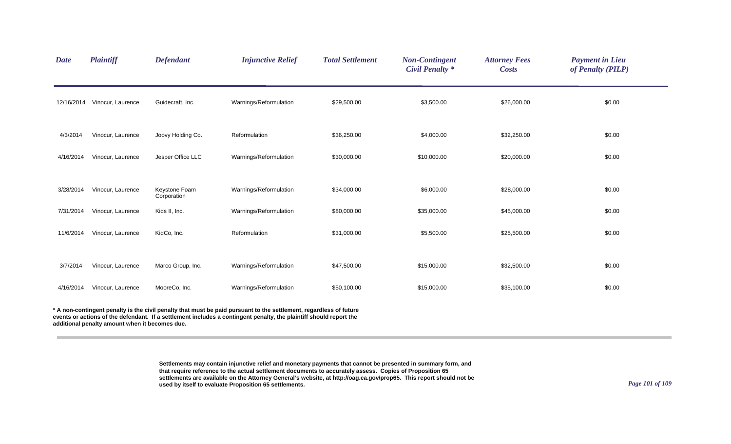| <b>Date</b> | <b>Plaintiff</b>                               | <b>Defendant</b>             | <b>Injunctive Relief</b>                                                                                                                                                                                                                 | <b>Total Settlement</b> | <b>Non-Contingent</b><br><b>Civil Penalty *</b> | <b>Attorney Fees</b><br><b>Costs</b> | <b>Payment in Lieu</b><br>of Penalty (PILP) |
|-------------|------------------------------------------------|------------------------------|------------------------------------------------------------------------------------------------------------------------------------------------------------------------------------------------------------------------------------------|-------------------------|-------------------------------------------------|--------------------------------------|---------------------------------------------|
| 12/16/2014  | Vinocur, Laurence                              | Guidecraft, Inc.             | Warnings/Reformulation                                                                                                                                                                                                                   | \$29,500.00             | \$3,500.00                                      | \$26,000.00                          | \$0.00                                      |
| 4/3/2014    | Vinocur, Laurence                              | Joovy Holding Co.            | Reformulation                                                                                                                                                                                                                            | \$36,250.00             | \$4,000.00                                      | \$32,250.00                          | \$0.00                                      |
| 4/16/2014   | Vinocur, Laurence                              | Jesper Office LLC            | Warnings/Reformulation                                                                                                                                                                                                                   | \$30,000.00             | \$10,000.00                                     | \$20,000.00                          | \$0.00                                      |
| 3/28/2014   | Vinocur, Laurence                              | Keystone Foam<br>Corporation | Warnings/Reformulation                                                                                                                                                                                                                   | \$34,000.00             | \$6,000.00                                      | \$28,000.00                          | \$0.00                                      |
| 7/31/2014   | Vinocur, Laurence                              | Kids II, Inc.                | Warnings/Reformulation                                                                                                                                                                                                                   | \$80,000.00             | \$35,000.00                                     | \$45,000.00                          | \$0.00                                      |
| 11/6/2014   | Vinocur, Laurence                              | KidCo, Inc.                  | Reformulation                                                                                                                                                                                                                            | \$31,000.00             | \$5,500.00                                      | \$25,500.00                          | \$0.00                                      |
| 3/7/2014    | Vinocur, Laurence                              | Marco Group, Inc.            | Warnings/Reformulation                                                                                                                                                                                                                   | \$47,500.00             | \$15,000.00                                     | \$32,500.00                          | \$0.00                                      |
| 4/16/2014   | Vinocur, Laurence                              | MooreCo, Inc.                | Warnings/Reformulation                                                                                                                                                                                                                   | \$50,100.00             | \$15,000.00                                     | \$35,100.00                          | \$0.00                                      |
|             | additional penalty amount when it becomes due. |                              | * A non-contingent penalty is the civil penalty that must be paid pursuant to the settlement, regardless of future<br>events or actions of the defendant. If a settlement includes a contingent penalty, the plaintiff should report the |                         |                                                 |                                      |                                             |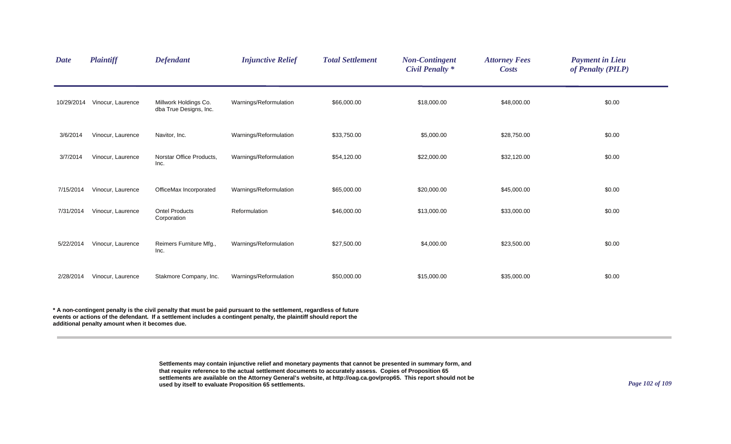| <b>Date</b> | <b>Plaintiff</b>  | <b>Defendant</b>                                | <b>Injunctive Relief</b> | <b>Total Settlement</b> | <b>Non-Contingent</b><br><b>Civil Penalty</b> * | <b>Attorney Fees</b><br><b>Costs</b> | <b>Payment in Lieu</b><br>of Penalty (PILP) |
|-------------|-------------------|-------------------------------------------------|--------------------------|-------------------------|-------------------------------------------------|--------------------------------------|---------------------------------------------|
| 10/29/2014  | Vinocur, Laurence | Millwork Holdings Co.<br>dba True Designs, Inc. | Warnings/Reformulation   | \$66,000.00             | \$18,000.00                                     | \$48,000.00                          | \$0.00                                      |
| 3/6/2014    | Vinocur, Laurence | Navitor, Inc.                                   | Warnings/Reformulation   | \$33,750.00             | \$5,000.00                                      | \$28,750.00                          | \$0.00                                      |
| 3/7/2014    | Vinocur, Laurence | Norstar Office Products,<br>Inc.                | Warnings/Reformulation   | \$54,120.00             | \$22,000.00                                     | \$32,120.00                          | \$0.00                                      |
| 7/15/2014   | Vinocur, Laurence | OfficeMax Incorporated                          | Warnings/Reformulation   | \$65,000.00             | \$20,000.00                                     | \$45,000.00                          | \$0.00                                      |
| 7/31/2014   | Vinocur, Laurence | <b>Ontel Products</b><br>Corporation            | Reformulation            | \$46,000.00             | \$13,000.00                                     | \$33,000.00                          | \$0.00                                      |
| 5/22/2014   | Vinocur, Laurence | Reimers Furniture Mfg.,<br>Inc.                 | Warnings/Reformulation   | \$27,500.00             | \$4,000.00                                      | \$23,500.00                          | \$0.00                                      |
| 2/28/2014   | Vinocur, Laurence | Stakmore Company, Inc.                          | Warnings/Reformulation   | \$50,000.00             | \$15,000.00                                     | \$35,000.00                          | \$0.00                                      |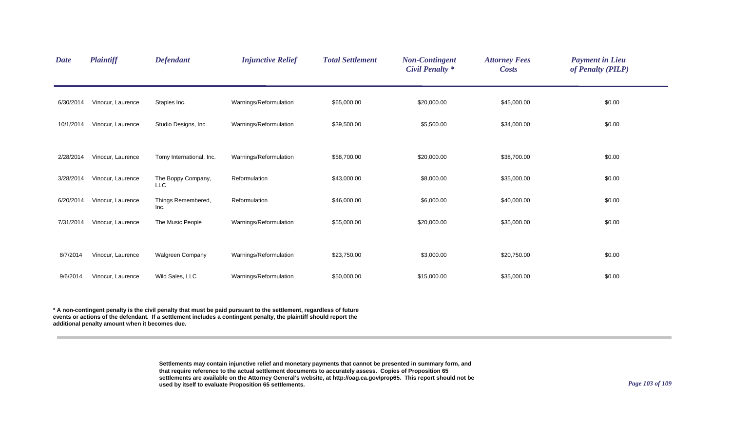| <b>Date</b> | <b>Plaintiff</b>  | <b>Defendant</b>                 | <b>Injunctive Relief</b> | <b>Total Settlement</b> | <b>Non-Contingent</b><br><b>Civil Penalty *</b> | <b>Attorney Fees</b><br><b>Costs</b> | <b>Payment in Lieu</b><br>of Penalty (PILP) |  |
|-------------|-------------------|----------------------------------|--------------------------|-------------------------|-------------------------------------------------|--------------------------------------|---------------------------------------------|--|
| 6/30/2014   | Vinocur, Laurence | Staples Inc.                     | Warnings/Reformulation   | \$65,000.00             | \$20,000.00                                     | \$45,000.00                          | \$0.00                                      |  |
| 10/1/2014   | Vinocur, Laurence | Studio Designs, Inc.             | Warnings/Reformulation   | \$39,500.00             | \$5,500.00                                      | \$34,000.00                          | \$0.00                                      |  |
| 2/28/2014   | Vinocur, Laurence | Tomy International, Inc.         | Warnings/Reformulation   | \$58,700.00             | \$20,000.00                                     | \$38,700.00                          | \$0.00                                      |  |
| 3/28/2014   | Vinocur, Laurence | The Boppy Company,<br><b>LLC</b> | Reformulation            | \$43,000.00             | \$8,000.00                                      | \$35,000.00                          | \$0.00                                      |  |
| 6/20/2014   | Vinocur, Laurence | Things Remembered,<br>Inc.       | Reformulation            | \$46,000.00             | \$6,000.00                                      | \$40,000.00                          | \$0.00                                      |  |
| 7/31/2014   | Vinocur, Laurence | The Music People                 | Warnings/Reformulation   | \$55,000.00             | \$20,000.00                                     | \$35,000.00                          | \$0.00                                      |  |
| 8/7/2014    | Vinocur, Laurence | <b>Walgreen Company</b>          | Warnings/Reformulation   | \$23,750.00             | \$3,000.00                                      | \$20,750.00                          | \$0.00                                      |  |
| 9/6/2014    | Vinocur, Laurence | Wild Sales, LLC                  | Warnings/Reformulation   | \$50,000.00             | \$15,000.00                                     | \$35,000.00                          | \$0.00                                      |  |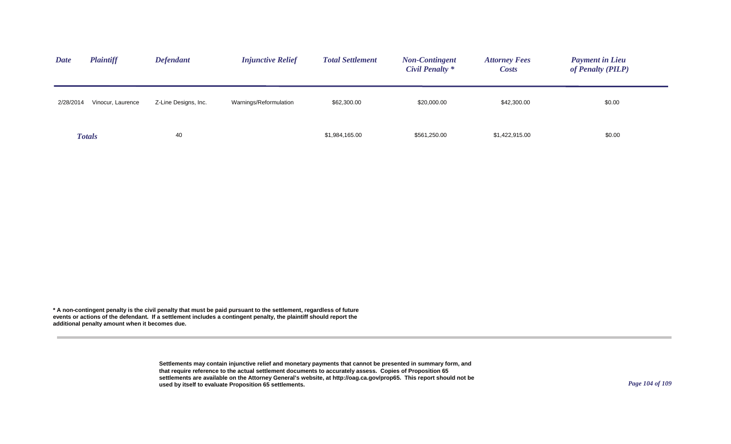| <b>Plaintiff</b><br><b>Date</b> | <b>Defendant</b>     | <b>Injunctive Relief</b> | <b>Total Settlement</b> | <b>Non-Contingent</b><br>Civil Penalty * | <b>Attorney Fees</b><br><i>Costs</i> | <b>Payment in Lieu</b><br>of Penalty (PILP) |
|---------------------------------|----------------------|--------------------------|-------------------------|------------------------------------------|--------------------------------------|---------------------------------------------|
| 2/28/2014<br>Vinocur, Laurence  | Z-Line Designs, Inc. | Warnings/Reformulation   | \$62,300.00             | \$20,000.00                              | \$42,300.00                          | \$0.00                                      |
| <b>Totals</b>                   | 40                   |                          | \$1,984,165.00          | \$561,250.00                             | \$1,422,915.00                       | \$0.00                                      |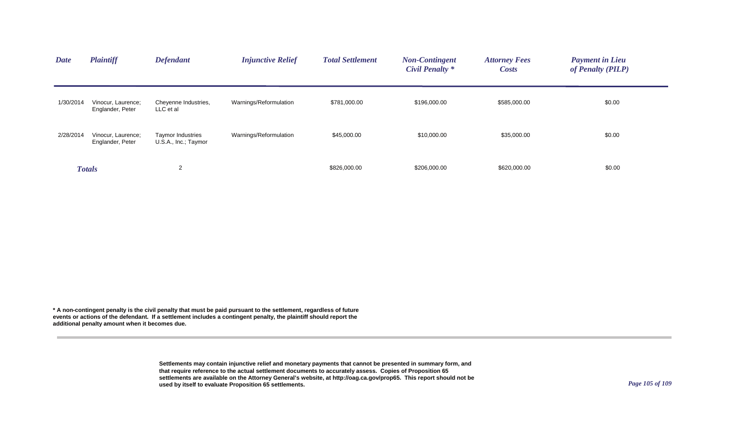| <b>Date</b> | <b>Plaintiff</b>                       | <b>Defendant</b>                                 | <b>Injunctive Relief</b> | <b>Total Settlement</b> | <b>Non-Contingent</b><br><b>Civil Penalty</b> * | <b>Attorney Fees</b><br><b>Costs</b> | <b>Payment in Lieu</b><br>of Penalty (PILP) |
|-------------|----------------------------------------|--------------------------------------------------|--------------------------|-------------------------|-------------------------------------------------|--------------------------------------|---------------------------------------------|
| 1/30/2014   | Vinocur, Laurence;<br>Englander, Peter | Cheyenne Industries,<br>LLC et al                | Warnings/Reformulation   | \$781,000.00            | \$196,000.00                                    | \$585,000.00                         | \$0.00                                      |
| 2/28/2014   | Vinocur, Laurence;<br>Englander, Peter | <b>Taymor Industries</b><br>U.S.A., Inc.; Taymor | Warnings/Reformulation   | \$45,000.00             | \$10,000.00                                     | \$35,000.00                          | \$0.00                                      |
|             | <b>Totals</b>                          | 2                                                |                          | \$826,000.00            | \$206,000.00                                    | \$620,000.00                         | \$0.00                                      |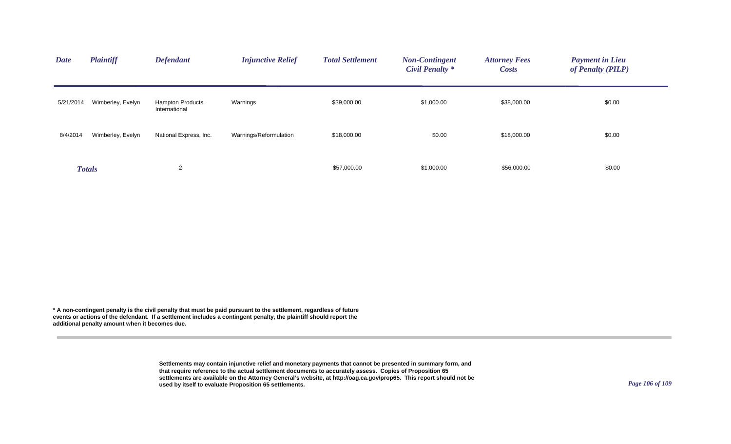| <b>Date</b> | <b>Plaintiff</b>  | <b>Defendant</b>                         | <b>Injunctive Relief</b> | <b>Total Settlement</b> | <b>Non-Contingent</b><br><b>Civil Penalty *</b> | <b>Attorney Fees</b><br><b>Costs</b> | <b>Payment in Lieu</b><br>of Penalty (PILP) |
|-------------|-------------------|------------------------------------------|--------------------------|-------------------------|-------------------------------------------------|--------------------------------------|---------------------------------------------|
| 5/21/2014   | Wimberley, Evelyn | <b>Hampton Products</b><br>International | Warnings                 | \$39,000.00             | \$1,000.00                                      | \$38,000.00                          | \$0.00                                      |
| 8/4/2014    | Wimberley, Evelyn | National Express, Inc.                   | Warnings/Reformulation   | \$18,000.00             | \$0.00                                          | \$18,000.00                          | \$0.00                                      |
|             | <b>Totals</b>     | $\overline{2}$                           |                          | \$57,000.00             | \$1,000.00                                      | \$56,000.00                          | \$0.00                                      |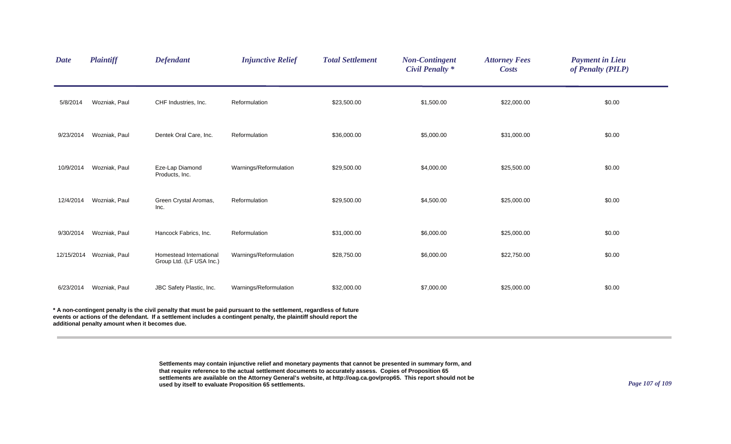| <b>Date</b> | <b>Plaintiff</b>                               | <b>Defendant</b>                                    | <b>Injunctive Relief</b>                                                                                                                                                                                                                 | <b>Total Settlement</b> | <b>Non-Contingent</b><br><b>Civil Penalty *</b> | <b>Attorney Fees</b><br><b>Costs</b> | <b>Payment in Lieu</b><br>of Penalty (PILP) |
|-------------|------------------------------------------------|-----------------------------------------------------|------------------------------------------------------------------------------------------------------------------------------------------------------------------------------------------------------------------------------------------|-------------------------|-------------------------------------------------|--------------------------------------|---------------------------------------------|
| 5/8/2014    | Wozniak, Paul                                  | CHF Industries, Inc.                                | Reformulation                                                                                                                                                                                                                            | \$23,500.00             | \$1,500.00                                      | \$22,000.00                          | \$0.00                                      |
| 9/23/2014   | Wozniak, Paul                                  | Dentek Oral Care, Inc.                              | Reformulation                                                                                                                                                                                                                            | \$36,000.00             | \$5,000.00                                      | \$31,000.00                          | \$0.00                                      |
| 10/9/2014   | Wozniak, Paul                                  | Eze-Lap Diamond<br>Products, Inc.                   | Warnings/Reformulation                                                                                                                                                                                                                   | \$29,500.00             | \$4,000.00                                      | \$25,500.00                          | \$0.00                                      |
| 12/4/2014   | Wozniak, Paul                                  | Green Crystal Aromas,<br>Inc.                       | Reformulation                                                                                                                                                                                                                            | \$29,500.00             | \$4,500.00                                      | \$25,000.00                          | \$0.00                                      |
| 9/30/2014   | Wozniak, Paul                                  | Hancock Fabrics, Inc.                               | Reformulation                                                                                                                                                                                                                            | \$31,000.00             | \$6,000.00                                      | \$25,000.00                          | \$0.00                                      |
| 12/15/2014  | Wozniak, Paul                                  | Homestead International<br>Group Ltd. (LF USA Inc.) | Warnings/Reformulation                                                                                                                                                                                                                   | \$28,750.00             | \$6,000.00                                      | \$22,750.00                          | \$0.00                                      |
| 6/23/2014   | Wozniak, Paul                                  | JBC Safety Plastic, Inc.                            | Warnings/Reformulation                                                                                                                                                                                                                   | \$32,000.00             | \$7,000.00                                      | \$25,000.00                          | \$0.00                                      |
|             | additional penalty amount when it becomes due. |                                                     | * A non-contingent penalty is the civil penalty that must be paid pursuant to the settlement, regardless of future<br>events or actions of the defendant. If a settlement includes a contingent penalty, the plaintiff should report the |                         |                                                 |                                      |                                             |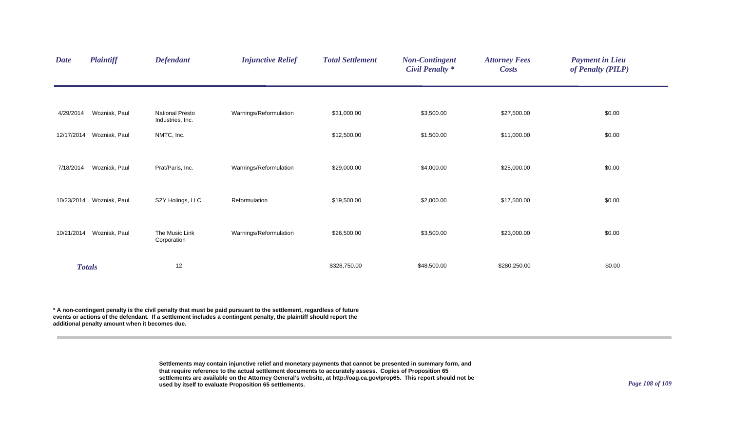| <b>Date</b> | <b>Plaintiff</b> | <b>Defendant</b>                    | <b>Injunctive Relief</b> | <b>Total Settlement</b> | <b>Non-Contingent</b><br><b>Civil Penalty *</b> | <b>Attorney Fees</b><br><b>Costs</b> | <b>Payment in Lieu</b><br>of Penalty (PILP) |
|-------------|------------------|-------------------------------------|--------------------------|-------------------------|-------------------------------------------------|--------------------------------------|---------------------------------------------|
|             |                  |                                     |                          |                         |                                                 |                                      |                                             |
| 4/29/2014   | Wozniak, Paul    | National Presto<br>Industries, Inc. | Warnings/Reformulation   | \$31,000.00             | \$3,500.00                                      | \$27,500.00                          | \$0.00                                      |
| 12/17/2014  | Wozniak, Paul    | NMTC, Inc.                          |                          | \$12,500.00             | \$1,500.00                                      | \$11,000.00                          | \$0.00                                      |
| 7/18/2014   | Wozniak, Paul    | Prat/Paris, Inc.                    | Warnings/Reformulation   | \$29,000.00             | \$4,000.00                                      | \$25,000.00                          | \$0.00                                      |
|             |                  |                                     |                          |                         |                                                 |                                      |                                             |
| 10/23/2014  | Wozniak, Paul    | SZY Holings, LLC                    | Reformulation            | \$19,500.00             | \$2,000.00                                      | \$17,500.00                          | \$0.00                                      |
| 10/21/2014  | Wozniak, Paul    | The Music Link                      | Warnings/Reformulation   | \$26,500.00             | \$3,500.00                                      | \$23,000.00                          | \$0.00                                      |
|             |                  | Corporation                         |                          |                         |                                                 |                                      |                                             |
|             | <b>Totals</b>    | 12                                  |                          | \$328,750.00            | \$48,500.00                                     | \$280,250.00                         | \$0.00                                      |